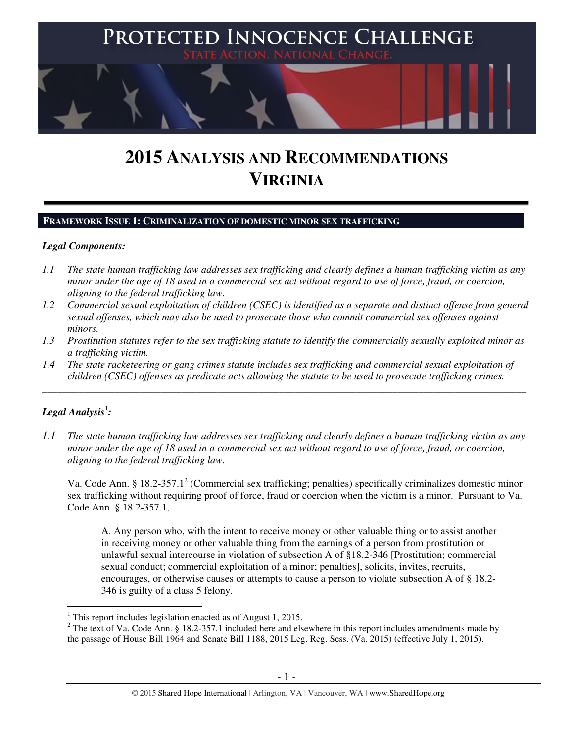

# **2015 ANALYSIS AND RECOMMENDATIONS VIRGINIA**

## **FRAMEWORK ISSUE 1: CRIMINALIZATION OF DOMESTIC MINOR SEX TRAFFICKING**

#### *Legal Components:*

- *1.1 The state human trafficking law addresses sex trafficking and clearly defines a human trafficking victim as any minor under the age of 18 used in a commercial sex act without regard to use of force, fraud, or coercion, aligning to the federal trafficking law.*
- *1.2 Commercial sexual exploitation of children (CSEC) is identified as a separate and distinct offense from general sexual offenses, which may also be used to prosecute those who commit commercial sex offenses against minors.*
- *1.3 Prostitution statutes refer to the sex trafficking statute to identify the commercially sexually exploited minor as a trafficking victim.*
- *1.4 The state racketeering or gang crimes statute includes sex trafficking and commercial sexual exploitation of children (CSEC) offenses as predicate acts allowing the statute to be used to prosecute trafficking crimes.*

\_\_\_\_\_\_\_\_\_\_\_\_\_\_\_\_\_\_\_\_\_\_\_\_\_\_\_\_\_\_\_\_\_\_\_\_\_\_\_\_\_\_\_\_\_\_\_\_\_\_\_\_\_\_\_\_\_\_\_\_\_\_\_\_\_\_\_\_\_\_\_\_\_\_\_\_\_\_\_\_\_\_\_\_\_\_\_\_\_\_\_\_\_\_

# $\bm{\mathit{Legal\, Analysis^1}}$ :

*1.1 The state human trafficking law addresses sex trafficking and clearly defines a human trafficking victim as any minor under the age of 18 used in a commercial sex act without regard to use of force, fraud, or coercion, aligning to the federal trafficking law.*

Va. Code Ann. § 18.2-357.1<sup>2</sup> (Commercial sex trafficking; penalties) specifically criminalizes domestic minor sex trafficking without requiring proof of force, fraud or coercion when the victim is a minor. Pursuant to Va. Code Ann. § 18.2-357.1,

A. Any person who, with the intent to receive money or other valuable thing or to assist another in receiving money or other valuable thing from the earnings of a person from prostitution or unlawful sexual intercourse in violation of subsection A of §18.2-346 [Prostitution; commercial sexual conduct; commercial exploitation of a minor; penalties], solicits, invites, recruits, encourages, or otherwise causes or attempts to cause a person to violate subsection A of § 18.2- 346 is guilty of a class 5 felony.

 1 This report includes legislation enacted as of August 1, 2015.

<sup>&</sup>lt;sup>2</sup> The text of Va. Code Ann. § 18.2-357.1 included here and elsewhere in this report includes amendments made by the passage of House Bill 1964 and Senate Bill 1188, 2015 Leg. Reg. Sess. (Va. 2015) (effective July 1, 2015).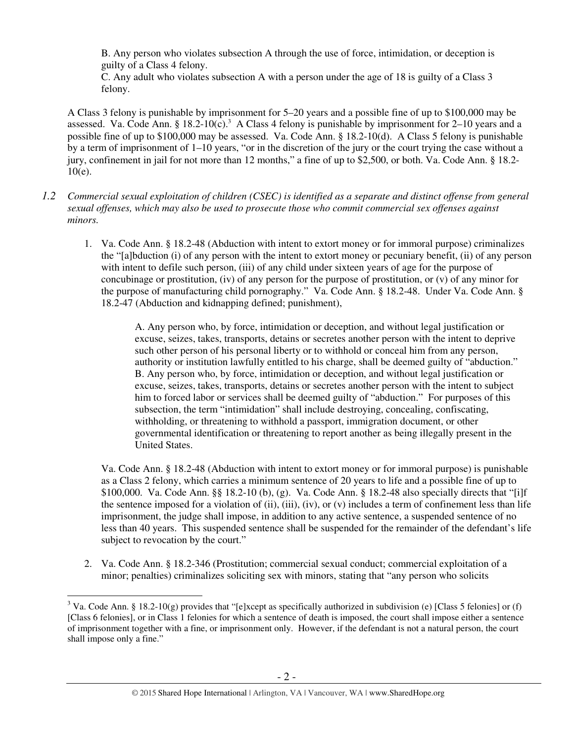B. Any person who violates subsection A through the use of force, intimidation, or deception is guilty of a Class 4 felony.

C. Any adult who violates subsection A with a person under the age of 18 is guilty of a Class 3 felony.

A Class 3 felony is punishable by imprisonment for 5–20 years and a possible fine of up to \$100,000 may be assessed. Va. Code Ann. §  $18.2 \text{-} 10 \text{(c)}$ .<sup>3</sup> A Class 4 felony is punishable by imprisonment for 2–10 years and a possible fine of up to \$100,000 may be assessed. Va. Code Ann. § 18.2-10(d). A Class 5 felony is punishable by a term of imprisonment of 1–10 years, "or in the discretion of the jury or the court trying the case without a jury, confinement in jail for not more than 12 months," a fine of up to \$2,500, or both. Va. Code Ann. § 18.2- 10(e).

- *1.2 Commercial sexual exploitation of children (CSEC) is identified as a separate and distinct offense from general sexual offenses, which may also be used to prosecute those who commit commercial sex offenses against minors.*
	- 1. Va. Code Ann. § 18.2-48 (Abduction with intent to extort money or for immoral purpose) criminalizes the "[a]bduction (i) of any person with the intent to extort money or pecuniary benefit, (ii) of any person with intent to defile such person, (iii) of any child under sixteen years of age for the purpose of concubinage or prostitution, (iv) of any person for the purpose of prostitution, or (v) of any minor for the purpose of manufacturing child pornography." Va. Code Ann. § 18.2-48. Under Va. Code Ann. § 18.2-47 (Abduction and kidnapping defined; punishment),

A. Any person who, by force, intimidation or deception, and without legal justification or excuse, seizes, takes, transports, detains or secretes another person with the intent to deprive such other person of his personal liberty or to withhold or conceal him from any person, authority or institution lawfully entitled to his charge, shall be deemed guilty of "abduction." B. Any person who, by force, intimidation or deception, and without legal justification or excuse, seizes, takes, transports, detains or secretes another person with the intent to subject him to forced labor or services shall be deemed guilty of "abduction." For purposes of this subsection, the term "intimidation" shall include destroying, concealing, confiscating, withholding, or threatening to withhold a passport, immigration document, or other governmental identification or threatening to report another as being illegally present in the United States.

Va. Code Ann. § 18.2-48 (Abduction with intent to extort money or for immoral purpose) is punishable as a Class 2 felony, which carries a minimum sentence of 20 years to life and a possible fine of up to \$100,000. Va. Code Ann. §§ 18.2-10 (b), (g). Va. Code Ann. § 18.2-48 also specially directs that "[i]f the sentence imposed for a violation of (ii), (iii), (iv), or (v) includes a term of confinement less than life imprisonment, the judge shall impose, in addition to any active sentence, a suspended sentence of no less than 40 years. This suspended sentence shall be suspended for the remainder of the defendant's life subject to revocation by the court."

2. Va. Code Ann. § 18.2-346 (Prostitution; commercial sexual conduct; commercial exploitation of a minor; penalties) criminalizes soliciting sex with minors, stating that "any person who solicits

 $\overline{a}$ <sup>3</sup> Va. Code Ann. § 18.2-10(g) provides that "[e]xcept as specifically authorized in subdivision (e) [Class 5 felonies] or (f) [Class 6 felonies], or in Class 1 felonies for which a sentence of death is imposed, the court shall impose either a sentence of imprisonment together with a fine, or imprisonment only. However, if the defendant is not a natural person, the court shall impose only a fine."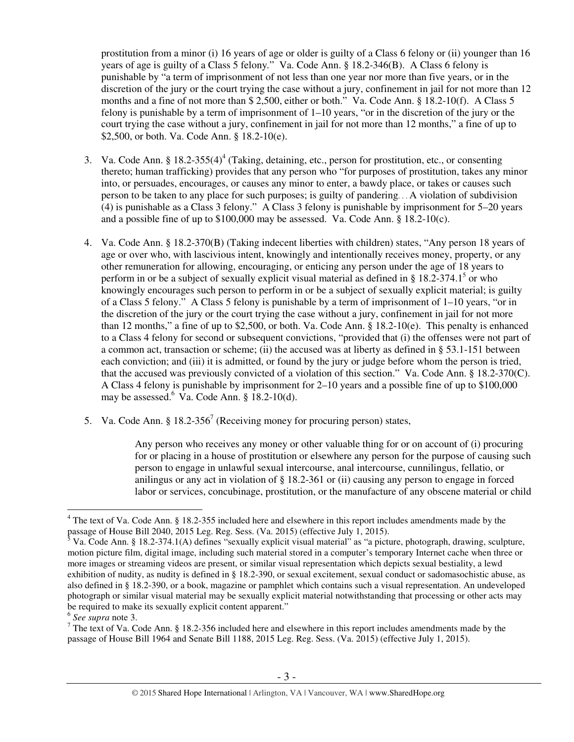prostitution from a minor (i) 16 years of age or older is guilty of a Class 6 felony or (ii) younger than 16 years of age is guilty of a Class 5 felony*.*" Va. Code Ann. § 18.2-346(B). A Class 6 felony is punishable by "a term of imprisonment of not less than one year nor more than five years, or in the discretion of the jury or the court trying the case without a jury, confinement in jail for not more than 12 months and a fine of not more than \$ 2,500, either or both." Va. Code Ann. § 18.2-10(f). A Class 5 felony is punishable by a term of imprisonment of 1–10 years, "or in the discretion of the jury or the court trying the case without a jury, confinement in jail for not more than 12 months," a fine of up to \$2,500, or both. Va. Code Ann. § 18.2-10(e).

- 3. Va. Code Ann. §  $18.2 355(4)^4$  (Taking, detaining, etc., person for prostitution, etc., or consenting thereto; human trafficking) provides that any person who "for purposes of prostitution, takes any minor into, or persuades, encourages, or causes any minor to enter, a bawdy place, or takes or causes such person to be taken to any place for such purposes; is guilty of pandering. . . A violation of subdivision (4) is punishable as a Class 3 felony." A Class 3 felony is punishable by imprisonment for 5–20 years and a possible fine of up to \$100,000 may be assessed. Va. Code Ann. § 18.2-10(c).
- 4. Va. Code Ann. § 18.2-370(B) (Taking indecent liberties with children) states, "Any person 18 years of age or over who, with lascivious intent, knowingly and intentionally receives money, property, or any other remuneration for allowing, encouraging, or enticing any person under the age of 18 years to perform in or be a subject of sexually explicit visual material as defined in  $\S 18.2-374.1^5$  or who knowingly encourages such person to perform in or be a subject of sexually explicit material; is guilty of a Class 5 felony." A Class 5 felony is punishable by a term of imprisonment of 1–10 years, "or in the discretion of the jury or the court trying the case without a jury, confinement in jail for not more than 12 months," a fine of up to \$2,500, or both. Va. Code Ann.  $\S$  18.2-10(e). This penalty is enhanced to a Class 4 felony for second or subsequent convictions, "provided that (i) the offenses were not part of a common act, transaction or scheme; (ii) the accused was at liberty as defined in § 53.1-151 between each conviction; and (iii) it is admitted, or found by the jury or judge before whom the person is tried, that the accused was previously convicted of a violation of this section." Va. Code Ann. § 18.2-370(C). A Class 4 felony is punishable by imprisonment for 2–10 years and a possible fine of up to \$100,000 may be assessed.<sup>6</sup> Va. Code Ann. § 18.2-10(d).
- 5. Va. Code Ann. § 18.2-356<sup>7</sup> (Receiving money for procuring person) states,

Any person who receives any money or other valuable thing for or on account of (i) procuring for or placing in a house of prostitution or elsewhere any person for the purpose of causing such person to engage in unlawful sexual intercourse, anal intercourse, cunnilingus, fellatio, or anilingus or any act in violation of § 18.2-361 or (ii) causing any person to engage in forced labor or services, concubinage, prostitution, or the manufacture of any obscene material or child

 $\overline{a}$ <sup>4</sup> The text of Va. Code Ann. § 18.2-355 included here and elsewhere in this report includes amendments made by the

passage of House Bill 2040, 2015 Leg. Reg. Sess. (Va. 2015) (effective July 1, 2015).<br><sup>5</sup> Va. Code Ann. § 18.2-374.1(A) defines "sexually explicit visual material" as "a picture, photograph, drawing, sculpture, motion picture film, digital image, including such material stored in a computer's temporary Internet cache when three or more images or streaming videos are present, or similar visual representation which depicts sexual bestiality, a lewd exhibition of nudity, as nudity is defined in § 18.2-390, or sexual excitement, sexual conduct or sadomasochistic abuse, as also defined in § 18.2-390, or a book, magazine or pamphlet which contains such a visual representation. An undeveloped photograph or similar visual material may be sexually explicit material notwithstanding that processing or other acts may be required to make its sexually explicit content apparent."

<sup>6</sup> *See supra* note 3.

<sup>&</sup>lt;sup>7</sup> The text of Va. Code Ann. § 18.2-356 included here and elsewhere in this report includes amendments made by the passage of House Bill 1964 and Senate Bill 1188, 2015 Leg. Reg. Sess. (Va. 2015) (effective July 1, 2015).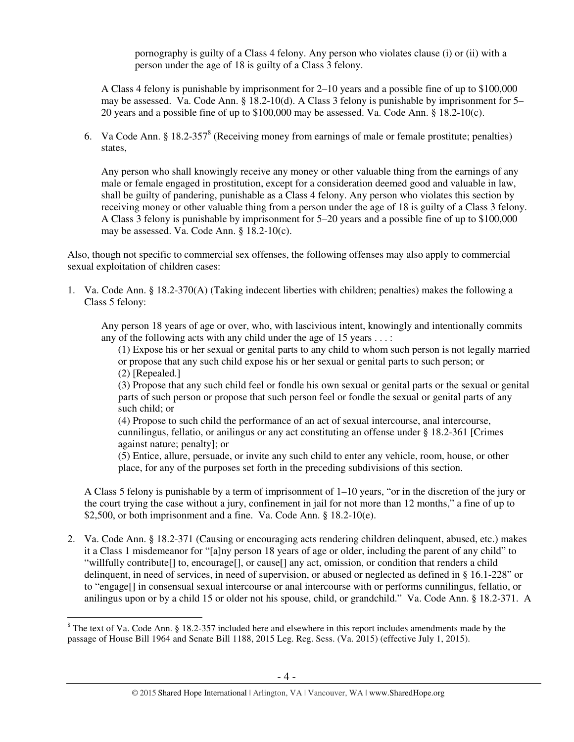pornography is guilty of a Class 4 felony. Any person who violates clause (i) or (ii) with a person under the age of 18 is guilty of a Class 3 felony.

A Class 4 felony is punishable by imprisonment for 2–10 years and a possible fine of up to \$100,000 may be assessed. Va. Code Ann. § 18.2-10(d). A Class 3 felony is punishable by imprisonment for 5– 20 years and a possible fine of up to \$100,000 may be assessed. Va. Code Ann. § 18.2-10(c).

6. Va Code Ann. § 18.2-357 $^8$  (Receiving money from earnings of male or female prostitute; penalties) states,

Any person who shall knowingly receive any money or other valuable thing from the earnings of any male or female engaged in prostitution, except for a consideration deemed good and valuable in law, shall be guilty of pandering, punishable as a Class 4 felony. Any person who violates this section by receiving money or other valuable thing from a person under the age of 18 is guilty of a Class 3 felony. A Class 3 felony is punishable by imprisonment for 5–20 years and a possible fine of up to \$100,000 may be assessed. Va. Code Ann. § 18.2-10(c).

Also, though not specific to commercial sex offenses, the following offenses may also apply to commercial sexual exploitation of children cases:

1. Va. Code Ann. § 18.2-370(A) (Taking indecent liberties with children; penalties) makes the following a Class 5 felony:

Any person 18 years of age or over, who, with lascivious intent, knowingly and intentionally commits any of the following acts with any child under the age of 15 years  $\dots$ :

(1) Expose his or her sexual or genital parts to any child to whom such person is not legally married or propose that any such child expose his or her sexual or genital parts to such person; or (2) [Repealed.]

(3) Propose that any such child feel or fondle his own sexual or genital parts or the sexual or genital parts of such person or propose that such person feel or fondle the sexual or genital parts of any such child; or

(4) Propose to such child the performance of an act of sexual intercourse, anal intercourse, cunnilingus, fellatio, or anilingus or any act constituting an offense under § 18.2-361 [Crimes against nature; penalty]; or

(5) Entice, allure, persuade, or invite any such child to enter any vehicle, room, house, or other place, for any of the purposes set forth in the preceding subdivisions of this section.

A Class 5 felony is punishable by a term of imprisonment of 1–10 years, "or in the discretion of the jury or the court trying the case without a jury, confinement in jail for not more than 12 months," a fine of up to \$2,500, or both imprisonment and a fine. Va. Code Ann. § 18.2-10(e).

2. Va. Code Ann. § 18.2-371 (Causing or encouraging acts rendering children delinquent, abused, etc.) makes it a Class 1 misdemeanor for "[a]ny person 18 years of age or older, including the parent of any child" to "willfully contribute[] to, encourage[], or cause[] any act, omission, or condition that renders a child delinquent, in need of services, in need of supervision, or abused or neglected as defined in § 16.1-228" or to "engage[] in consensual sexual intercourse or anal intercourse with or performs cunnilingus, fellatio, or anilingus upon or by a child 15 or older not his spouse, child, or grandchild." Va. Code Ann. § 18.2-371. A

 $8$  The text of Va. Code Ann. § 18.2-357 included here and elsewhere in this report includes amendments made by the passage of House Bill 1964 and Senate Bill 1188, 2015 Leg. Reg. Sess. (Va. 2015) (effective July 1, 2015).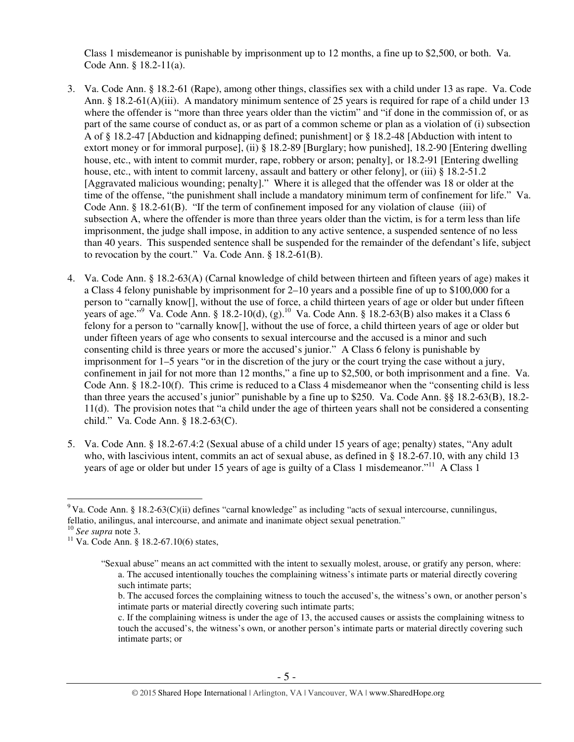Class 1 misdemeanor is punishable by imprisonment up to 12 months, a fine up to \$2,500, or both. Va. Code Ann. § 18.2-11(a).

- 3. Va. Code Ann. § 18.2-61 (Rape), among other things, classifies sex with a child under 13 as rape. Va. Code Ann. § 18.2-61(A)(iii). A mandatory minimum sentence of 25 years is required for rape of a child under 13 where the offender is "more than three years older than the victim" and "if done in the commission of, or as part of the same course of conduct as, or as part of a common scheme or plan as a violation of (i) subsection A of § 18.2-47 [Abduction and kidnapping defined; punishment] or § 18.2-48 [Abduction with intent to extort money or for immoral purpose], (ii) § 18.2-89 [Burglary; how punished], 18.2-90 [Entering dwelling house, etc., with intent to commit murder, rape, robbery or arson; penalty], or 18.2-91 [Entering dwelling house, etc., with intent to commit larceny, assault and battery or other felony], or (iii) § 18.2-51.2 [Aggravated malicious wounding; penalty]." Where it is alleged that the offender was 18 or older at the time of the offense, "the punishment shall include a mandatory minimum term of confinement for life." Va. Code Ann. § 18.2-61(B). "If the term of confinement imposed for any violation of clause (iii) of subsection A, where the offender is more than three years older than the victim, is for a term less than life imprisonment, the judge shall impose, in addition to any active sentence, a suspended sentence of no less than 40 years. This suspended sentence shall be suspended for the remainder of the defendant's life, subject to revocation by the court." Va. Code Ann. § 18.2-61(B).
- 4. Va. Code Ann. § 18.2-63(A) (Carnal knowledge of child between thirteen and fifteen years of age) makes it a Class 4 felony punishable by imprisonment for 2–10 years and a possible fine of up to \$100,000 for a person to "carnally know[], without the use of force, a child thirteen years of age or older but under fifteen years of age."<sup>9</sup> Va. Code Ann. § 18.2-10(d), (g).<sup>10</sup> Va. Code Ann. § 18.2-63(B) also makes it a Class 6 felony for a person to "carnally know[], without the use of force, a child thirteen years of age or older but under fifteen years of age who consents to sexual intercourse and the accused is a minor and such consenting child is three years or more the accused's junior." A Class 6 felony is punishable by imprisonment for 1–5 years "or in the discretion of the jury or the court trying the case without a jury, confinement in jail for not more than 12 months," a fine up to \$2,500, or both imprisonment and a fine. Va. Code Ann. § 18.2-10(f). This crime is reduced to a Class 4 misdemeanor when the "consenting child is less than three years the accused's junior" punishable by a fine up to \$250. Va. Code Ann. §§ 18.2-63(B), 18.2- 11(d). The provision notes that "a child under the age of thirteen years shall not be considered a consenting child." Va. Code Ann. § 18.2-63(C).
- 5. Va. Code Ann. § 18.2-67.4:2 (Sexual abuse of a child under 15 years of age; penalty) states, "Any adult who, with lascivious intent, commits an act of sexual abuse, as defined in § 18.2-67.10, with any child 13 years of age or older but under 15 years of age is guilty of a Class 1 misdemeanor."<sup>11</sup> A Class 1

<sup>&</sup>lt;sup>9</sup> Va. Code Ann. § 18.2-63(C)(ii) defines "carnal knowledge" as including "acts of sexual intercourse, cunnilingus, fellatio, anilingus, anal intercourse, and animate and inanimate object sexual penetration."

<sup>10</sup> *See supra* note 3.

<sup>&</sup>lt;sup>11</sup> Va. Code Ann. § 18.2-67.10(6) states,

<sup>&</sup>quot;Sexual abuse" means an act committed with the intent to sexually molest, arouse, or gratify any person, where: a. The accused intentionally touches the complaining witness's intimate parts or material directly covering such intimate parts;

b. The accused forces the complaining witness to touch the accused's, the witness's own, or another person's intimate parts or material directly covering such intimate parts;

c. If the complaining witness is under the age of 13, the accused causes or assists the complaining witness to touch the accused's, the witness's own, or another person's intimate parts or material directly covering such intimate parts; or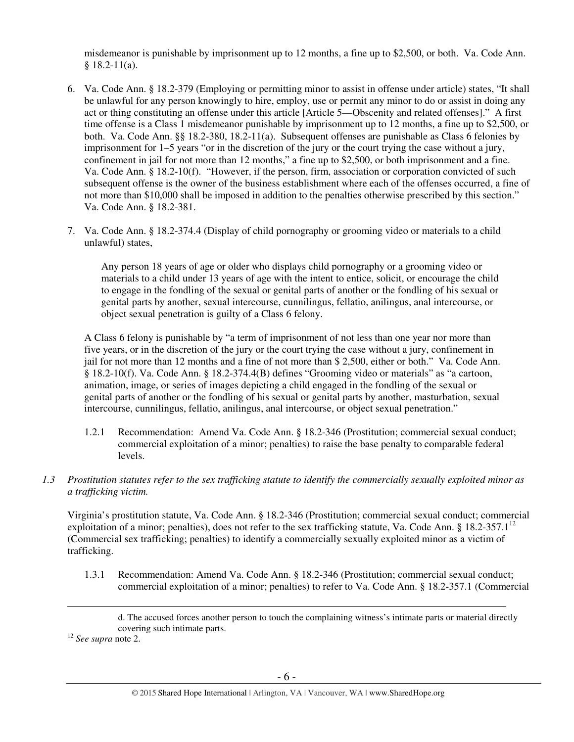misdemeanor is punishable by imprisonment up to 12 months, a fine up to \$2,500, or both. Va. Code Ann.  $§$  18.2-11(a).

- 6. Va. Code Ann. § 18.2-379 (Employing or permitting minor to assist in offense under article) states, "It shall be unlawful for any person knowingly to hire, employ, use or permit any minor to do or assist in doing any act or thing constituting an offense under this article [Article 5—Obscenity and related offenses]." A first time offense is a Class 1 misdemeanor punishable by imprisonment up to 12 months, a fine up to \$2,500, or both. Va. Code Ann. §§ 18.2-380, 18.2-11(a). Subsequent offenses are punishable as Class 6 felonies by imprisonment for 1–5 years "or in the discretion of the jury or the court trying the case without a jury, confinement in jail for not more than 12 months," a fine up to \$2,500, or both imprisonment and a fine. Va. Code Ann. § 18.2-10(f). "However, if the person, firm, association or corporation convicted of such subsequent offense is the owner of the business establishment where each of the offenses occurred, a fine of not more than \$10,000 shall be imposed in addition to the penalties otherwise prescribed by this section." Va. Code Ann. § 18.2-381.
- 7. Va. Code Ann. § 18.2-374.4 (Display of child pornography or grooming video or materials to a child unlawful) states,

Any person 18 years of age or older who displays child pornography or a grooming video or materials to a child under 13 years of age with the intent to entice, solicit, or encourage the child to engage in the fondling of the sexual or genital parts of another or the fondling of his sexual or genital parts by another, sexual intercourse, cunnilingus, fellatio, anilingus, anal intercourse, or object sexual penetration is guilty of a Class 6 felony.

A Class 6 felony is punishable by "a term of imprisonment of not less than one year nor more than five years, or in the discretion of the jury or the court trying the case without a jury, confinement in jail for not more than 12 months and a fine of not more than \$ 2,500, either or both." Va. Code Ann. § 18.2-10(f). Va. Code Ann. § 18.2-374.4(B) defines "Grooming video or materials" as "a cartoon, animation, image, or series of images depicting a child engaged in the fondling of the sexual or genital parts of another or the fondling of his sexual or genital parts by another, masturbation, sexual intercourse, cunnilingus, fellatio, anilingus, anal intercourse, or object sexual penetration."

- 1.2.1 Recommendation: Amend Va. Code Ann. § 18.2-346 (Prostitution; commercial sexual conduct; commercial exploitation of a minor; penalties) to raise the base penalty to comparable federal levels.
- *1.3 Prostitution statutes refer to the sex trafficking statute to identify the commercially sexually exploited minor as a trafficking victim.*

Virginia's prostitution statute, Va. Code Ann. § 18.2-346 (Prostitution; commercial sexual conduct; commercial exploitation of a minor; penalties), does not refer to the sex trafficking statute, Va. Code Ann.  $\S 18.2\n-357.1<sup>12</sup>$ (Commercial sex trafficking; penalties) to identify a commercially sexually exploited minor as a victim of trafficking.

1.3.1 Recommendation: Amend Va. Code Ann. § 18.2-346 (Prostitution; commercial sexual conduct; commercial exploitation of a minor; penalties) to refer to Va. Code Ann. § 18.2-357.1 (Commercial

d. The accused forces another person to touch the complaining witness's intimate parts or material directly covering such intimate parts.

<sup>12</sup> *See supra* note 2.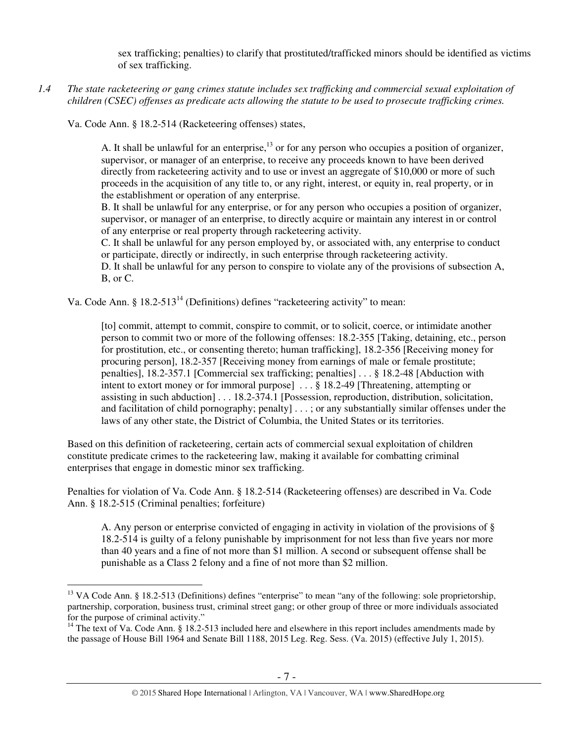sex trafficking; penalties) to clarify that prostituted/trafficked minors should be identified as victims of sex trafficking.

*1.4 The state racketeering or gang crimes statute includes sex trafficking and commercial sexual exploitation of children (CSEC) offenses as predicate acts allowing the statute to be used to prosecute trafficking crimes.* 

Va. Code Ann. § 18.2-514 (Racketeering offenses) states,

A. It shall be unlawful for an enterprise,  $^{13}$  or for any person who occupies a position of organizer, supervisor, or manager of an enterprise, to receive any proceeds known to have been derived directly from racketeering activity and to use or invest an aggregate of \$10,000 or more of such proceeds in the acquisition of any title to, or any right, interest, or equity in, real property, or in the establishment or operation of any enterprise.

B. It shall be unlawful for any enterprise, or for any person who occupies a position of organizer, supervisor, or manager of an enterprise, to directly acquire or maintain any interest in or control of any enterprise or real property through racketeering activity.

C. It shall be unlawful for any person employed by, or associated with, any enterprise to conduct or participate, directly or indirectly, in such enterprise through racketeering activity.

D. It shall be unlawful for any person to conspire to violate any of the provisions of subsection A, B, or C.

Va. Code Ann. § 18.2-513<sup>14</sup> (Definitions) defines "racketeering activity" to mean:

[to] commit, attempt to commit, conspire to commit, or to solicit, coerce, or intimidate another person to commit two or more of the following offenses: 18.2-355 [Taking, detaining, etc., person for prostitution, etc., or consenting thereto; human trafficking], 18.2-356 [Receiving money for procuring person], 18.2-357 [Receiving money from earnings of male or female prostitute; penalties], 18.2-357.1 [Commercial sex trafficking; penalties] . . . § 18.2-48 [Abduction with intent to extort money or for immoral purpose] . . . § 18.2-49 [Threatening, attempting or assisting in such abduction] . . . 18.2-374.1 [Possession, reproduction, distribution, solicitation, and facilitation of child pornography; penalty] . . . ; or any substantially similar offenses under the laws of any other state, the District of Columbia, the United States or its territories.

Based on this definition of racketeering, certain acts of commercial sexual exploitation of children constitute predicate crimes to the racketeering law, making it available for combatting criminal enterprises that engage in domestic minor sex trafficking.

Penalties for violation of Va. Code Ann. § 18.2-514 (Racketeering offenses) are described in Va. Code Ann. § 18.2-515 (Criminal penalties; forfeiture)

A. Any person or enterprise convicted of engaging in activity in violation of the provisions of § 18.2-514 is guilty of a felony punishable by imprisonment for not less than five years nor more than 40 years and a fine of not more than \$1 million. A second or subsequent offense shall be punishable as a Class 2 felony and a fine of not more than \$2 million.

 $\overline{a}$ <sup>13</sup> VA Code Ann. § 18.2-513 (Definitions) defines "enterprise" to mean "any of the following: sole proprietorship, partnership, corporation, business trust, criminal street gang; or other group of three or more individuals associated for the purpose of criminal activity."

<sup>&</sup>lt;sup>14</sup> The text of Va. Code Ann. § 18.2-513 included here and elsewhere in this report includes amendments made by the passage of House Bill 1964 and Senate Bill 1188, 2015 Leg. Reg. Sess. (Va. 2015) (effective July 1, 2015).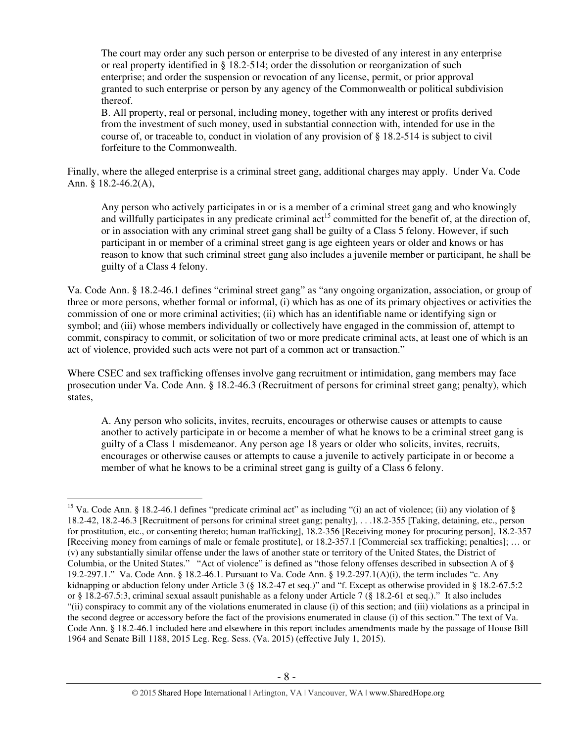The court may order any such person or enterprise to be divested of any interest in any enterprise or real property identified in § 18.2-514; order the dissolution or reorganization of such enterprise; and order the suspension or revocation of any license, permit, or prior approval granted to such enterprise or person by any agency of the Commonwealth or political subdivision thereof.

B. All property, real or personal, including money, together with any interest or profits derived from the investment of such money, used in substantial connection with, intended for use in the course of, or traceable to, conduct in violation of any provision of § 18.2-514 is subject to civil forfeiture to the Commonwealth.

Finally, where the alleged enterprise is a criminal street gang, additional charges may apply. Under Va. Code Ann. § 18.2-46.2(A),

Any person who actively participates in or is a member of a criminal street gang and who knowingly and willfully participates in any predicate criminal  $\text{act}^{15}$  committed for the benefit of, at the direction of, or in association with any criminal street gang shall be guilty of a Class 5 felony. However, if such participant in or member of a criminal street gang is age eighteen years or older and knows or has reason to know that such criminal street gang also includes a juvenile member or participant, he shall be guilty of a Class 4 felony.

Va. Code Ann. § 18.2-46.1 defines "criminal street gang" as "any ongoing organization, association, or group of three or more persons, whether formal or informal, (i) which has as one of its primary objectives or activities the commission of one or more criminal activities; (ii) which has an identifiable name or identifying sign or symbol; and (iii) whose members individually or collectively have engaged in the commission of, attempt to commit, conspiracy to commit, or solicitation of two or more predicate criminal acts, at least one of which is an act of violence, provided such acts were not part of a common act or transaction."

Where CSEC and sex trafficking offenses involve gang recruitment or intimidation, gang members may face prosecution under Va. Code Ann. § 18.2-46.3 (Recruitment of persons for criminal street gang; penalty), which states,

A. Any person who solicits, invites, recruits, encourages or otherwise causes or attempts to cause another to actively participate in or become a member of what he knows to be a criminal street gang is guilty of a Class 1 misdemeanor. Any person age 18 years or older who solicits, invites, recruits, encourages or otherwise causes or attempts to cause a juvenile to actively participate in or become a member of what he knows to be a criminal street gang is guilty of a Class 6 felony.

 $\overline{a}$ <sup>15</sup> Va. Code Ann. § 18.2-46.1 defines "predicate criminal act" as including "(i) an act of violence; (ii) any violation of § 18.2-42, 18.2-46.3 [Recruitment of persons for criminal street gang; penalty], . . .18.2-355 [Taking, detaining, etc., person for prostitution, etc., or consenting thereto; human trafficking], 18.2-356 [Receiving money for procuring person], 18.2-357 [Receiving money from earnings of male or female prostitute], or 18.2-357.1 [Commercial sex trafficking; penalties]; … or (v) any substantially similar offense under the laws of another state or territory of the United States, the District of Columbia, or the United States." "Act of violence" is defined as "those felony offenses described in subsection A of § 19.2-297.1." Va. Code Ann. § 18.2-46.1. Pursuant to Va. Code Ann. § 19.2-297.1(A)(i), the term includes "c. Any kidnapping or abduction felony under Article 3 (§ 18.2-47 et seq.)" and "f. Except as otherwise provided in § 18.2-67.5:2 or § 18.2-67.5:3, criminal sexual assault punishable as a felony under Article 7 (§ 18.2-61 et seq.)." It also includes "(ii) conspiracy to commit any of the violations enumerated in clause (i) of this section; and (iii) violations as a principal in the second degree or accessory before the fact of the provisions enumerated in clause (i) of this section." The text of Va. Code Ann. § 18.2-46.1 included here and elsewhere in this report includes amendments made by the passage of House Bill 1964 and Senate Bill 1188, 2015 Leg. Reg. Sess. (Va. 2015) (effective July 1, 2015).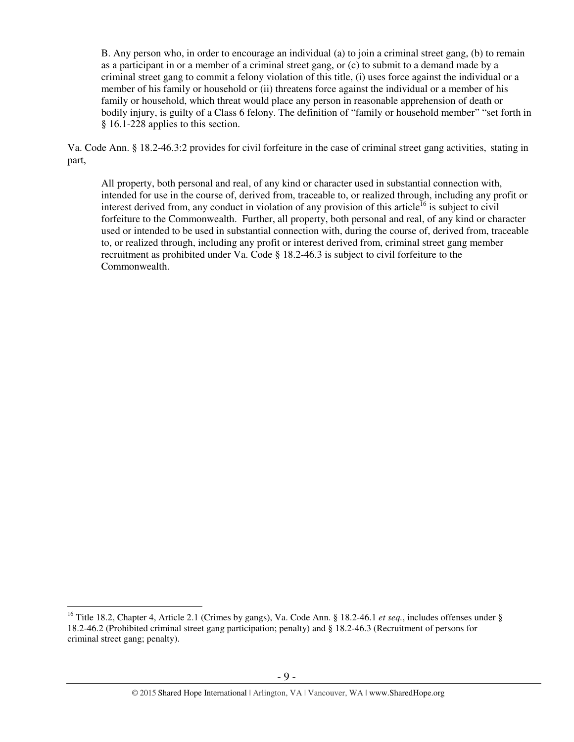B. Any person who, in order to encourage an individual (a) to join a criminal street gang, (b) to remain as a participant in or a member of a criminal street gang, or (c) to submit to a demand made by a criminal street gang to commit a felony violation of this title, (i) uses force against the individual or a member of his family or household or (ii) threatens force against the individual or a member of his family or household, which threat would place any person in reasonable apprehension of death or bodily injury, is guilty of a Class 6 felony. The definition of "family or household member" "set forth in § 16.1-228 applies to this section.

Va. Code Ann. § 18.2-46.3:2 provides for civil forfeiture in the case of criminal street gang activities, stating in part,

All property, both personal and real, of any kind or character used in substantial connection with, intended for use in the course of, derived from, traceable to, or realized through, including any profit or interest derived from, any conduct in violation of any provision of this article<sup>16</sup> is subject to civil forfeiture to the Commonwealth. Further, all property, both personal and real, of any kind or character used or intended to be used in substantial connection with, during the course of, derived from, traceable to, or realized through, including any profit or interest derived from, criminal street gang member recruitment as prohibited under Va. Code § 18.2-46.3 is subject to civil forfeiture to the Commonwealth.

<sup>16</sup> Title 18.2, Chapter 4, Article 2.1 (Crimes by gangs), Va. Code Ann. § 18.2-46.1 *et seq.*, includes offenses under § 18.2-46.2 (Prohibited criminal street gang participation; penalty) and § 18.2-46.3 (Recruitment of persons for criminal street gang; penalty).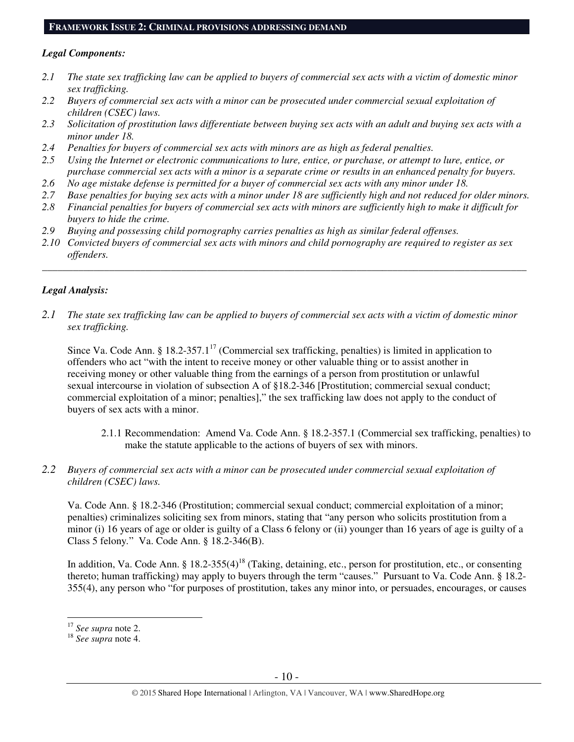#### **FRAMEWORK ISSUE 2: CRIMINAL PROVISIONS ADDRESSING DEMAND**

#### *Legal Components:*

- *2.1 The state sex trafficking law can be applied to buyers of commercial sex acts with a victim of domestic minor sex trafficking.*
- *2.2 Buyers of commercial sex acts with a minor can be prosecuted under commercial sexual exploitation of children (CSEC) laws.*
- *2.3 Solicitation of prostitution laws differentiate between buying sex acts with an adult and buying sex acts with a minor under 18.*
- *2.4 Penalties for buyers of commercial sex acts with minors are as high as federal penalties.*
- *2.5 Using the Internet or electronic communications to lure, entice, or purchase, or attempt to lure, entice, or purchase commercial sex acts with a minor is a separate crime or results in an enhanced penalty for buyers.*
- *2.6 No age mistake defense is permitted for a buyer of commercial sex acts with any minor under 18.*
- *2.7 Base penalties for buying sex acts with a minor under 18 are sufficiently high and not reduced for older minors.*
- *2.8 Financial penalties for buyers of commercial sex acts with minors are sufficiently high to make it difficult for buyers to hide the crime.*
- *2.9 Buying and possessing child pornography carries penalties as high as similar federal offenses.*
- *2.10 Convicted buyers of commercial sex acts with minors and child pornography are required to register as sex offenders.*

\_\_\_\_\_\_\_\_\_\_\_\_\_\_\_\_\_\_\_\_\_\_\_\_\_\_\_\_\_\_\_\_\_\_\_\_\_\_\_\_\_\_\_\_\_\_\_\_\_\_\_\_\_\_\_\_\_\_\_\_\_\_\_\_\_\_\_\_\_\_\_\_\_\_\_\_\_\_\_\_\_\_\_\_\_\_\_\_\_\_\_\_\_\_

#### *Legal Analysis:*

*2.1 The state sex trafficking law can be applied to buyers of commercial sex acts with a victim of domestic minor sex trafficking.*

Since Va. Code Ann. § 18.2-357.1<sup>17</sup> (Commercial sex trafficking, penalties) is limited in application to offenders who act "with the intent to receive money or other valuable thing or to assist another in receiving money or other valuable thing from the earnings of a person from prostitution or unlawful sexual intercourse in violation of subsection A of §18.2-346 [Prostitution; commercial sexual conduct; commercial exploitation of a minor; penalties]," the sex trafficking law does not apply to the conduct of buyers of sex acts with a minor.

- 2.1.1 Recommendation: Amend Va. Code Ann. § 18.2-357.1 (Commercial sex trafficking, penalties) to make the statute applicable to the actions of buyers of sex with minors.
- *2.2 Buyers of commercial sex acts with a minor can be prosecuted under commercial sexual exploitation of children (CSEC) laws.*

Va. Code Ann. § 18.2-346 (Prostitution; commercial sexual conduct; commercial exploitation of a minor; penalties) criminalizes soliciting sex from minors, stating that "any person who solicits prostitution from a minor (i) 16 years of age or older is guilty of a Class 6 felony or (ii) younger than 16 years of age is guilty of a Class 5 felony*.*" Va. Code Ann. § 18.2-346(B).

In addition, Va. Code Ann. § 18.2-355(4)<sup>18</sup> (Taking, detaining, etc., person for prostitution, etc., or consenting thereto; human trafficking) may apply to buyers through the term "causes." Pursuant to Va. Code Ann. § 18.2- 355(4), any person who "for purposes of prostitution, takes any minor into, or persuades, encourages, or causes

<sup>17</sup> *See supra* note 2.

<sup>18</sup> *See supra* note 4.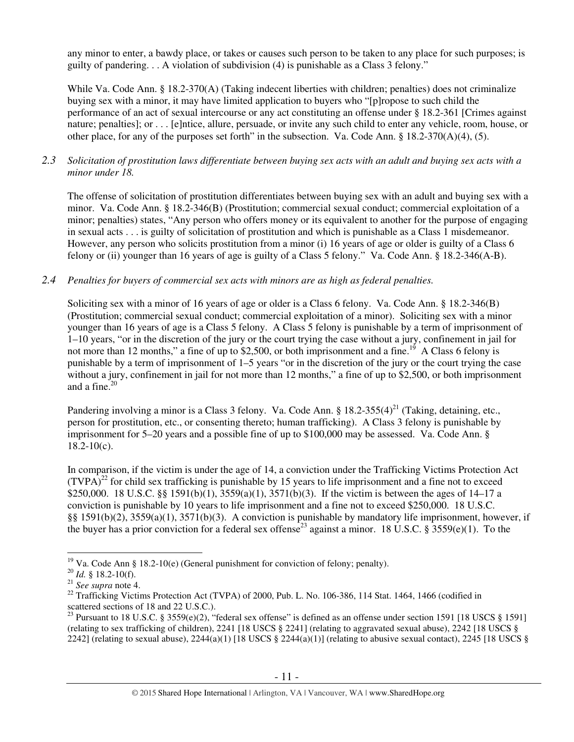any minor to enter, a bawdy place, or takes or causes such person to be taken to any place for such purposes; is guilty of pandering. . . A violation of subdivision (4) is punishable as a Class 3 felony."

While Va. Code Ann. § 18.2-370(A) (Taking indecent liberties with children; penalties) does not criminalize buying sex with a minor, it may have limited application to buyers who "[p]ropose to such child the performance of an act of sexual intercourse or any act constituting an offense under § 18.2-361 [Crimes against nature; penalties]; or . . . [e]ntice, allure, persuade, or invite any such child to enter any vehicle, room, house, or other place, for any of the purposes set forth" in the subsection. Va. Code Ann. §  $18.2-370(A)(4)$ , (5).

*2.3 Solicitation of prostitution laws differentiate between buying sex acts with an adult and buying sex acts with a minor under 18.* 

The offense of solicitation of prostitution differentiates between buying sex with an adult and buying sex with a minor. Va. Code Ann. § 18.2-346(B) (Prostitution; commercial sexual conduct; commercial exploitation of a minor; penalties) states, "Any person who offers money or its equivalent to another for the purpose of engaging in sexual acts . . . is guilty of solicitation of prostitution and which is punishable as a Class 1 misdemeanor. However, any person who solicits prostitution from a minor (i) 16 years of age or older is guilty of a Class 6 felony or (ii) younger than 16 years of age is guilty of a Class 5 felony." Va. Code Ann. § 18.2-346(A-B).

# *2.4 Penalties for buyers of commercial sex acts with minors are as high as federal penalties.*

Soliciting sex with a minor of 16 years of age or older is a Class 6 felony. Va. Code Ann. § 18.2-346(B) (Prostitution; commercial sexual conduct; commercial exploitation of a minor). Soliciting sex with a minor younger than 16 years of age is a Class 5 felony. A Class 5 felony is punishable by a term of imprisonment of 1–10 years, "or in the discretion of the jury or the court trying the case without a jury, confinement in jail for not more than 12 months," a fine of up to \$2,500, or both imprisonment and a fine.<sup>19</sup> A Class 6 felony is punishable by a term of imprisonment of 1–5 years "or in the discretion of the jury or the court trying the case without a jury, confinement in jail for not more than 12 months," a fine of up to \$2,500, or both imprisonment and a fine. $20$ 

Pandering involving a minor is a Class 3 felony. Va. Code Ann. §  $18.2-355(4)^{21}$  (Taking, detaining, etc., person for prostitution, etc., or consenting thereto; human trafficking). A Class 3 felony is punishable by imprisonment for 5–20 years and a possible fine of up to \$100,000 may be assessed. Va. Code Ann. §  $18.2 - 10(c)$ .

In comparison, if the victim is under the age of 14, a conviction under the Trafficking Victims Protection Act  $(TVPA)^{22}$  for child sex trafficking is punishable by 15 years to life imprisonment and a fine not to exceed \$250,000. 18 U.S.C. §§ 1591(b)(1), 3559(a)(1), 3571(b)(3). If the victim is between the ages of 14–17 a conviction is punishable by 10 years to life imprisonment and a fine not to exceed \$250,000. 18 U.S.C. §§ 1591(b)(2), 3559(a)(1), 3571(b)(3). A conviction is punishable by mandatory life imprisonment, however, if the buyer has a prior conviction for a federal sex offense<sup>23</sup> against a minor. 18 U.S.C. § 3559(e)(1). To the

 $\overline{a}$ <sup>19</sup> Va. Code Ann § 18.2-10(e) (General punishment for conviction of felony; penalty).

<sup>20</sup> *Id.* § 18.2-10(f).

<sup>21</sup> *See supra* note 4.

<sup>&</sup>lt;sup>22</sup> Trafficking Victims Protection Act (TVPA) of 2000, Pub. L. No. 106-386, 114 Stat. 1464, 1466 (codified in scattered sections of 18 and 22 U.S.C.).

<sup>&</sup>lt;sup>23</sup> Pursuant to 18 U.S.C. § 3559 $(e)(2)$ , "federal sex offense" is defined as an offense under section 1591 [18 USCS § 1591] (relating to sex trafficking of children), 2241 [18 USCS § 2241] (relating to aggravated sexual abuse), 2242 [18 USCS § 2242] (relating to sexual abuse), 2244(a)(1) [18 USCS § 2244(a)(1)] (relating to abusive sexual contact), 2245 [18 USCS §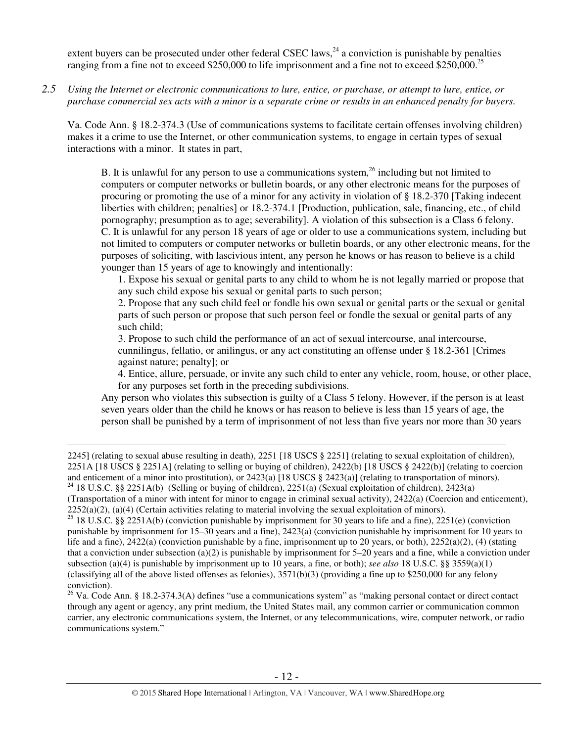extent buyers can be prosecuted under other federal CSEC laws,  $^{24}$  a conviction is punishable by penalties ranging from a fine not to exceed \$250,000 to life imprisonment and a fine not to exceed \$250,000.<sup>25</sup>

*2.5 Using the Internet or electronic communications to lure, entice, or purchase, or attempt to lure, entice, or purchase commercial sex acts with a minor is a separate crime or results in an enhanced penalty for buyers.* 

Va. Code Ann. § 18.2-374.3 (Use of communications systems to facilitate certain offenses involving children) makes it a crime to use the Internet, or other communication systems, to engage in certain types of sexual interactions with a minor. It states in part,

B. It is unlawful for any person to use a communications system,  $^{26}$  including but not limited to computers or computer networks or bulletin boards, or any other electronic means for the purposes of procuring or promoting the use of a minor for any activity in violation of § 18.2-370 [Taking indecent liberties with children; penalties] or 18.2-374.1 [Production, publication, sale, financing, etc., of child pornography; presumption as to age; severability]. A violation of this subsection is a Class 6 felony. C. It is unlawful for any person 18 years of age or older to use a communications system, including but not limited to computers or computer networks or bulletin boards, or any other electronic means, for the purposes of soliciting, with lascivious intent, any person he knows or has reason to believe is a child younger than 15 years of age to knowingly and intentionally:

1. Expose his sexual or genital parts to any child to whom he is not legally married or propose that any such child expose his sexual or genital parts to such person;

2. Propose that any such child feel or fondle his own sexual or genital parts or the sexual or genital parts of such person or propose that such person feel or fondle the sexual or genital parts of any such child;

3. Propose to such child the performance of an act of sexual intercourse, anal intercourse, cunnilingus, fellatio, or anilingus, or any act constituting an offense under § 18.2-361 [Crimes against nature; penalty]; or

4. Entice, allure, persuade, or invite any such child to enter any vehicle, room, house, or other place, for any purposes set forth in the preceding subdivisions.

Any person who violates this subsection is guilty of a Class 5 felony. However, if the person is at least seven years older than the child he knows or has reason to believe is less than 15 years of age, the person shall be punished by a term of imprisonment of not less than five years nor more than 30 years

2245] (relating to sexual abuse resulting in death), 2251 [18 USCS § 2251] (relating to sexual exploitation of children), 2251A [18 USCS § 2251A] (relating to selling or buying of children), 2422(b) [18 USCS § 2422(b)] (relating to coercion and enticement of a minor into prostitution), or 2423(a) [18 USCS  $\S$  2423(a)] (relating to transportation of minors). <sup>24</sup> 18 U.S.C. §§ 2251A(b) (Selling or buying of children), 2251(a) (Sexual exploitation of children), 2423(a)

 $\overline{a}$ 

(Transportation of a minor with intent for minor to engage in criminal sexual activity), 2422(a) (Coercion and enticement),  $2252(a)(2)$ ,  $(a)(4)$  (Certain activities relating to material involving the sexual exploitation of minors).

<sup>25</sup> 18 U.S.C. §§ 2251A(b) (conviction punishable by imprisonment for 30 years to life and a fine), 2251(e) (conviction punishable by imprisonment for 15–30 years and a fine), 2423(a) (conviction punishable by imprisonment for 10 years to life and a fine),  $2422(a)$  (conviction punishable by a fine, imprisonment up to 20 years, or both),  $2252(a)(2)$ , (4) (stating that a conviction under subsection (a)(2) is punishable by imprisonment for  $5-20$  years and a fine, while a conviction under subsection (a)(4) is punishable by imprisonment up to 10 years, a fine, or both); *see also* 18 U.S.C. §§ 3559(a)(1) (classifying all of the above listed offenses as felonies),  $3571(b)(3)$  (providing a fine up to \$250,000 for any felony conviction).

<sup>26</sup> Va. Code Ann. § 18.2-374.3(A) defines "use a communications system" as "making personal contact or direct contact through any agent or agency, any print medium, the United States mail, any common carrier or communication common carrier, any electronic communications system, the Internet, or any telecommunications, wire, computer network, or radio communications system."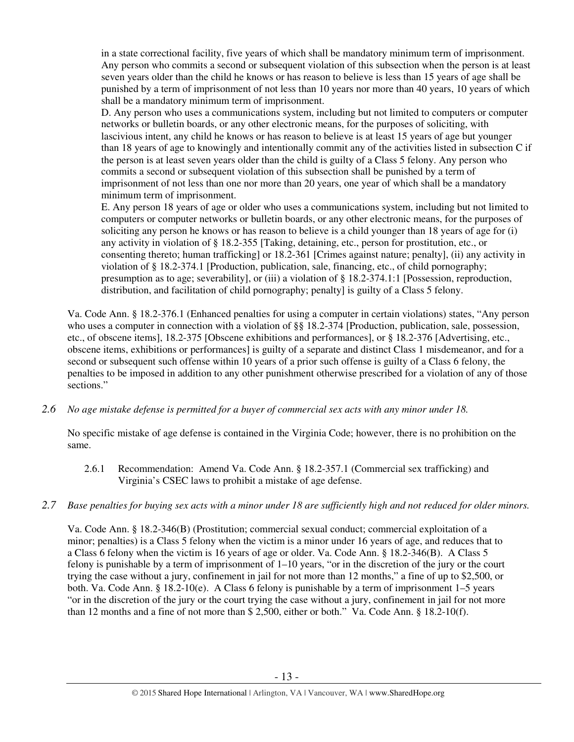in a state correctional facility, five years of which shall be mandatory minimum term of imprisonment. Any person who commits a second or subsequent violation of this subsection when the person is at least seven years older than the child he knows or has reason to believe is less than 15 years of age shall be punished by a term of imprisonment of not less than 10 years nor more than 40 years, 10 years of which shall be a mandatory minimum term of imprisonment.

D. Any person who uses a communications system, including but not limited to computers or computer networks or bulletin boards, or any other electronic means, for the purposes of soliciting, with lascivious intent, any child he knows or has reason to believe is at least 15 years of age but younger than 18 years of age to knowingly and intentionally commit any of the activities listed in subsection C if the person is at least seven years older than the child is guilty of a Class 5 felony. Any person who commits a second or subsequent violation of this subsection shall be punished by a term of imprisonment of not less than one nor more than 20 years, one year of which shall be a mandatory minimum term of imprisonment.

E. Any person 18 years of age or older who uses a communications system, including but not limited to computers or computer networks or bulletin boards, or any other electronic means, for the purposes of soliciting any person he knows or has reason to believe is a child younger than 18 years of age for (i) any activity in violation of § 18.2-355 [Taking, detaining, etc., person for prostitution, etc., or consenting thereto; human trafficking] or 18.2-361 [Crimes against nature; penalty], (ii) any activity in violation of § 18.2-374.1 [Production, publication, sale, financing, etc., of child pornography; presumption as to age; severability], or (iii) a violation of § 18.2-374.1:1 [Possession, reproduction, distribution, and facilitation of child pornography; penalty] is guilty of a Class 5 felony.

Va. Code Ann. § 18.2-376.1 (Enhanced penalties for using a computer in certain violations) states, "Any person who uses a computer in connection with a violation of §§ 18.2-374 [Production, publication, sale, possession, etc., of obscene items], 18.2-375 [Obscene exhibitions and performances], or § 18.2-376 [Advertising, etc., obscene items, exhibitions or performances] is guilty of a separate and distinct Class 1 misdemeanor, and for a second or subsequent such offense within 10 years of a prior such offense is guilty of a Class 6 felony, the penalties to be imposed in addition to any other punishment otherwise prescribed for a violation of any of those sections."

*2.6 No age mistake defense is permitted for a buyer of commercial sex acts with any minor under 18.* 

No specific mistake of age defense is contained in the Virginia Code; however, there is no prohibition on the same.

- 2.6.1 Recommendation: Amend Va. Code Ann. § 18.2-357.1 (Commercial sex trafficking) and Virginia's CSEC laws to prohibit a mistake of age defense.
- *2.7 Base penalties for buying sex acts with a minor under 18 are sufficiently high and not reduced for older minors.*

Va. Code Ann. § 18.2-346(B) (Prostitution; commercial sexual conduct; commercial exploitation of a minor; penalties) is a Class 5 felony when the victim is a minor under 16 years of age, and reduces that to a Class 6 felony when the victim is 16 years of age or older. Va. Code Ann. § 18.2-346(B). A Class 5 felony is punishable by a term of imprisonment of 1–10 years, "or in the discretion of the jury or the court trying the case without a jury, confinement in jail for not more than 12 months," a fine of up to \$2,500, or both. Va. Code Ann. § 18.2-10(e). A Class 6 felony is punishable by a term of imprisonment 1–5 years "or in the discretion of the jury or the court trying the case without a jury, confinement in jail for not more than 12 months and a fine of not more than \$ 2,500, either or both." Va. Code Ann. § 18.2-10(f).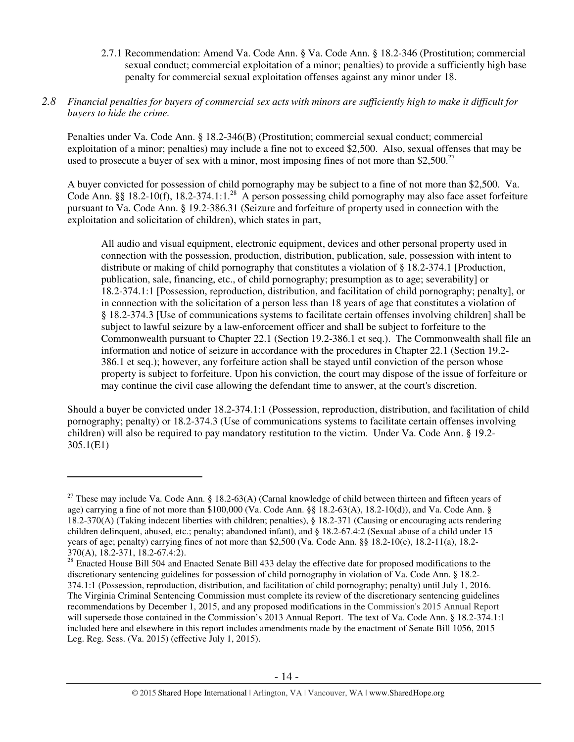2.7.1 Recommendation: Amend Va. Code Ann. § Va. Code Ann. § 18.2-346 (Prostitution; commercial sexual conduct; commercial exploitation of a minor; penalties) to provide a sufficiently high base penalty for commercial sexual exploitation offenses against any minor under 18.

## *2.8 Financial penalties for buyers of commercial sex acts with minors are sufficiently high to make it difficult for buyers to hide the crime.*

Penalties under Va. Code Ann. § 18.2-346(B) (Prostitution; commercial sexual conduct; commercial exploitation of a minor; penalties) may include a fine not to exceed \$2,500. Also, sexual offenses that may be used to prosecute a buyer of sex with a minor, most imposing fines of not more than \$2,500. $^{27}$ 

A buyer convicted for possession of child pornography may be subject to a fine of not more than \$2,500. Va. Code Ann. §§ 18.2-10(f), 18.2-374.1:1.<sup>28</sup> A person possessing child pornography may also face asset forfeiture pursuant to Va. Code Ann. § 19.2-386.31 (Seizure and forfeiture of property used in connection with the exploitation and solicitation of children), which states in part,

All audio and visual equipment, electronic equipment, devices and other personal property used in connection with the possession, production, distribution, publication, sale, possession with intent to distribute or making of child pornography that constitutes a violation of § 18.2-374.1 [Production, publication, sale, financing, etc., of child pornography; presumption as to age; severability] or 18.2-374.1:1 [Possession, reproduction, distribution, and facilitation of child pornography; penalty], or in connection with the solicitation of a person less than 18 years of age that constitutes a violation of § 18.2-374.3 [Use of communications systems to facilitate certain offenses involving children] shall be subject to lawful seizure by a law-enforcement officer and shall be subject to forfeiture to the Commonwealth pursuant to Chapter 22.1 (Section 19.2-386.1 et seq.). The Commonwealth shall file an information and notice of seizure in accordance with the procedures in Chapter 22.1 (Section 19.2- 386.1 et seq.); however, any forfeiture action shall be stayed until conviction of the person whose property is subject to forfeiture. Upon his conviction, the court may dispose of the issue of forfeiture or may continue the civil case allowing the defendant time to answer, at the court's discretion.

Should a buyer be convicted under 18.2-374.1:1 (Possession, reproduction, distribution, and facilitation of child pornography; penalty) or 18.2-374.3 (Use of communications systems to facilitate certain offenses involving children) will also be required to pay mandatory restitution to the victim. Under Va. Code Ann. § 19.2- 305.1(E1)

<sup>&</sup>lt;sup>27</sup> These may include Va. Code Ann. § 18.2-63(A) (Carnal knowledge of child between thirteen and fifteen years of age) carrying a fine of not more than \$100,000 (Va. Code Ann. §§ 18.2-63(A), 18.2-10(d)), and Va. Code Ann. § 18.2-370(A) (Taking indecent liberties with children; penalties), § 18.2-371 (Causing or encouraging acts rendering children delinquent, abused, etc.; penalty; abandoned infant), and § 18.2-67.4:2 (Sexual abuse of a child under 15 years of age; penalty) carrying fines of not more than \$2,500 (Va. Code Ann. §§ 18.2-10(e), 18.2-11(a), 18.2- 370(A), 18.2-371, 18.2-67.4:2).

<sup>&</sup>lt;sup>28</sup> Enacted House Bill 504 and Enacted Senate Bill 433 delay the effective date for proposed modifications to the discretionary sentencing guidelines for possession of child pornography in violation of Va. Code Ann. § 18.2- 374.1:1 (Possession, reproduction, distribution, and facilitation of child pornography; penalty) until July 1, 2016. The Virginia Criminal Sentencing Commission must complete its review of the discretionary sentencing guidelines recommendations by December 1, 2015, and any proposed modifications in the Commission's 2015 Annual Report will supersede those contained in the Commission's 2013 Annual Report. The text of Va. Code Ann. § 18.2-374.1:1 included here and elsewhere in this report includes amendments made by the enactment of Senate Bill 1056, 2015 Leg. Reg. Sess. (Va. 2015) (effective July 1, 2015).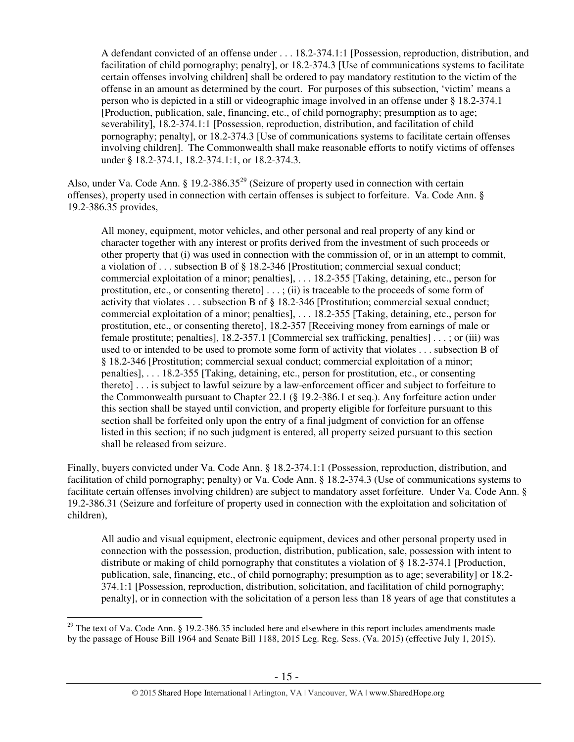A defendant convicted of an offense under . . . 18.2-374.1:1 [Possession, reproduction, distribution, and facilitation of child pornography; penalty], or 18.2-374.3 [Use of communications systems to facilitate certain offenses involving children] shall be ordered to pay mandatory restitution to the victim of the offense in an amount as determined by the court. For purposes of this subsection, 'victim' means a person who is depicted in a still or videographic image involved in an offense under § 18.2-374.1 [Production, publication, sale, financing, etc., of child pornography; presumption as to age; severability], 18.2-374.1:1 [Possession, reproduction, distribution, and facilitation of child pornography; penalty], or 18.2-374.3 [Use of communications systems to facilitate certain offenses involving children]. The Commonwealth shall make reasonable efforts to notify victims of offenses under § 18.2-374.1, 18.2-374.1:1, or 18.2-374.3.

Also, under Va. Code Ann. § 19.2-386.35<sup>29</sup> (Seizure of property used in connection with certain offenses), property used in connection with certain offenses is subject to forfeiture. Va. Code Ann. § 19.2-386.35 provides,

All money, equipment, motor vehicles, and other personal and real property of any kind or character together with any interest or profits derived from the investment of such proceeds or other property that (i) was used in connection with the commission of, or in an attempt to commit, a violation of . . . subsection B of § 18.2-346 [Prostitution; commercial sexual conduct; commercial exploitation of a minor; penalties], . . . 18.2-355 [Taking, detaining, etc., person for prostitution, etc., or consenting thereto]  $\dots$ ; (ii) is traceable to the proceeds of some form of activity that violates . . . subsection B of § 18.2-346 [Prostitution; commercial sexual conduct; commercial exploitation of a minor; penalties], . . . 18.2-355 [Taking, detaining, etc., person for prostitution, etc., or consenting thereto], 18.2-357 [Receiving money from earnings of male or female prostitute; penalties], 18.2-357.1 [Commercial sex trafficking, penalties] . . . ; or (iii) was used to or intended to be used to promote some form of activity that violates . . . subsection B of § 18.2-346 [Prostitution; commercial sexual conduct; commercial exploitation of a minor; penalties], . . . 18.2-355 [Taking, detaining, etc., person for prostitution, etc., or consenting thereto] . . . is subject to lawful seizure by a law-enforcement officer and subject to forfeiture to the Commonwealth pursuant to Chapter 22.1 (§ 19.2-386.1 et seq.). Any forfeiture action under this section shall be stayed until conviction, and property eligible for forfeiture pursuant to this section shall be forfeited only upon the entry of a final judgment of conviction for an offense listed in this section; if no such judgment is entered, all property seized pursuant to this section shall be released from seizure.

Finally, buyers convicted under Va. Code Ann. § 18.2-374.1:1 (Possession, reproduction, distribution, and facilitation of child pornography; penalty) or Va. Code Ann. § 18.2-374.3 (Use of communications systems to facilitate certain offenses involving children) are subject to mandatory asset forfeiture. Under Va. Code Ann. § 19.2-386.31 (Seizure and forfeiture of property used in connection with the exploitation and solicitation of children),

All audio and visual equipment, electronic equipment, devices and other personal property used in connection with the possession, production, distribution, publication, sale, possession with intent to distribute or making of child pornography that constitutes a violation of § 18.2-374.1 [Production, publication, sale, financing, etc., of child pornography; presumption as to age; severability] or 18.2- 374.1:1 [Possession, reproduction, distribution, solicitation, and facilitation of child pornography; penalty], or in connection with the solicitation of a person less than 18 years of age that constitutes a

 $\overline{a}$ <sup>29</sup> The text of Va. Code Ann.  $\S$  19.2-386.35 included here and elsewhere in this report includes amendments made by the passage of House Bill 1964 and Senate Bill 1188, 2015 Leg. Reg. Sess. (Va. 2015) (effective July 1, 2015).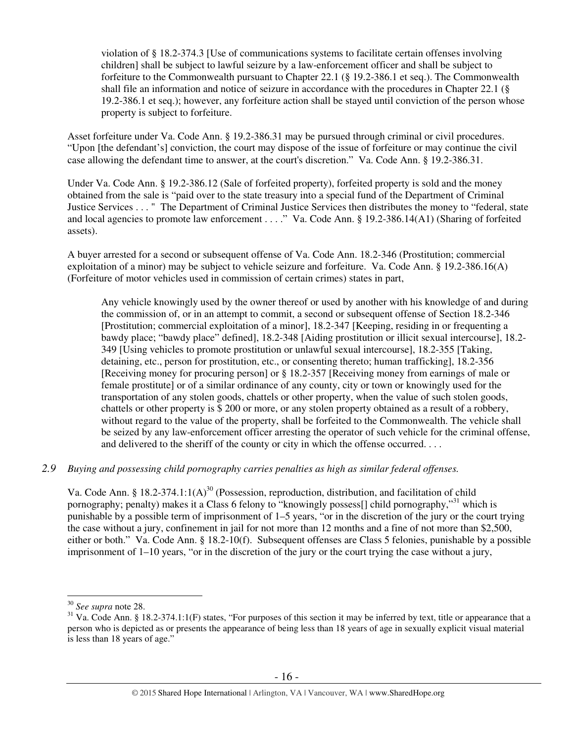violation of § 18.2-374.3 [Use of communications systems to facilitate certain offenses involving children] shall be subject to lawful seizure by a law-enforcement officer and shall be subject to forfeiture to the Commonwealth pursuant to Chapter 22.1 (§ 19.2-386.1 et seq.). The Commonwealth shall file an information and notice of seizure in accordance with the procedures in Chapter 22.1 (§ 19.2-386.1 et seq.); however, any forfeiture action shall be stayed until conviction of the person whose property is subject to forfeiture.

Asset forfeiture under Va. Code Ann. § 19.2-386.31 may be pursued through criminal or civil procedures. "Upon [the defendant's] conviction, the court may dispose of the issue of forfeiture or may continue the civil case allowing the defendant time to answer, at the court's discretion." Va. Code Ann. § 19.2-386.31.

Under Va. Code Ann. § 19.2-386.12 (Sale of forfeited property), forfeited property is sold and the money obtained from the sale is "paid over to the state treasury into a special fund of the Department of Criminal Justice Services . . . " The Department of Criminal Justice Services then distributes the money to "federal, state and local agencies to promote law enforcement . . . ." Va. Code Ann. § 19.2-386.14(A1) (Sharing of forfeited assets).

A buyer arrested for a second or subsequent offense of Va. Code Ann. 18.2-346 (Prostitution; commercial exploitation of a minor) may be subject to vehicle seizure and forfeiture. Va. Code Ann. § 19.2-386.16(A) (Forfeiture of motor vehicles used in commission of certain crimes) states in part,

Any vehicle knowingly used by the owner thereof or used by another with his knowledge of and during the commission of, or in an attempt to commit, a second or subsequent offense of Section 18.2-346 [Prostitution; commercial exploitation of a minor], 18.2-347 [Keeping, residing in or frequenting a bawdy place; "bawdy place" defined], 18.2-348 [Aiding prostitution or illicit sexual intercourse], 18.2- 349 [Using vehicles to promote prostitution or unlawful sexual intercourse], 18.2-355 [Taking, detaining, etc., person for prostitution, etc., or consenting thereto; human trafficking], 18.2-356 [Receiving money for procuring person] or § 18.2-357 [Receiving money from earnings of male or female prostitute] or of a similar ordinance of any county, city or town or knowingly used for the transportation of any stolen goods, chattels or other property, when the value of such stolen goods, chattels or other property is \$ 200 or more, or any stolen property obtained as a result of a robbery, without regard to the value of the property, shall be forfeited to the Commonwealth. The vehicle shall be seized by any law-enforcement officer arresting the operator of such vehicle for the criminal offense, and delivered to the sheriff of the county or city in which the offense occurred. . . .

# *2.9 Buying and possessing child pornography carries penalties as high as similar federal offenses.*

Va. Code Ann. § 18.2-374.1:1(A)<sup>30</sup> (Possession, reproduction, distribution, and facilitation of child pornography; penalty) makes it a Class 6 felony to "knowingly possess[] child pornography,"<sup>31</sup> which is punishable by a possible term of imprisonment of 1–5 years, "or in the discretion of the jury or the court trying the case without a jury, confinement in jail for not more than 12 months and a fine of not more than \$2,500, either or both." Va. Code Ann. § 18.2-10(f). Subsequent offenses are Class 5 felonies, punishable by a possible imprisonment of 1–10 years, "or in the discretion of the jury or the court trying the case without a jury,

<sup>30</sup> *See supra* note 28.

 $31$  Va. Code Ann. § 18.2-374.1:1(F) states, "For purposes of this section it may be inferred by text, title or appearance that a person who is depicted as or presents the appearance of being less than 18 years of age in sexually explicit visual material is less than 18 years of age."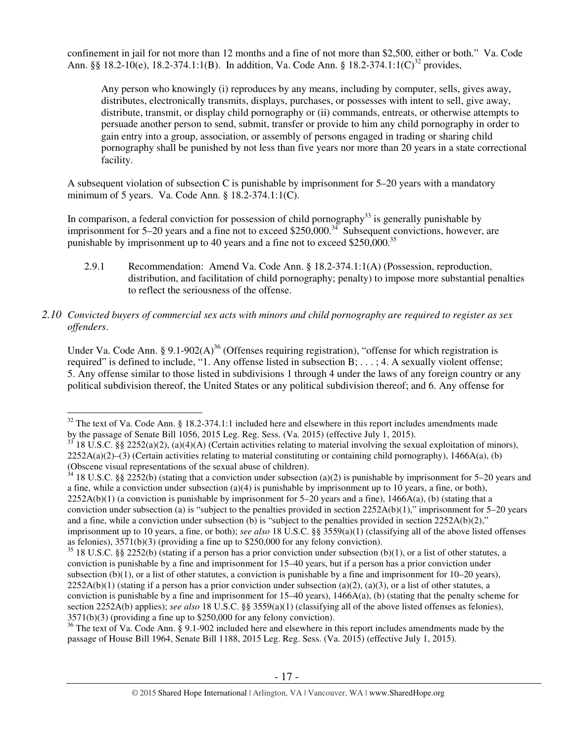confinement in jail for not more than 12 months and a fine of not more than \$2,500, either or both." Va. Code Ann.  $8\frac{8}{18.2-10}$ (e), 18.2-374.1:1(B). In addition, Va. Code Ann.  $8\frac{18.2-374.1:1(C)^{32}}{20}$  provides,

Any person who knowingly (i) reproduces by any means, including by computer, sells, gives away, distributes, electronically transmits, displays, purchases, or possesses with intent to sell, give away, distribute, transmit, or display child pornography or (ii) commands, entreats, or otherwise attempts to persuade another person to send, submit, transfer or provide to him any child pornography in order to gain entry into a group, association, or assembly of persons engaged in trading or sharing child pornography shall be punished by not less than five years nor more than 20 years in a state correctional facility.

A subsequent violation of subsection C is punishable by imprisonment for 5–20 years with a mandatory minimum of 5 years. Va. Code Ann. § 18.2-374.1:1(C).

In comparison, a federal conviction for possession of child pornography<sup>33</sup> is generally punishable by imprisonment for  $5-20$  years and a fine not to exceed \$250,000.<sup>34</sup> Subsequent convictions, however, are punishable by imprisonment up to 40 years and a fine not to exceed  $$250,000.<sup>35</sup>$ 

- 2.9.1 Recommendation: Amend Va. Code Ann. § 18.2-374.1:1(A) (Possession, reproduction, distribution, and facilitation of child pornography; penalty) to impose more substantial penalties to reflect the seriousness of the offense.
- *2.10 Convicted buyers of commercial sex acts with minors and child pornography are required to register as sex offenders*.

Under Va. Code Ann. § 9.1-902(A)<sup>36</sup> (Offenses requiring registration), "offense for which registration is required" is defined to include, "1. Any offense listed in subsection B; . . . ; 4. A sexually violent offense; 5. Any offense similar to those listed in subdivisions 1 through 4 under the laws of any foreign country or any political subdivision thereof, the United States or any political subdivision thereof; and 6. Any offense for

 $\overline{a}$  $32$  The text of Va. Code Ann. § 18.2-374.1:1 included here and elsewhere in this report includes amendments made by the passage of Senate Bill 1056, 2015 Leg. Reg. Sess. (Va. 2015) (effective July 1, 2015).

 $33$  18 U.S.C. §§ 2252(a)(2), (a)(4)(A) (Certain activities relating to material involving the sexual exploitation of minors),  $2252A(a)(2)$ –(3) (Certain activities relating to material constituting or containing child pornography), 1466A(a), (b) (Obscene visual representations of the sexual abuse of children).

 $34$  18 U.S.C. §§ 2252(b) (stating that a conviction under subsection (a)(2) is punishable by imprisonment for 5–20 years and a fine, while a conviction under subsection (a)(4) is punishable by imprisonment up to 10 years, a fine, or both),  $2252A(b)(1)$  (a conviction is punishable by imprisonment for 5–20 years and a fine),  $1466A(a)$ , (b) (stating that a conviction under subsection (a) is "subject to the penalties provided in section  $2252A(b)(1)$ ," imprisonment for  $5-20$  years and a fine, while a conviction under subsection (b) is "subject to the penalties provided in section  $2252A(b)(2)$ ," imprisonment up to 10 years, a fine, or both); *see also* 18 U.S.C. §§ 3559(a)(1) (classifying all of the above listed offenses as felonies), 3571(b)(3) (providing a fine up to \$250,000 for any felony conviction).

 $35$  18 U.S.C. §§ 2252(b) (stating if a person has a prior conviction under subsection (b)(1), or a list of other statutes, a conviction is punishable by a fine and imprisonment for 15–40 years, but if a person has a prior conviction under subsection (b)(1), or a list of other statutes, a conviction is punishable by a fine and imprisonment for  $10-20$  years),  $2252A(b)(1)$  (stating if a person has a prior conviction under subsection (a)(2), (a)(3), or a list of other statutes, a conviction is punishable by a fine and imprisonment for  $15-40$  years),  $1466A(a)$ , (b) (stating that the penalty scheme for section 2252A(b) applies); *see also* 18 U.S.C. §§ 3559(a)(1) (classifying all of the above listed offenses as felonies), 3571(b)(3) (providing a fine up to \$250,000 for any felony conviction).

 $36$  The text of Va. Code Ann. § 9.1-902 included here and elsewhere in this report includes amendments made by the passage of House Bill 1964, Senate Bill 1188, 2015 Leg. Reg. Sess. (Va. 2015) (effective July 1, 2015).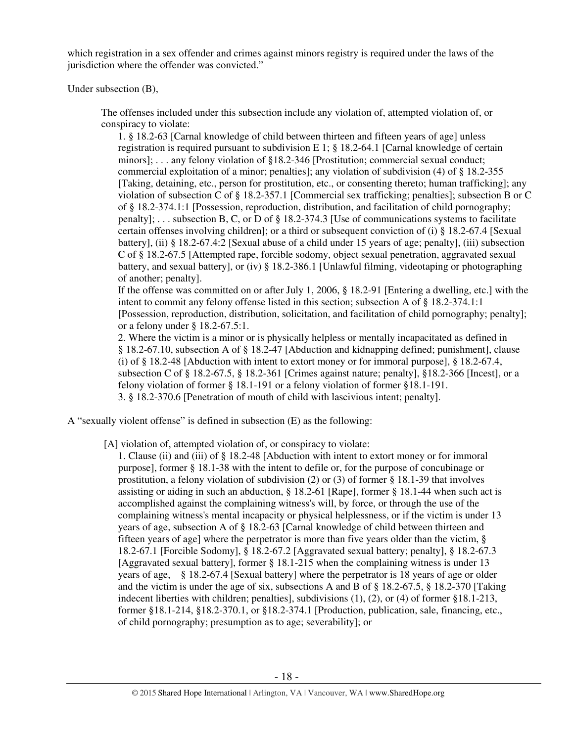which registration in a sex offender and crimes against minors registry is required under the laws of the jurisdiction where the offender was convicted."

Under subsection (B),

The offenses included under this subsection include any violation of, attempted violation of, or conspiracy to violate:

1. § 18.2-63 [Carnal knowledge of child between thirteen and fifteen years of age] unless registration is required pursuant to subdivision E 1; § 18.2-64.1 [Carnal knowledge of certain minors]; . . . any felony violation of §18.2-346 [Prostitution; commercial sexual conduct; commercial exploitation of a minor; penalties]; any violation of subdivision (4) of § 18.2-355 [Taking, detaining, etc., person for prostitution, etc., or consenting thereto; human trafficking]; any violation of subsection C of § 18.2-357.1 [Commercial sex trafficking; penalties]; subsection B or C of § 18.2-374.1:1 [Possession, reproduction, distribution, and facilitation of child pornography; penalty]; . . . subsection B, C, or D of § 18.2-374.3 [Use of communications systems to facilitate certain offenses involving children]; or a third or subsequent conviction of (i) § 18.2-67.4 [Sexual battery], (ii) § 18.2-67.4:2 [Sexual abuse of a child under 15 years of age; penalty], (iii) subsection C of § 18.2-67.5 [Attempted rape, forcible sodomy, object sexual penetration, aggravated sexual battery, and sexual battery], or (iv) § 18.2-386.1 [Unlawful filming, videotaping or photographing of another; penalty].

If the offense was committed on or after July 1, 2006, § 18.2-91 [Entering a dwelling, etc.] with the intent to commit any felony offense listed in this section; subsection A of § 18.2-374.1:1 [Possession, reproduction, distribution, solicitation, and facilitation of child pornography; penalty]; or a felony under § 18.2-67.5:1.

2. Where the victim is a minor or is physically helpless or mentally incapacitated as defined in § 18.2-67.10, subsection A of § 18.2-47 [Abduction and kidnapping defined; punishment], clause (i) of § 18.2-48 [Abduction with intent to extort money or for immoral purpose], § 18.2-67.4, subsection C of § 18.2-67.5, § 18.2-361 [Crimes against nature; penalty], §18.2-366 [Incest], or a felony violation of former § 18.1-191 or a felony violation of former §18.1-191. 3. § 18.2-370.6 [Penetration of mouth of child with lascivious intent; penalty].

A "sexually violent offense" is defined in subsection (E) as the following:

[A] violation of, attempted violation of, or conspiracy to violate:

1. Clause (ii) and (iii) of § 18.2-48 [Abduction with intent to extort money or for immoral purpose], former § 18.1-38 with the intent to defile or, for the purpose of concubinage or prostitution, a felony violation of subdivision (2) or (3) of former § 18.1-39 that involves assisting or aiding in such an abduction, § 18.2-61 [Rape], former § 18.1-44 when such act is accomplished against the complaining witness's will, by force, or through the use of the complaining witness's mental incapacity or physical helplessness, or if the victim is under 13 years of age, subsection A of § 18.2-63 [Carnal knowledge of child between thirteen and fifteen years of age] where the perpetrator is more than five years older than the victim, § 18.2-67.1 [Forcible Sodomy], § 18.2-67.2 [Aggravated sexual battery; penalty], § 18.2-67.3 [Aggravated sexual battery], former § 18.1-215 when the complaining witness is under 13 years of age, § 18.2-67.4 [Sexual battery] where the perpetrator is 18 years of age or older and the victim is under the age of six, subsections A and B of § 18.2-67.5, § 18.2-370 [Taking indecent liberties with children; penalties], subdivisions (1), (2), or (4) of former §18.1-213, former §18.1-214, §18.2-370.1, or §18.2-374.1 [Production, publication, sale, financing, etc., of child pornography; presumption as to age; severability]; or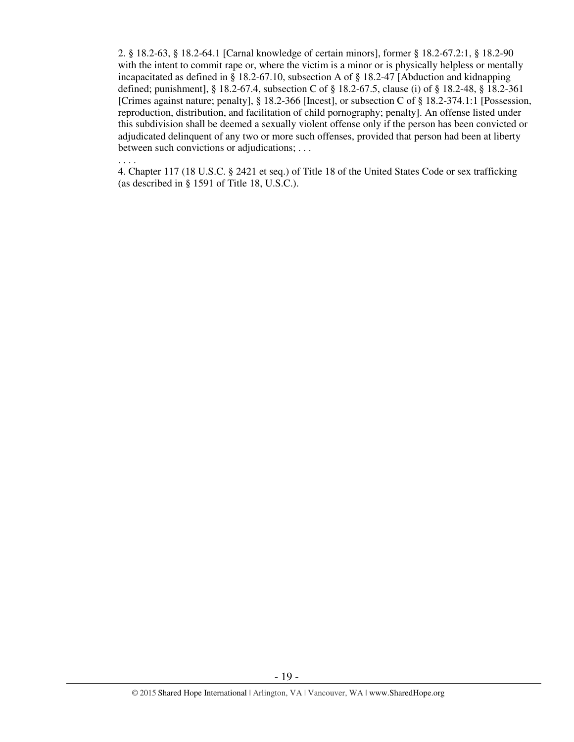2. § 18.2-63, § 18.2-64.1 [Carnal knowledge of certain minors], former § 18.2-67.2:1, § 18.2-90 with the intent to commit rape or, where the victim is a minor or is physically helpless or mentally incapacitated as defined in § 18.2-67.10, subsection A of § 18.2-47 [Abduction and kidnapping defined; punishment], § 18.2-67.4, subsection C of § 18.2-67.5, clause (i) of § 18.2-48, § 18.2-361 [Crimes against nature; penalty], § 18.2-366 [Incest], or subsection C of § 18.2-374.1:1 [Possession, reproduction, distribution, and facilitation of child pornography; penalty]. An offense listed under this subdivision shall be deemed a sexually violent offense only if the person has been convicted or adjudicated delinquent of any two or more such offenses, provided that person had been at liberty between such convictions or adjudications; . . .

. . . .

4. Chapter 117 (18 U.S.C. § 2421 et seq.) of Title 18 of the United States Code or sex trafficking (as described in § 1591 of Title 18, U.S.C.).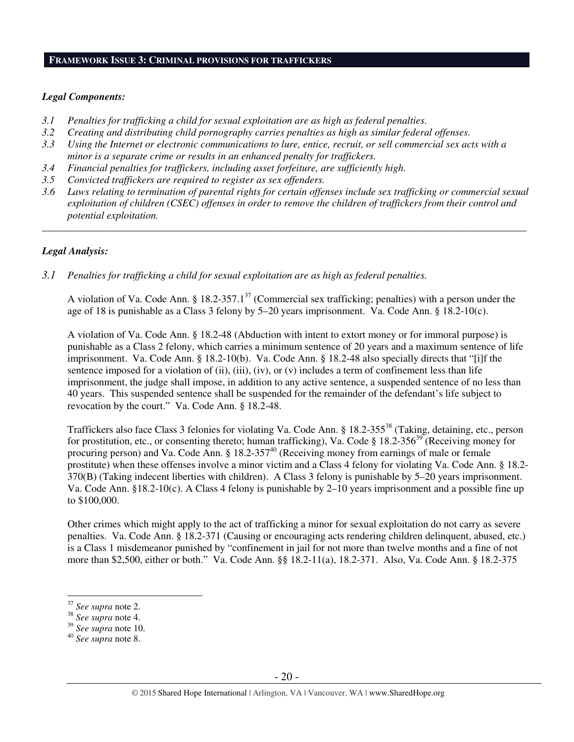#### **FRAMEWORK ISSUE 3: CRIMINAL PROVISIONS FOR TRAFFICKERS**

#### *Legal Components:*

- *3.1 Penalties for trafficking a child for sexual exploitation are as high as federal penalties.*
- *3.2 Creating and distributing child pornography carries penalties as high as similar federal offenses.*
- *3.3 Using the Internet or electronic communications to lure, entice, recruit, or sell commercial sex acts with a minor is a separate crime or results in an enhanced penalty for traffickers.*
- *3.4 Financial penalties for traffickers, including asset forfeiture, are sufficiently high*.
- *3.5 Convicted traffickers are required to register as sex offenders.*
- *3.6 Laws relating to termination of parental rights for certain offenses include sex trafficking or commercial sexual exploitation of children (CSEC) offenses in order to remove the children of traffickers from their control and potential exploitation.*

*\_\_\_\_\_\_\_\_\_\_\_\_\_\_\_\_\_\_\_\_\_\_\_\_\_\_\_\_\_\_\_\_\_\_\_\_\_\_\_\_\_\_\_\_\_\_\_\_\_\_\_\_\_\_\_\_\_\_\_\_\_\_\_\_\_\_\_\_\_\_\_\_\_\_\_\_\_\_\_\_\_\_\_\_\_\_\_\_\_\_\_\_\_\_* 

### *Legal Analysis:*

*3.1 Penalties for trafficking a child for sexual exploitation are as high as federal penalties.* 

A violation of Va. Code Ann. § 18.2-357.1<sup>37</sup> (Commercial sex trafficking; penalties) with a person under the age of 18 is punishable as a Class 3 felony by 5–20 years imprisonment. Va. Code Ann. § 18.2-10(c).

A violation of Va. Code Ann. § 18.2-48 (Abduction with intent to extort money or for immoral purpose) is punishable as a Class 2 felony, which carries a minimum sentence of 20 years and a maximum sentence of life imprisonment. Va. Code Ann. § 18.2-10(b). Va. Code Ann. § 18.2-48 also specially directs that "[i]f the sentence imposed for a violation of (ii), (iii), (iv), or (v) includes a term of confinement less than life imprisonment, the judge shall impose, in addition to any active sentence, a suspended sentence of no less than 40 years. This suspended sentence shall be suspended for the remainder of the defendant's life subject to revocation by the court." Va. Code Ann. § 18.2-48.

Traffickers also face Class 3 felonies for violating Va. Code Ann. § 18.2-355<sup>38</sup> (Taking, detaining, etc., person for prostitution, etc., or consenting thereto; human trafficking), Va. Code § 18.2-356<sup>39</sup> (Receiving money for procuring person) and Va. Code Ann. § 18.2-357<sup>40</sup> (Receiving money from earnings of male or female prostitute) when these offenses involve a minor victim and a Class 4 felony for violating Va. Code Ann. § 18.2- 370(B) (Taking indecent liberties with children). A Class 3 felony is punishable by 5–20 years imprisonment. Va. Code Ann. §18.2-10(c). A Class 4 felony is punishable by 2–10 years imprisonment and a possible fine up to \$100,000.

Other crimes which might apply to the act of trafficking a minor for sexual exploitation do not carry as severe penalties. Va. Code Ann. § 18.2-371 (Causing or encouraging acts rendering children delinquent, abused, etc.) is a Class 1 misdemeanor punished by "confinement in jail for not more than twelve months and a fine of not more than \$2,500, either or both." Va. Code Ann. §§ 18.2-11(a), 18.2-371. Also, Va. Code Ann. § 18.2-375

<sup>37</sup> *See supra* note 2.

<sup>38</sup> *See supra* note 4.

<sup>39</sup> *See supra* note 10.

<sup>40</sup> *See supra* note 8.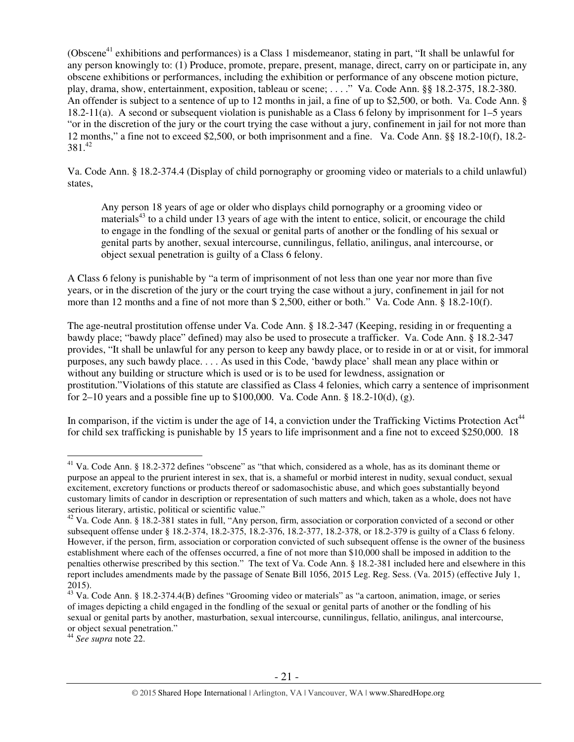(Obscene<sup>41</sup> exhibitions and performances) is a Class 1 misdemeanor, stating in part, "It shall be unlawful for any person knowingly to: (1) Produce, promote, prepare, present, manage, direct, carry on or participate in, any obscene exhibitions or performances, including the exhibition or performance of any obscene motion picture, play, drama, show, entertainment, exposition, tableau or scene; . . . ." Va. Code Ann. §§ 18.2-375, 18.2-380. An offender is subject to a sentence of up to 12 months in jail, a fine of up to \$2,500, or both. Va. Code Ann. § 18.2-11(a). A second or subsequent violation is punishable as a Class 6 felony by imprisonment for 1–5 years "or in the discretion of the jury or the court trying the case without a jury, confinement in jail for not more than 12 months," a fine not to exceed \$2,500, or both imprisonment and a fine. Va. Code Ann. §§ 18.2-10(f), 18.2-  $381.<sup>42</sup>$ 

Va. Code Ann. § 18.2-374.4 (Display of child pornography or grooming video or materials to a child unlawful) states,

Any person 18 years of age or older who displays child pornography or a grooming video or materials<sup>43</sup> to a child under 13 years of age with the intent to entice, solicit, or encourage the child to engage in the fondling of the sexual or genital parts of another or the fondling of his sexual or genital parts by another, sexual intercourse, cunnilingus, fellatio, anilingus, anal intercourse, or object sexual penetration is guilty of a Class 6 felony.

A Class 6 felony is punishable by "a term of imprisonment of not less than one year nor more than five years, or in the discretion of the jury or the court trying the case without a jury, confinement in jail for not more than 12 months and a fine of not more than \$ 2,500, either or both." Va. Code Ann. § 18.2-10(f).

The age-neutral prostitution offense under Va. Code Ann. § 18.2-347 (Keeping, residing in or frequenting a bawdy place; "bawdy place" defined) may also be used to prosecute a trafficker. Va. Code Ann. § 18.2-347 provides, "It shall be unlawful for any person to keep any bawdy place, or to reside in or at or visit, for immoral purposes, any such bawdy place. . . . As used in this Code, 'bawdy place' shall mean any place within or without any building or structure which is used or is to be used for lewdness, assignation or prostitution."Violations of this statute are classified as Class 4 felonies, which carry a sentence of imprisonment for 2–10 years and a possible fine up to \$100,000. Va. Code Ann. § 18.2-10(d), (g).

In comparison, if the victim is under the age of 14, a conviction under the Trafficking Victims Protection  $Act^{44}$ for child sex trafficking is punishable by 15 years to life imprisonment and a fine not to exceed \$250,000. 18

 $\overline{a}$  $41$  Va. Code Ann. § 18.2-372 defines "obscene" as "that which, considered as a whole, has as its dominant theme or purpose an appeal to the prurient interest in sex, that is, a shameful or morbid interest in nudity, sexual conduct, sexual excitement, excretory functions or products thereof or sadomasochistic abuse, and which goes substantially beyond customary limits of candor in description or representation of such matters and which, taken as a whole, does not have serious literary, artistic, political or scientific value."

 $42$  Va. Code Ann. § 18.2-381 states in full, "Any person, firm, association or corporation convicted of a second or other subsequent offense under § 18.2-374, 18.2-375, 18.2-376, 18.2-377, 18.2-378, or 18.2-379 is guilty of a Class 6 felony. However, if the person, firm, association or corporation convicted of such subsequent offense is the owner of the business establishment where each of the offenses occurred, a fine of not more than \$10,000 shall be imposed in addition to the penalties otherwise prescribed by this section." The text of Va. Code Ann. § 18.2-381 included here and elsewhere in this report includes amendments made by the passage of Senate Bill 1056, 2015 Leg. Reg. Sess. (Va. 2015) (effective July 1, 2015).

<sup>43</sup> Va. Code Ann. § 18.2-374.4(B) defines "Grooming video or materials" as "a cartoon, animation, image, or series of images depicting a child engaged in the fondling of the sexual or genital parts of another or the fondling of his sexual or genital parts by another, masturbation, sexual intercourse, cunnilingus, fellatio, anilingus, anal intercourse, or object sexual penetration."

<sup>44</sup> *See supra* note 22.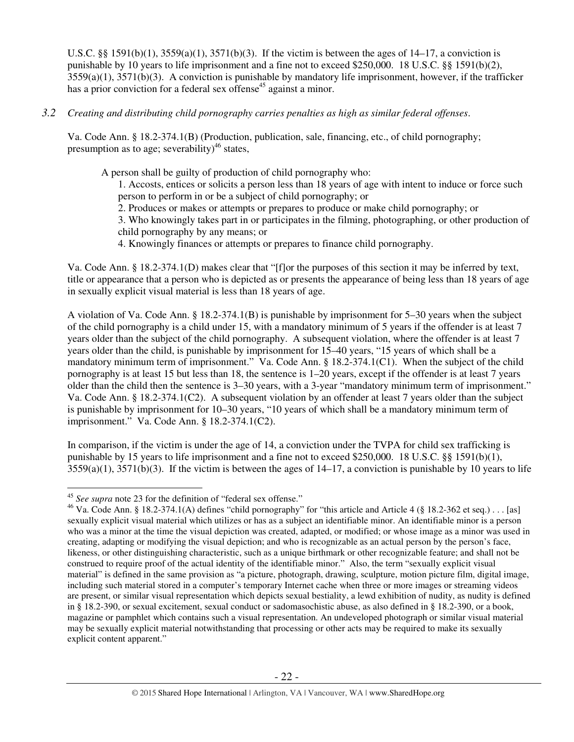U.S.C. §§ 1591(b)(1),  $3559(a)(1)$ ,  $3571(b)(3)$ . If the victim is between the ages of 14–17, a conviction is punishable by 10 years to life imprisonment and a fine not to exceed \$250,000. 18 U.S.C. §§ 1591(b)(2), 3559(a)(1), 3571(b)(3). A conviction is punishable by mandatory life imprisonment, however, if the trafficker has a prior conviction for a federal sex offense<sup>45</sup> against a minor.

*3.2 Creating and distributing child pornography carries penalties as high as similar federal offenses*.

Va. Code Ann. § 18.2-374.1(B) (Production, publication, sale, financing, etc., of child pornography; presumption as to age; severability)<sup>46</sup> states,

A person shall be guilty of production of child pornography who:

1. Accosts, entices or solicits a person less than 18 years of age with intent to induce or force such person to perform in or be a subject of child pornography; or

2. Produces or makes or attempts or prepares to produce or make child pornography; or

3. Who knowingly takes part in or participates in the filming, photographing, or other production of child pornography by any means; or

4. Knowingly finances or attempts or prepares to finance child pornography.

Va. Code Ann. § 18.2-374.1(D) makes clear that "[f]or the purposes of this section it may be inferred by text, title or appearance that a person who is depicted as or presents the appearance of being less than 18 years of age in sexually explicit visual material is less than 18 years of age.

A violation of Va. Code Ann. § 18.2-374.1(B) is punishable by imprisonment for 5–30 years when the subject of the child pornography is a child under 15, with a mandatory minimum of 5 years if the offender is at least 7 years older than the subject of the child pornography. A subsequent violation, where the offender is at least 7 years older than the child, is punishable by imprisonment for 15–40 years, "15 years of which shall be a mandatory minimum term of imprisonment." Va. Code Ann. § 18.2-374.1(C1). When the subject of the child pornography is at least 15 but less than 18, the sentence is 1–20 years, except if the offender is at least 7 years older than the child then the sentence is 3–30 years, with a 3-year "mandatory minimum term of imprisonment." Va. Code Ann. § 18.2-374.1(C2). A subsequent violation by an offender at least 7 years older than the subject is punishable by imprisonment for 10–30 years, "10 years of which shall be a mandatory minimum term of imprisonment." Va. Code Ann. § 18.2-374.1(C2).

In comparison, if the victim is under the age of 14, a conviction under the TVPA for child sex trafficking is punishable by 15 years to life imprisonment and a fine not to exceed \$250,000. 18 U.S.C. §§ 1591(b)(1),  $3559(a)(1)$ ,  $3571(b)(3)$ . If the victim is between the ages of  $14-17$ , a conviction is punishable by 10 years to life

 $\overline{a}$ <sup>45</sup> *See supra* note 23 for the definition of "federal sex offense."

<sup>&</sup>lt;sup>46</sup> Va. Code Ann. § 18.2-374.1(A) defines "child pornography" for "this article and Article 4 (§ 18.2-362 et seq.) . . . [as] sexually explicit visual material which utilizes or has as a subject an identifiable minor. An identifiable minor is a person who was a minor at the time the visual depiction was created, adapted, or modified; or whose image as a minor was used in creating, adapting or modifying the visual depiction; and who is recognizable as an actual person by the person's face, likeness, or other distinguishing characteristic, such as a unique birthmark or other recognizable feature; and shall not be construed to require proof of the actual identity of the identifiable minor." Also, the term "sexually explicit visual material" is defined in the same provision as "a picture, photograph, drawing, sculpture, motion picture film, digital image, including such material stored in a computer's temporary Internet cache when three or more images or streaming videos are present, or similar visual representation which depicts sexual bestiality, a lewd exhibition of nudity, as nudity is defined in § 18.2-390, or sexual excitement, sexual conduct or sadomasochistic abuse, as also defined in § 18.2-390, or a book, magazine or pamphlet which contains such a visual representation. An undeveloped photograph or similar visual material may be sexually explicit material notwithstanding that processing or other acts may be required to make its sexually explicit content apparent."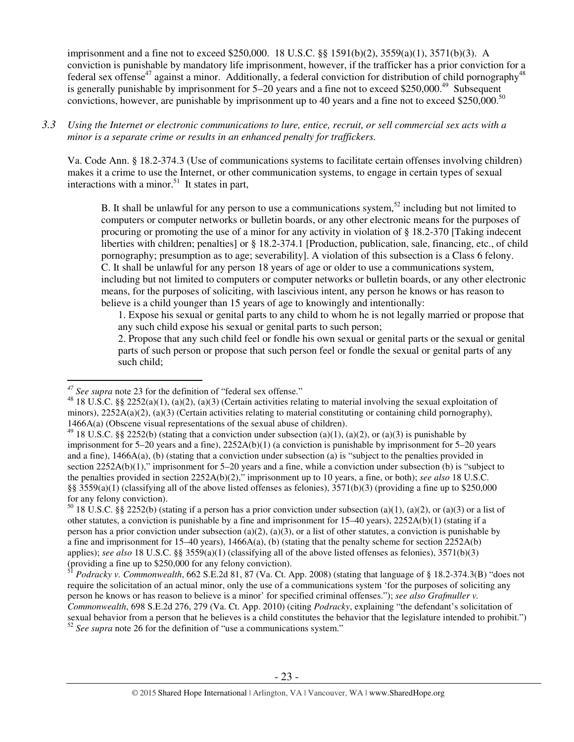imprisonment and a fine not to exceed \$250,000. 18 U.S.C. §§ 1591(b)(2), 3559(a)(1), 3571(b)(3). A conviction is punishable by mandatory life imprisonment, however, if the trafficker has a prior conviction for a federal sex offense<sup>47</sup> against a minor. Additionally, a federal conviction for distribution of child pornography<sup>48</sup> is generally punishable by imprisonment for  $5-20$  years and a fine not to exceed \$250,000.<sup>49</sup> Subsequent convictions, however, are punishable by imprisonment up to 40 years and a fine not to exceed \$250,000.<sup>50</sup>

## *3.3 Using the Internet or electronic communications to lure, entice, recruit, or sell commercial sex acts with a minor is a separate crime or results in an enhanced penalty for traffickers.*

Va. Code Ann. § 18.2-374.3 (Use of communications systems to facilitate certain offenses involving children) makes it a crime to use the Internet, or other communication systems, to engage in certain types of sexual interactions with a minor.<sup>51</sup> It states in part,

B. It shall be unlawful for any person to use a communications system,  $52$  including but not limited to computers or computer networks or bulletin boards, or any other electronic means for the purposes of procuring or promoting the use of a minor for any activity in violation of § 18.2-370 [Taking indecent liberties with children; penalties] or § 18.2-374.1 [Production, publication, sale, financing, etc., of child pornography; presumption as to age; severability]. A violation of this subsection is a Class 6 felony. C. It shall be unlawful for any person 18 years of age or older to use a communications system, including but not limited to computers or computer networks or bulletin boards, or any other electronic means, for the purposes of soliciting, with lascivious intent, any person he knows or has reason to believe is a child younger than 15 years of age to knowingly and intentionally:

1. Expose his sexual or genital parts to any child to whom he is not legally married or propose that any such child expose his sexual or genital parts to such person;

2. Propose that any such child feel or fondle his own sexual or genital parts or the sexual or genital parts of such person or propose that such person feel or fondle the sexual or genital parts of any such child;

 $50$  18 U.S.C. §§ 2252(b) (stating if a person has a prior conviction under subsection (a)(1), (a)(2), or (a)(3) or a list of other statutes, a conviction is punishable by a fine and imprisonment for 15–40 years), 2252A(b)(1) (stating if a person has a prior conviction under subsection (a)(2), (a)(3), or a list of other statutes, a conviction is punishable by a fine and imprisonment for  $15-40$  years),  $1466A(a)$ , (b) (stating that the penalty scheme for section  $2252A(b)$ applies); *see also* 18 U.S.C. §§ 3559(a)(1) (classifying all of the above listed offenses as felonies), 3571(b)(3) (providing a fine up to \$250,000 for any felony conviction).

<sup>51</sup> *Podracky v. Commonwealth*, 662 S.E.2d 81, 87 (Va. Ct. App. 2008) (stating that language of § 18.2-374.3(B) "does not require the solicitation of an actual minor, only the use of a communications system 'for the purposes of soliciting any person he knows or has reason to believe is a minor' for specified criminal offenses."); *see also Grafmuller v. Commonwealth*, 698 S.E.2d 276, 279 (Va. Ct. App. 2010) (citing *Podracky*, explaining "the defendant's solicitation of sexual behavior from a person that he believes is a child constitutes the behavior that the legislature intended to prohibit.") <sup>52</sup> See supra note 26 for the definition of "use a communications system."

 $\overline{a}$ *<sup>47</sup> See supra* note 23 for the definition of "federal sex offense."

<sup>48 18</sup> U.S.C. §§ 2252(a)(1), (a)(2), (a)(3) (Certain activities relating to material involving the sexual exploitation of minors),  $2252A(a)(2)$ ,  $(a)(3)$  (Certain activities relating to material constituting or containing child pornography), 1466A(a) (Obscene visual representations of the sexual abuse of children).

<sup>&</sup>lt;sup>49</sup> 18 U.S.C. §§ 2252(b) (stating that a conviction under subsection (a)(1), (a)(2), or (a)(3) is punishable by imprisonment for 5–20 years and a fine), 2252A(b)(1) (a conviction is punishable by imprisonment for 5–20 years and a fine), 1466A(a), (b) (stating that a conviction under subsection (a) is "subject to the penalties provided in section 2252A(b)(1)," imprisonment for 5–20 years and a fine, while a conviction under subsection (b) is "subject to the penalties provided in section 2252A(b)(2)," imprisonment up to 10 years, a fine, or both); *see also* 18 U.S.C. §§  $3559(a)(1)$  (classifying all of the above listed offenses as felonies),  $3571(b)(3)$  (providing a fine up to \$250,000 for any felony conviction).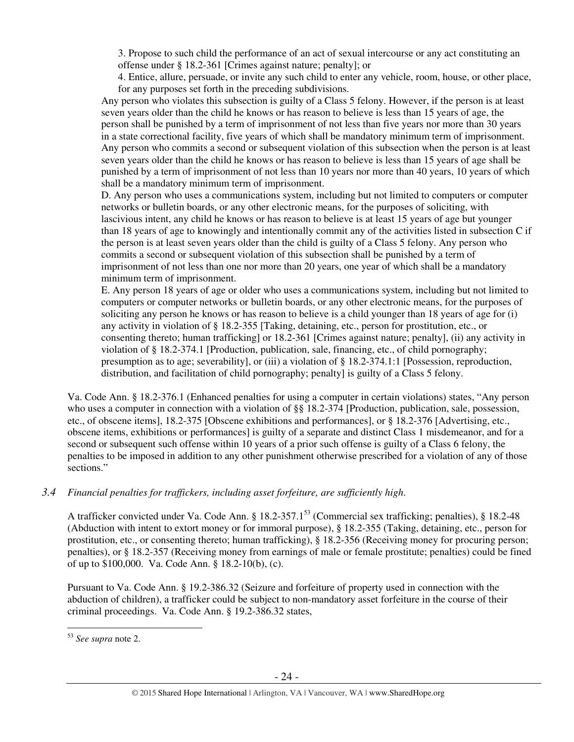3. Propose to such child the performance of an act of sexual intercourse or any act constituting an offense under § 18.2-361 [Crimes against nature; penalty]; or

4. Entice, allure, persuade, or invite any such child to enter any vehicle, room, house, or other place, for any purposes set forth in the preceding subdivisions.

Any person who violates this subsection is guilty of a Class 5 felony. However, if the person is at least seven years older than the child he knows or has reason to believe is less than 15 years of age, the person shall be punished by a term of imprisonment of not less than five years nor more than 30 years in a state correctional facility, five years of which shall be mandatory minimum term of imprisonment. Any person who commits a second or subsequent violation of this subsection when the person is at least seven years older than the child he knows or has reason to believe is less than 15 years of age shall be punished by a term of imprisonment of not less than 10 years nor more than 40 years, 10 years of which shall be a mandatory minimum term of imprisonment.

D. Any person who uses a communications system, including but not limited to computers or computer networks or bulletin boards, or any other electronic means, for the purposes of soliciting, with lascivious intent, any child he knows or has reason to believe is at least 15 years of age but younger than 18 years of age to knowingly and intentionally commit any of the activities listed in subsection C if the person is at least seven years older than the child is guilty of a Class 5 felony. Any person who commits a second or subsequent violation of this subsection shall be punished by a term of imprisonment of not less than one nor more than 20 years, one year of which shall be a mandatory minimum term of imprisonment.

E. Any person 18 years of age or older who uses a communications system, including but not limited to computers or computer networks or bulletin boards, or any other electronic means, for the purposes of soliciting any person he knows or has reason to believe is a child younger than 18 years of age for (i) any activity in violation of § 18.2-355 [Taking, detaining, etc., person for prostitution, etc., or consenting thereto; human trafficking] or 18.2-361 [Crimes against nature; penalty], (ii) any activity in violation of § 18.2-374.1 [Production, publication, sale, financing, etc., of child pornography; presumption as to age; severability], or (iii) a violation of § 18.2-374.1:1 [Possession, reproduction, distribution, and facilitation of child pornography; penalty] is guilty of a Class 5 felony.

Va. Code Ann. § 18.2-376.1 (Enhanced penalties for using a computer in certain violations) states, "Any person who uses a computer in connection with a violation of §§ 18.2-374 [Production, publication, sale, possession, etc., of obscene items], 18.2-375 [Obscene exhibitions and performances], or § 18.2-376 [Advertising, etc., obscene items, exhibitions or performances] is guilty of a separate and distinct Class 1 misdemeanor, and for a second or subsequent such offense within 10 years of a prior such offense is guilty of a Class 6 felony, the penalties to be imposed in addition to any other punishment otherwise prescribed for a violation of any of those sections."

# *3.4 Financial penalties for traffickers, including asset forfeiture, are sufficiently high*.

A trafficker convicted under Va. Code Ann. § 18.2-357.1<sup>53</sup> (Commercial sex trafficking; penalties), § 18.2-48 (Abduction with intent to extort money or for immoral purpose), § 18.2-355 (Taking, detaining, etc., person for prostitution, etc., or consenting thereto; human trafficking), § 18.2-356 (Receiving money for procuring person; penalties), or § 18.2-357 (Receiving money from earnings of male or female prostitute; penalties) could be fined of up to \$100,000. Va. Code Ann. § 18.2-10(b), (c).

Pursuant to Va. Code Ann. § 19.2-386.32 (Seizure and forfeiture of property used in connection with the abduction of children), a trafficker could be subject to non-mandatory asset forfeiture in the course of their criminal proceedings. Va. Code Ann. § 19.2-386.32 states,

 $\overline{a}$ <sup>53</sup> *See supra* note 2.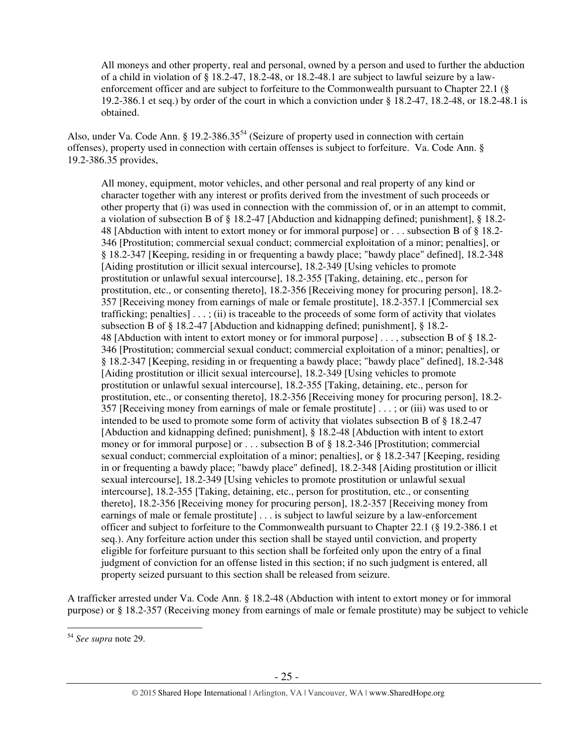All moneys and other property, real and personal, owned by a person and used to further the abduction of a child in violation of § 18.2-47, 18.2-48, or 18.2-48.1 are subject to lawful seizure by a lawenforcement officer and are subject to forfeiture to the Commonwealth pursuant to Chapter 22.1 (§ 19.2-386.1 et seq.) by order of the court in which a conviction under § 18.2-47, 18.2-48, or 18.2-48.1 is obtained.

Also, under Va. Code Ann. § 19.2-386.35<sup>54</sup> (Seizure of property used in connection with certain offenses), property used in connection with certain offenses is subject to forfeiture. Va. Code Ann. § 19.2-386.35 provides,

All money, equipment, motor vehicles, and other personal and real property of any kind or character together with any interest or profits derived from the investment of such proceeds or other property that (i) was used in connection with the commission of, or in an attempt to commit, a violation of subsection B of § 18.2-47 [Abduction and kidnapping defined; punishment], § 18.2- 48 [Abduction with intent to extort money or for immoral purpose] or . . . subsection B of § 18.2- 346 [Prostitution; commercial sexual conduct; commercial exploitation of a minor; penalties], or § 18.2-347 [Keeping, residing in or frequenting a bawdy place; "bawdy place" defined], 18.2-348 [Aiding prostitution or illicit sexual intercourse], 18.2-349 [Using vehicles to promote prostitution or unlawful sexual intercourse], 18.2-355 [Taking, detaining, etc., person for prostitution, etc., or consenting thereto], 18.2-356 [Receiving money for procuring person], 18.2- 357 [Receiving money from earnings of male or female prostitute], 18.2-357.1 [Commercial sex trafficking; penalties  $\cdots$ ; (ii) is traceable to the proceeds of some form of activity that violates subsection B of § 18.2-47 [Abduction and kidnapping defined; punishment], § 18.2- 48 [Abduction with intent to extort money or for immoral purpose] . . . , subsection B of § 18.2- 346 [Prostitution; commercial sexual conduct; commercial exploitation of a minor; penalties], or § 18.2-347 [Keeping, residing in or frequenting a bawdy place; "bawdy place" defined], 18.2-348 [Aiding prostitution or illicit sexual intercourse], 18.2-349 [Using vehicles to promote prostitution or unlawful sexual intercourse], 18.2-355 [Taking, detaining, etc., person for prostitution, etc., or consenting thereto], 18.2-356 [Receiving money for procuring person], 18.2- 357 [Receiving money from earnings of male or female prostitute] . . . ; or (iii) was used to or intended to be used to promote some form of activity that violates subsection B of § 18.2-47 [Abduction and kidnapping defined; punishment], § 18.2-48 [Abduction with intent to extort money or for immoral purpose] or . . . subsection B of § 18.2-346 [Prostitution; commercial sexual conduct; commercial exploitation of a minor; penalties], or § 18.2-347 [Keeping, residing in or frequenting a bawdy place; "bawdy place" defined], 18.2-348 [Aiding prostitution or illicit sexual intercourse], 18.2-349 [Using vehicles to promote prostitution or unlawful sexual intercourse], 18.2-355 [Taking, detaining, etc., person for prostitution, etc., or consenting thereto], 18.2-356 [Receiving money for procuring person], 18.2-357 [Receiving money from earnings of male or female prostitute] . . . is subject to lawful seizure by a law-enforcement officer and subject to forfeiture to the Commonwealth pursuant to Chapter 22.1 (§ 19.2-386.1 et seq.). Any forfeiture action under this section shall be stayed until conviction, and property eligible for forfeiture pursuant to this section shall be forfeited only upon the entry of a final judgment of conviction for an offense listed in this section; if no such judgment is entered, all property seized pursuant to this section shall be released from seizure.

A trafficker arrested under Va. Code Ann. § 18.2-48 (Abduction with intent to extort money or for immoral purpose) or § 18.2-357 (Receiving money from earnings of male or female prostitute) may be subject to vehicle

<sup>54</sup> *See supra* note 29.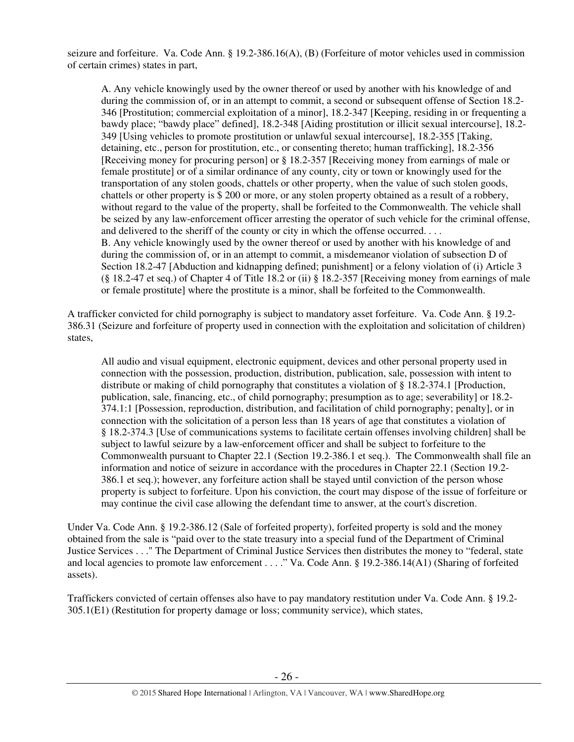seizure and forfeiture. Va. Code Ann. § 19.2-386.16(A), (B) (Forfeiture of motor vehicles used in commission of certain crimes) states in part,

A. Any vehicle knowingly used by the owner thereof or used by another with his knowledge of and during the commission of, or in an attempt to commit, a second or subsequent offense of Section 18.2- 346 [Prostitution; commercial exploitation of a minor], 18.2-347 [Keeping, residing in or frequenting a bawdy place; "bawdy place" defined], 18.2-348 [Aiding prostitution or illicit sexual intercourse], 18.2- 349 [Using vehicles to promote prostitution or unlawful sexual intercourse], 18.2-355 [Taking, detaining, etc., person for prostitution, etc., or consenting thereto; human trafficking], 18.2-356 [Receiving money for procuring person] or § 18.2-357 [Receiving money from earnings of male or female prostitute] or of a similar ordinance of any county, city or town or knowingly used for the transportation of any stolen goods, chattels or other property, when the value of such stolen goods, chattels or other property is \$ 200 or more, or any stolen property obtained as a result of a robbery, without regard to the value of the property, shall be forfeited to the Commonwealth. The vehicle shall be seized by any law-enforcement officer arresting the operator of such vehicle for the criminal offense, and delivered to the sheriff of the county or city in which the offense occurred. . . . B. Any vehicle knowingly used by the owner thereof or used by another with his knowledge of and during the commission of, or in an attempt to commit, a misdemeanor violation of subsection D of Section 18.2-47 [Abduction and kidnapping defined; punishment] or a felony violation of (i) Article 3 (§ 18.2-47 et seq.) of Chapter 4 of Title 18.2 or (ii) § 18.2-357 [Receiving money from earnings of male or female prostitute] where the prostitute is a minor, shall be forfeited to the Commonwealth.

A trafficker convicted for child pornography is subject to mandatory asset forfeiture. Va. Code Ann. § 19.2- 386.31 (Seizure and forfeiture of property used in connection with the exploitation and solicitation of children) states,

All audio and visual equipment, electronic equipment, devices and other personal property used in connection with the possession, production, distribution, publication, sale, possession with intent to distribute or making of child pornography that constitutes a violation of § 18.2-374.1 [Production, publication, sale, financing, etc., of child pornography; presumption as to age; severability] or 18.2- 374.1:1 [Possession, reproduction, distribution, and facilitation of child pornography; penalty], or in connection with the solicitation of a person less than 18 years of age that constitutes a violation of § 18.2-374.3 [Use of communications systems to facilitate certain offenses involving children] shall be subject to lawful seizure by a law-enforcement officer and shall be subject to forfeiture to the Commonwealth pursuant to Chapter 22.1 (Section 19.2-386.1 et seq.). The Commonwealth shall file an information and notice of seizure in accordance with the procedures in Chapter 22.1 (Section 19.2- 386.1 et seq.); however, any forfeiture action shall be stayed until conviction of the person whose property is subject to forfeiture. Upon his conviction, the court may dispose of the issue of forfeiture or may continue the civil case allowing the defendant time to answer, at the court's discretion.

Under Va. Code Ann. § 19.2-386.12 (Sale of forfeited property), forfeited property is sold and the money obtained from the sale is "paid over to the state treasury into a special fund of the Department of Criminal Justice Services . . ." The Department of Criminal Justice Services then distributes the money to "federal, state and local agencies to promote law enforcement . . . ." Va. Code Ann. § 19.2-386.14(A1) (Sharing of forfeited assets).

Traffickers convicted of certain offenses also have to pay mandatory restitution under Va. Code Ann. § 19.2- 305.1(E1) (Restitution for property damage or loss; community service), which states,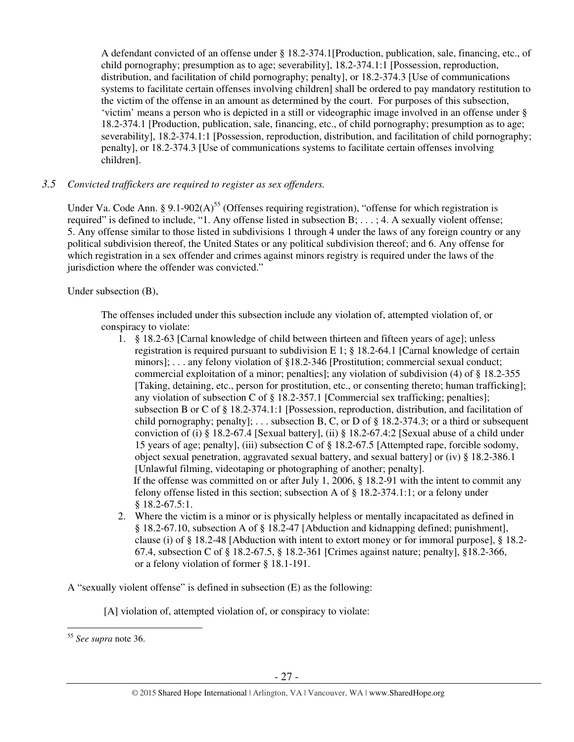A defendant convicted of an offense under § 18.2-374.1[Production, publication, sale, financing, etc., of child pornography; presumption as to age; severability], 18.2-374.1:1 [Possession, reproduction, distribution, and facilitation of child pornography; penalty], or 18.2-374.3 [Use of communications systems to facilitate certain offenses involving children] shall be ordered to pay mandatory restitution to the victim of the offense in an amount as determined by the court. For purposes of this subsection, 'victim' means a person who is depicted in a still or videographic image involved in an offense under § 18.2-374.1 [Production, publication, sale, financing, etc., of child pornography; presumption as to age; severability], 18.2-374.1:1 [Possession, reproduction, distribution, and facilitation of child pornography; penalty], or 18.2-374.3 [Use of communications systems to facilitate certain offenses involving children].

# *3.5 Convicted traffickers are required to register as sex offenders.*

Under Va. Code Ann. § 9.1-902(A)<sup>55</sup> (Offenses requiring registration), "offense for which registration is required" is defined to include, "1. Any offense listed in subsection B; . . . ; 4. A sexually violent offense; 5. Any offense similar to those listed in subdivisions 1 through 4 under the laws of any foreign country or any political subdivision thereof, the United States or any political subdivision thereof; and 6. Any offense for which registration in a sex offender and crimes against minors registry is required under the laws of the jurisdiction where the offender was convicted."

Under subsection (B),

The offenses included under this subsection include any violation of, attempted violation of, or conspiracy to violate:

- 1. § 18.2-63 [Carnal knowledge of child between thirteen and fifteen years of age]; unless registration is required pursuant to subdivision E 1; § 18.2-64.1 [Carnal knowledge of certain minors]; . . . any felony violation of §18.2-346 [Prostitution; commercial sexual conduct; commercial exploitation of a minor; penalties]; any violation of subdivision (4) of § 18.2-355 [Taking, detaining, etc., person for prostitution, etc., or consenting thereto; human trafficking]; any violation of subsection C of § 18.2-357.1 [Commercial sex trafficking; penalties]; subsection B or C of § 18.2-374.1:1 [Possession, reproduction, distribution, and facilitation of child pornography; penalty]; ... subsection B, C, or D of  $\S$  18.2-374.3; or a third or subsequent conviction of (i) § 18.2-67.4 [Sexual battery], (ii) § 18.2-67.4:2 [Sexual abuse of a child under 15 years of age; penalty], (iii) subsection C of § 18.2-67.5 [Attempted rape, forcible sodomy, object sexual penetration, aggravated sexual battery, and sexual battery] or (iv) § 18.2-386.1 [Unlawful filming, videotaping or photographing of another; penalty]. If the offense was committed on or after July 1, 2006, § 18.2-91 with the intent to commit any felony offense listed in this section; subsection A of § 18.2-374.1:1; or a felony under § 18.2-67.5:1.
- 2. Where the victim is a minor or is physically helpless or mentally incapacitated as defined in § 18.2-67.10, subsection A of § 18.2-47 [Abduction and kidnapping defined; punishment], clause (i) of § 18.2-48 [Abduction with intent to extort money or for immoral purpose], § 18.2- 67.4, subsection C of § 18.2-67.5, § 18.2-361 [Crimes against nature; penalty], §18.2-366, or a felony violation of former § 18.1-191.

A "sexually violent offense" is defined in subsection (E) as the following:

[A] violation of, attempted violation of, or conspiracy to violate:

 $\overline{a}$ <sup>55</sup> *See supra* note 36.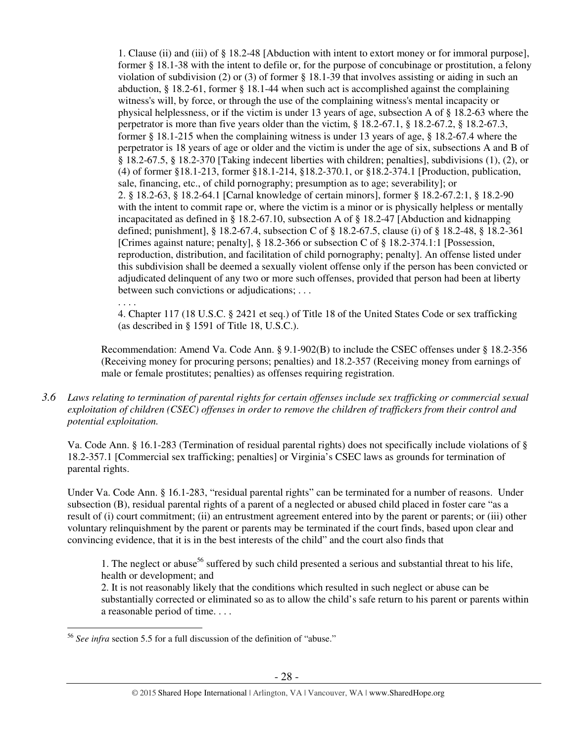1. Clause (ii) and (iii) of § 18.2-48 [Abduction with intent to extort money or for immoral purpose], former § 18.1-38 with the intent to defile or, for the purpose of concubinage or prostitution, a felony violation of subdivision (2) or (3) of former § 18.1-39 that involves assisting or aiding in such an abduction, § 18.2-61, former § 18.1-44 when such act is accomplished against the complaining witness's will, by force, or through the use of the complaining witness's mental incapacity or physical helplessness, or if the victim is under 13 years of age, subsection A of § 18.2-63 where the perpetrator is more than five years older than the victim, § 18.2-67.1, § 18.2-67.2, § 18.2-67.3, former § 18.1-215 when the complaining witness is under 13 years of age, § 18.2-67.4 where the perpetrator is 18 years of age or older and the victim is under the age of six, subsections A and B of § 18.2-67.5, § 18.2-370 [Taking indecent liberties with children; penalties], subdivisions (1), (2), or (4) of former §18.1-213, former §18.1-214, §18.2-370.1, or §18.2-374.1 [Production, publication, sale, financing, etc., of child pornography; presumption as to age; severability]; or 2. § 18.2-63, § 18.2-64.1 [Carnal knowledge of certain minors], former § 18.2-67.2:1, § 18.2-90 with the intent to commit rape or, where the victim is a minor or is physically helpless or mentally incapacitated as defined in § 18.2-67.10, subsection A of § 18.2-47 [Abduction and kidnapping defined; punishment], § 18.2-67.4, subsection C of § 18.2-67.5, clause (i) of § 18.2-48, § 18.2-361 [Crimes against nature; penalty], § 18.2-366 or subsection C of § 18.2-374.1:1 [Possession, reproduction, distribution, and facilitation of child pornography; penalty]. An offense listed under this subdivision shall be deemed a sexually violent offense only if the person has been convicted or adjudicated delinquent of any two or more such offenses, provided that person had been at liberty between such convictions or adjudications; . . .

4. Chapter 117 (18 U.S.C. § 2421 et seq.) of Title 18 of the United States Code or sex trafficking (as described in § 1591 of Title 18, U.S.C.).

Recommendation: Amend Va. Code Ann. § 9.1-902(B) to include the CSEC offenses under § 18.2-356 (Receiving money for procuring persons; penalties) and 18.2-357 (Receiving money from earnings of male or female prostitutes; penalties) as offenses requiring registration.

*3.6 Laws relating to termination of parental rights for certain offenses include sex trafficking or commercial sexual exploitation of children (CSEC) offenses in order to remove the children of traffickers from their control and potential exploitation.* 

Va. Code Ann. § 16.1-283 (Termination of residual parental rights) does not specifically include violations of § 18.2-357.1 [Commercial sex trafficking; penalties] or Virginia's CSEC laws as grounds for termination of parental rights.

Under Va. Code Ann. § 16.1-283, "residual parental rights" can be terminated for a number of reasons. Under subsection (B), residual parental rights of a parent of a neglected or abused child placed in foster care "as a result of (i) court commitment; (ii) an entrustment agreement entered into by the parent or parents; or (iii) other voluntary relinquishment by the parent or parents may be terminated if the court finds, based upon clear and convincing evidence, that it is in the best interests of the child" and the court also finds that

1. The neglect or abuse<sup>56</sup> suffered by such child presented a serious and substantial threat to his life, health or development; and

2. It is not reasonably likely that the conditions which resulted in such neglect or abuse can be substantially corrected or eliminated so as to allow the child's safe return to his parent or parents within a reasonable period of time. . . .

. . . .

 $\overline{a}$ <sup>56</sup> *See infra* section 5.5 for a full discussion of the definition of "abuse."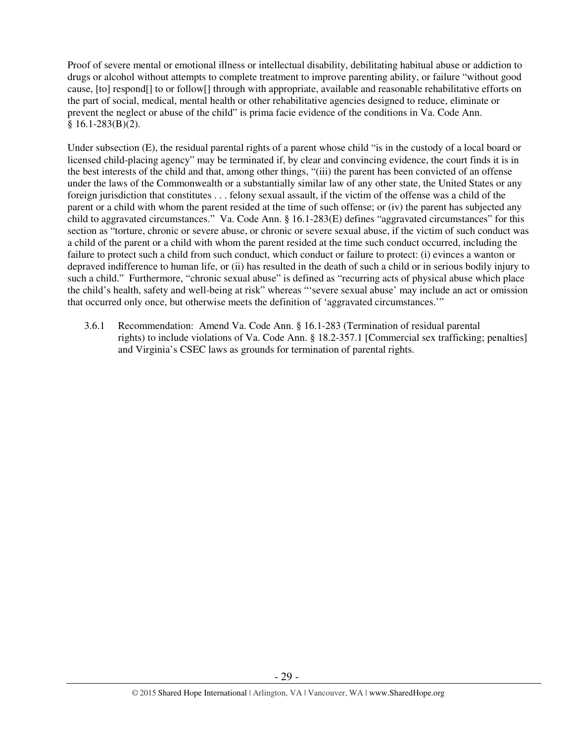Proof of severe mental or emotional illness or intellectual disability, debilitating habitual abuse or addiction to drugs or alcohol without attempts to complete treatment to improve parenting ability, or failure "without good cause, [to] respond[] to or follow[] through with appropriate, available and reasonable rehabilitative efforts on the part of social, medical, mental health or other rehabilitative agencies designed to reduce, eliminate or prevent the neglect or abuse of the child" is prima facie evidence of the conditions in Va. Code Ann.  $§ 16.1-283(B)(2).$ 

Under subsection (E), the residual parental rights of a parent whose child "is in the custody of a local board or licensed child-placing agency" may be terminated if, by clear and convincing evidence, the court finds it is in the best interests of the child and that, among other things, "(iii) the parent has been convicted of an offense under the laws of the Commonwealth or a substantially similar law of any other state, the United States or any foreign jurisdiction that constitutes . . . felony sexual assault, if the victim of the offense was a child of the parent or a child with whom the parent resided at the time of such offense; or (iv) the parent has subjected any child to aggravated circumstances." Va. Code Ann. § 16.1-283(E) defines "aggravated circumstances" for this section as "torture, chronic or severe abuse, or chronic or severe sexual abuse, if the victim of such conduct was a child of the parent or a child with whom the parent resided at the time such conduct occurred, including the failure to protect such a child from such conduct, which conduct or failure to protect: (i) evinces a wanton or depraved indifference to human life, or (ii) has resulted in the death of such a child or in serious bodily injury to such a child." Furthermore, "chronic sexual abuse" is defined as "recurring acts of physical abuse which place the child's health, safety and well-being at risk" whereas "'severe sexual abuse' may include an act or omission that occurred only once, but otherwise meets the definition of 'aggravated circumstances.'"

3.6.1 Recommendation: Amend Va. Code Ann. § 16.1-283 (Termination of residual parental rights) to include violations of Va. Code Ann. § 18.2-357.1 [Commercial sex trafficking; penalties] and Virginia's CSEC laws as grounds for termination of parental rights.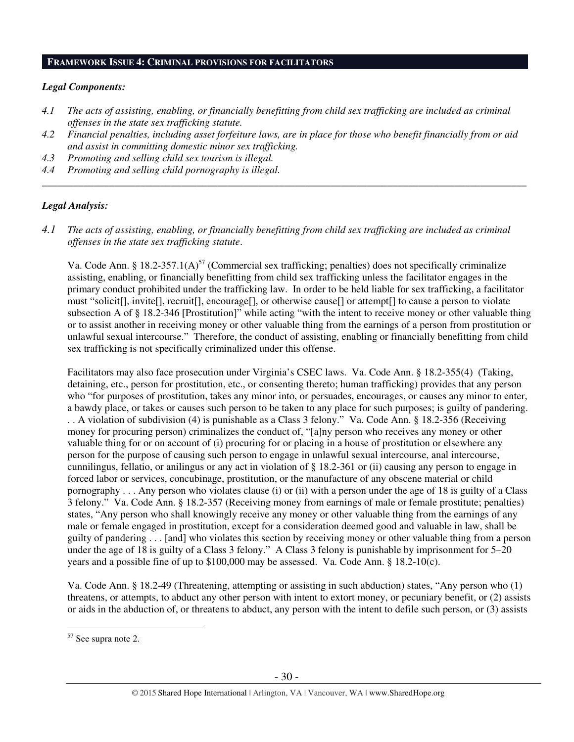### **FRAMEWORK ISSUE 4: CRIMINAL PROVISIONS FOR FACILITATORS**

#### *Legal Components:*

- *4.1 The acts of assisting, enabling, or financially benefitting from child sex trafficking are included as criminal offenses in the state sex trafficking statute.*
- *4.2 Financial penalties, including asset forfeiture laws, are in place for those who benefit financially from or aid and assist in committing domestic minor sex trafficking.*

*\_\_\_\_\_\_\_\_\_\_\_\_\_\_\_\_\_\_\_\_\_\_\_\_\_\_\_\_\_\_\_\_\_\_\_\_\_\_\_\_\_\_\_\_\_\_\_\_\_\_\_\_\_\_\_\_\_\_\_\_\_\_\_\_\_\_\_\_\_\_\_\_\_\_\_\_\_\_\_\_\_\_\_\_\_\_\_\_\_\_\_\_\_\_* 

- *4.3 Promoting and selling child sex tourism is illegal.*
- *4.4 Promoting and selling child pornography is illegal.*

#### *Legal Analysis:*

*4.1 The acts of assisting, enabling, or financially benefitting from child sex trafficking are included as criminal offenses in the state sex trafficking statute*.

Va. Code Ann. § 18.2-357.1(A)<sup>57</sup> (Commercial sex trafficking; penalties) does not specifically criminalize assisting, enabling, or financially benefitting from child sex trafficking unless the facilitator engages in the primary conduct prohibited under the trafficking law. In order to be held liable for sex trafficking, a facilitator must "solicit[], invite[], recruit[], encourage[], or otherwise cause[] or attempt[] to cause a person to violate subsection A of § 18.2-346 [Prostitution]" while acting "with the intent to receive money or other valuable thing or to assist another in receiving money or other valuable thing from the earnings of a person from prostitution or unlawful sexual intercourse." Therefore, the conduct of assisting, enabling or financially benefitting from child sex trafficking is not specifically criminalized under this offense.

Facilitators may also face prosecution under Virginia's CSEC laws. Va. Code Ann. § 18.2-355(4) (Taking, detaining, etc., person for prostitution, etc., or consenting thereto; human trafficking) provides that any person who "for purposes of prostitution, takes any minor into, or persuades, encourages, or causes any minor to enter, a bawdy place, or takes or causes such person to be taken to any place for such purposes; is guilty of pandering. . . A violation of subdivision (4) is punishable as a Class 3 felony." Va. Code Ann. § 18.2-356 (Receiving money for procuring person) criminalizes the conduct of, "[a]ny person who receives any money or other valuable thing for or on account of (i) procuring for or placing in a house of prostitution or elsewhere any person for the purpose of causing such person to engage in unlawful sexual intercourse, anal intercourse, cunnilingus, fellatio, or anilingus or any act in violation of § 18.2-361 or (ii) causing any person to engage in forced labor or services, concubinage, prostitution, or the manufacture of any obscene material or child pornography . . . Any person who violates clause (i) or (ii) with a person under the age of 18 is guilty of a Class 3 felony." Va. Code Ann. § 18.2-357 (Receiving money from earnings of male or female prostitute; penalties) states, "Any person who shall knowingly receive any money or other valuable thing from the earnings of any male or female engaged in prostitution, except for a consideration deemed good and valuable in law, shall be guilty of pandering . . . [and] who violates this section by receiving money or other valuable thing from a person under the age of 18 is guilty of a Class 3 felony." A Class 3 felony is punishable by imprisonment for 5–20 years and a possible fine of up to \$100,000 may be assessed. Va. Code Ann. § 18.2-10(c).

Va. Code Ann. § 18.2-49 (Threatening, attempting or assisting in such abduction) states, "Any person who (1) threatens, or attempts, to abduct any other person with intent to extort money, or pecuniary benefit, or (2) assists or aids in the abduction of, or threatens to abduct, any person with the intent to defile such person, or (3) assists

<sup>&</sup>lt;sup>57</sup> See supra note 2.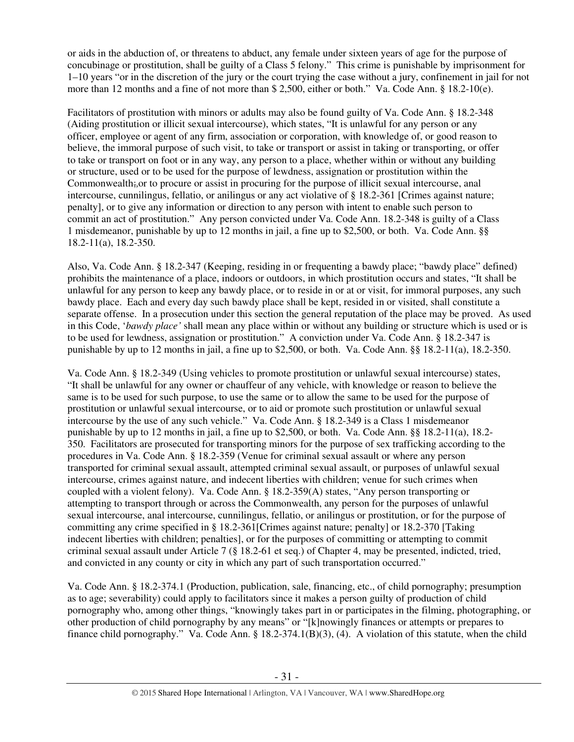or aids in the abduction of, or threatens to abduct, any female under sixteen years of age for the purpose of concubinage or prostitution, shall be guilty of a Class 5 felony." This crime is punishable by imprisonment for 1–10 years "or in the discretion of the jury or the court trying the case without a jury, confinement in jail for not more than 12 months and a fine of not more than \$ 2,500, either or both." Va. Code Ann. § 18.2-10(e).

Facilitators of prostitution with minors or adults may also be found guilty of Va. Code Ann. § 18.2-348 (Aiding prostitution or illicit sexual intercourse), which states, "It is unlawful for any person or any officer, employee or agent of any firm, association or corporation, with knowledge of, or good reason to believe, the immoral purpose of such visit, to take or transport or assist in taking or transporting, or offer to take or transport on foot or in any way, any person to a place, whether within or without any building or structure, used or to be used for the purpose of lewdness, assignation or prostitution within the Commonwealth;,or to procure or assist in procuring for the purpose of illicit sexual intercourse, anal intercourse, cunnilingus, fellatio, or anilingus or any act violative of § 18.2-361 [Crimes against nature; penalty], or to give any information or direction to any person with intent to enable such person to commit an act of prostitution." Any person convicted under Va. Code Ann. 18.2-348 is guilty of a Class 1 misdemeanor, punishable by up to 12 months in jail, a fine up to \$2,500, or both. Va. Code Ann. §§ 18.2-11(a), 18.2-350.

Also, Va. Code Ann. § 18.2-347 (Keeping, residing in or frequenting a bawdy place; "bawdy place" defined) prohibits the maintenance of a place, indoors or outdoors, in which prostitution occurs and states, "It shall be unlawful for any person to keep any bawdy place, or to reside in or at or visit, for immoral purposes, any such bawdy place. Each and every day such bawdy place shall be kept, resided in or visited, shall constitute a separate offense. In a prosecution under this section the general reputation of the place may be proved. As used in this Code, '*bawdy place'* shall mean any place within or without any building or structure which is used or is to be used for lewdness, assignation or prostitution." A conviction under Va. Code Ann. § 18.2-347 is punishable by up to 12 months in jail, a fine up to \$2,500, or both. Va. Code Ann. §§ 18.2-11(a), 18.2-350.

Va. Code Ann. § 18.2-349 (Using vehicles to promote prostitution or unlawful sexual intercourse) states, "It shall be unlawful for any owner or chauffeur of any vehicle, with knowledge or reason to believe the same is to be used for such purpose, to use the same or to allow the same to be used for the purpose of prostitution or unlawful sexual intercourse, or to aid or promote such prostitution or unlawful sexual intercourse by the use of any such vehicle." Va. Code Ann. § 18.2-349 is a Class 1 misdemeanor punishable by up to 12 months in jail, a fine up to  $$2,500$ , or both. Va. Code Ann. §§ 18.2-11(a), 18.2-350. Facilitators are prosecuted for transporting minors for the purpose of sex trafficking according to the procedures in Va. Code Ann. § 18.2-359 (Venue for criminal sexual assault or where any person transported for criminal sexual assault, attempted criminal sexual assault, or purposes of unlawful sexual intercourse, crimes against nature, and indecent liberties with children; venue for such crimes when coupled with a violent felony). Va. Code Ann. § 18.2-359(A) states, "Any person transporting or attempting to transport through or across the Commonwealth, any person for the purposes of unlawful sexual intercourse, anal intercourse, cunnilingus, fellatio, or anilingus or prostitution, or for the purpose of committing any crime specified in § 18.2-361[Crimes against nature; penalty] or 18.2-370 [Taking indecent liberties with children; penalties], or for the purposes of committing or attempting to commit criminal sexual assault under Article 7 (§ 18.2-61 et seq.) of Chapter 4, may be presented, indicted, tried, and convicted in any county or city in which any part of such transportation occurred."

Va. Code Ann. § 18.2-374.1 (Production, publication, sale, financing, etc., of child pornography; presumption as to age; severability) could apply to facilitators since it makes a person guilty of production of child pornography who, among other things, "knowingly takes part in or participates in the filming, photographing, or other production of child pornography by any means" or "[k]nowingly finances or attempts or prepares to finance child pornography." Va. Code Ann. § 18.2-374.1(B)(3), (4). A violation of this statute, when the child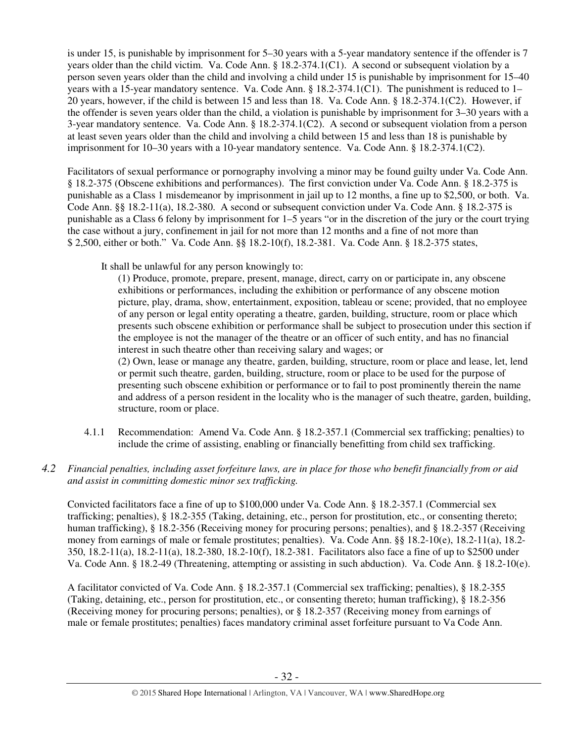is under 15, is punishable by imprisonment for 5–30 years with a 5-year mandatory sentence if the offender is 7 years older than the child victim. Va. Code Ann. § 18.2-374.1(C1). A second or subsequent violation by a person seven years older than the child and involving a child under 15 is punishable by imprisonment for 15–40 years with a 15-year mandatory sentence. Va. Code Ann. § 18.2-374.1(C1). The punishment is reduced to 1– 20 years, however, if the child is between 15 and less than 18. Va. Code Ann. § 18.2-374.1(C2). However, if the offender is seven years older than the child, a violation is punishable by imprisonment for 3–30 years with a 3-year mandatory sentence. Va. Code Ann. § 18.2-374.1(C2). A second or subsequent violation from a person at least seven years older than the child and involving a child between 15 and less than 18 is punishable by imprisonment for 10–30 years with a 10-year mandatory sentence. Va. Code Ann. § 18.2-374.1(C2).

Facilitators of sexual performance or pornography involving a minor may be found guilty under Va. Code Ann. § 18.2-375 (Obscene exhibitions and performances). The first conviction under Va. Code Ann. § 18.2-375 is punishable as a Class 1 misdemeanor by imprisonment in jail up to 12 months, a fine up to \$2,500, or both. Va. Code Ann. §§ 18.2-11(a), 18.2-380. A second or subsequent conviction under Va. Code Ann. § 18.2-375 is punishable as a Class 6 felony by imprisonment for 1–5 years "or in the discretion of the jury or the court trying the case without a jury, confinement in jail for not more than 12 months and a fine of not more than \$ 2,500, either or both." Va. Code Ann. §§ 18.2-10(f), 18.2-381. Va. Code Ann. § 18.2-375 states,

It shall be unlawful for any person knowingly to:

(1) Produce, promote, prepare, present, manage, direct, carry on or participate in, any obscene exhibitions or performances, including the exhibition or performance of any obscene motion picture, play, drama, show, entertainment, exposition, tableau or scene; provided, that no employee of any person or legal entity operating a theatre, garden, building, structure, room or place which presents such obscene exhibition or performance shall be subject to prosecution under this section if the employee is not the manager of the theatre or an officer of such entity, and has no financial interest in such theatre other than receiving salary and wages; or

(2) Own, lease or manage any theatre, garden, building, structure, room or place and lease, let, lend or permit such theatre, garden, building, structure, room or place to be used for the purpose of presenting such obscene exhibition or performance or to fail to post prominently therein the name and address of a person resident in the locality who is the manager of such theatre, garden, building, structure, room or place.

4.1.1 Recommendation: Amend Va. Code Ann. § 18.2-357.1 (Commercial sex trafficking; penalties) to include the crime of assisting, enabling or financially benefitting from child sex trafficking.

# *4.2 Financial penalties, including asset forfeiture laws, are in place for those who benefit financially from or aid and assist in committing domestic minor sex trafficking.*

Convicted facilitators face a fine of up to \$100,000 under Va. Code Ann. § 18.2-357.1 (Commercial sex trafficking; penalties), § 18.2-355 (Taking, detaining, etc., person for prostitution, etc., or consenting thereto; human trafficking), § 18.2-356 (Receiving money for procuring persons; penalties), and § 18.2-357 (Receiving money from earnings of male or female prostitutes; penalties). Va. Code Ann. §§ 18.2-10(e), 18.2-11(a), 18.2- 350, 18.2-11(a), 18.2-11(a), 18.2-380, 18.2-10(f), 18.2-381. Facilitators also face a fine of up to \$2500 under Va. Code Ann. § 18.2-49 (Threatening, attempting or assisting in such abduction). Va. Code Ann. § 18.2-10(e).

A facilitator convicted of Va. Code Ann. § 18.2-357.1 (Commercial sex trafficking; penalties), § 18.2-355 (Taking, detaining, etc., person for prostitution, etc., or consenting thereto; human trafficking), § 18.2-356 (Receiving money for procuring persons; penalties), or § 18.2-357 (Receiving money from earnings of male or female prostitutes; penalties) faces mandatory criminal asset forfeiture pursuant to Va Code Ann.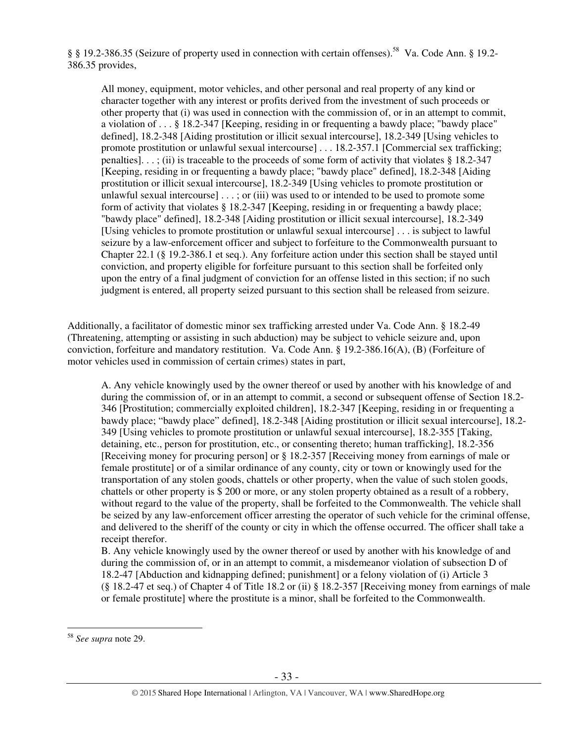§ § 19.2-386.35 (Seizure of property used in connection with certain offenses).<sup>58</sup> Va. Code Ann. § 19.2- 386.35 provides,

All money, equipment, motor vehicles, and other personal and real property of any kind or character together with any interest or profits derived from the investment of such proceeds or other property that (i) was used in connection with the commission of, or in an attempt to commit, a violation of . . . § 18.2-347 [Keeping, residing in or frequenting a bawdy place; "bawdy place" defined], 18.2-348 [Aiding prostitution or illicit sexual intercourse], 18.2-349 [Using vehicles to promote prostitution or unlawful sexual intercourse] . . . 18.2-357.1 [Commercial sex trafficking; penalties]. . . ; (ii) is traceable to the proceeds of some form of activity that violates § 18.2-347 [Keeping, residing in or frequenting a bawdy place; "bawdy place" defined], 18.2-348 [Aiding prostitution or illicit sexual intercourse], 18.2-349 [Using vehicles to promote prostitution or unlawful sexual intercourse] . . . ; or (iii) was used to or intended to be used to promote some form of activity that violates § 18.2-347 [Keeping, residing in or frequenting a bawdy place; "bawdy place" defined], 18.2-348 [Aiding prostitution or illicit sexual intercourse], 18.2-349 [Using vehicles to promote prostitution or unlawful sexual intercourse] . . . is subject to lawful seizure by a law-enforcement officer and subject to forfeiture to the Commonwealth pursuant to Chapter 22.1 (§ 19.2-386.1 et seq.). Any forfeiture action under this section shall be stayed until conviction, and property eligible for forfeiture pursuant to this section shall be forfeited only upon the entry of a final judgment of conviction for an offense listed in this section; if no such judgment is entered, all property seized pursuant to this section shall be released from seizure.

Additionally, a facilitator of domestic minor sex trafficking arrested under Va. Code Ann. § 18.2-49 (Threatening, attempting or assisting in such abduction) may be subject to vehicle seizure and, upon conviction, forfeiture and mandatory restitution. Va. Code Ann. § 19.2-386.16(A), (B) (Forfeiture of motor vehicles used in commission of certain crimes) states in part,

A. Any vehicle knowingly used by the owner thereof or used by another with his knowledge of and during the commission of, or in an attempt to commit, a second or subsequent offense of Section 18.2- 346 [Prostitution; commercially exploited children], 18.2-347 [Keeping, residing in or frequenting a bawdy place; "bawdy place" defined], 18.2-348 [Aiding prostitution or illicit sexual intercourse], 18.2- 349 [Using vehicles to promote prostitution or unlawful sexual intercourse], 18.2-355 [Taking, detaining, etc., person for prostitution, etc., or consenting thereto; human trafficking], 18.2-356 [Receiving money for procuring person] or § 18.2-357 [Receiving money from earnings of male or female prostitute] or of a similar ordinance of any county, city or town or knowingly used for the transportation of any stolen goods, chattels or other property, when the value of such stolen goods, chattels or other property is \$ 200 or more, or any stolen property obtained as a result of a robbery, without regard to the value of the property, shall be forfeited to the Commonwealth. The vehicle shall be seized by any law-enforcement officer arresting the operator of such vehicle for the criminal offense, and delivered to the sheriff of the county or city in which the offense occurred. The officer shall take a receipt therefor.

B. Any vehicle knowingly used by the owner thereof or used by another with his knowledge of and during the commission of, or in an attempt to commit, a misdemeanor violation of subsection D of 18.2-47 [Abduction and kidnapping defined; punishment] or a felony violation of (i) Article 3 (§ 18.2-47 et seq.) of Chapter 4 of Title 18.2 or (ii) § 18.2-357 [Receiving money from earnings of male or female prostitute] where the prostitute is a minor, shall be forfeited to the Commonwealth.

<sup>58</sup> *See supra* note 29.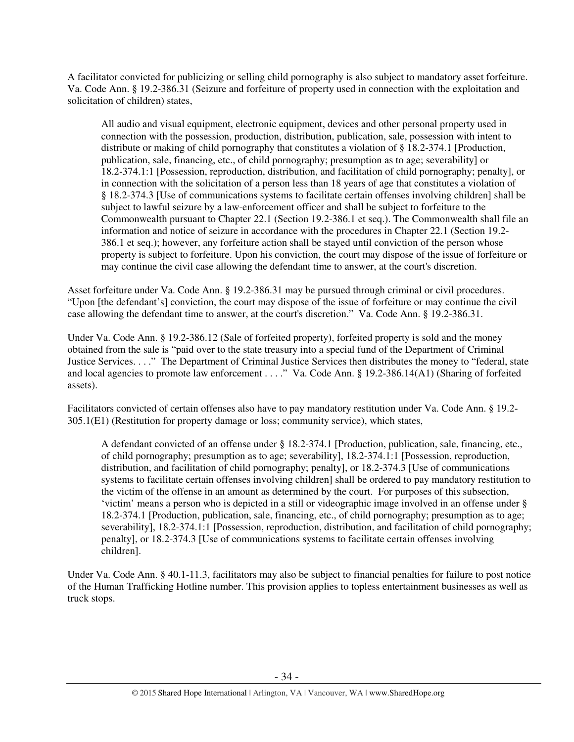A facilitator convicted for publicizing or selling child pornography is also subject to mandatory asset forfeiture. Va. Code Ann. § 19.2-386.31 (Seizure and forfeiture of property used in connection with the exploitation and solicitation of children) states,

All audio and visual equipment, electronic equipment, devices and other personal property used in connection with the possession, production, distribution, publication, sale, possession with intent to distribute or making of child pornography that constitutes a violation of § 18.2-374.1 [Production, publication, sale, financing, etc., of child pornography; presumption as to age; severability] or 18.2-374.1:1 [Possession, reproduction, distribution, and facilitation of child pornography; penalty], or in connection with the solicitation of a person less than 18 years of age that constitutes a violation of § 18.2-374.3 [Use of communications systems to facilitate certain offenses involving children] shall be subject to lawful seizure by a law-enforcement officer and shall be subject to forfeiture to the Commonwealth pursuant to Chapter 22.1 (Section 19.2-386.1 et seq.). The Commonwealth shall file an information and notice of seizure in accordance with the procedures in Chapter 22.1 (Section 19.2- 386.1 et seq.); however, any forfeiture action shall be stayed until conviction of the person whose property is subject to forfeiture. Upon his conviction, the court may dispose of the issue of forfeiture or may continue the civil case allowing the defendant time to answer, at the court's discretion.

Asset forfeiture under Va. Code Ann. § 19.2-386.31 may be pursued through criminal or civil procedures. "Upon [the defendant's] conviction, the court may dispose of the issue of forfeiture or may continue the civil case allowing the defendant time to answer, at the court's discretion." Va. Code Ann. § 19.2-386.31.

Under Va. Code Ann. § 19.2-386.12 (Sale of forfeited property), forfeited property is sold and the money obtained from the sale is "paid over to the state treasury into a special fund of the Department of Criminal Justice Services. . . ." The Department of Criminal Justice Services then distributes the money to "federal, state and local agencies to promote law enforcement . . . ." Va. Code Ann. § 19.2-386.14(A1) (Sharing of forfeited assets).

Facilitators convicted of certain offenses also have to pay mandatory restitution under Va. Code Ann. § 19.2- 305.1(E1) (Restitution for property damage or loss; community service), which states,

A defendant convicted of an offense under § 18.2-374.1 [Production, publication, sale, financing, etc., of child pornography; presumption as to age; severability], 18.2-374.1:1 [Possession, reproduction, distribution, and facilitation of child pornography; penalty], or 18.2-374.3 [Use of communications systems to facilitate certain offenses involving children] shall be ordered to pay mandatory restitution to the victim of the offense in an amount as determined by the court. For purposes of this subsection, 'victim' means a person who is depicted in a still or videographic image involved in an offense under § 18.2-374.1 [Production, publication, sale, financing, etc., of child pornography; presumption as to age; severability], 18.2-374.1:1 [Possession, reproduction, distribution, and facilitation of child pornography; penalty], or 18.2-374.3 [Use of communications systems to facilitate certain offenses involving children].

Under Va. Code Ann. § 40.1-11.3, facilitators may also be subject to financial penalties for failure to post notice of the Human Trafficking Hotline number. This provision applies to topless entertainment businesses as well as truck stops.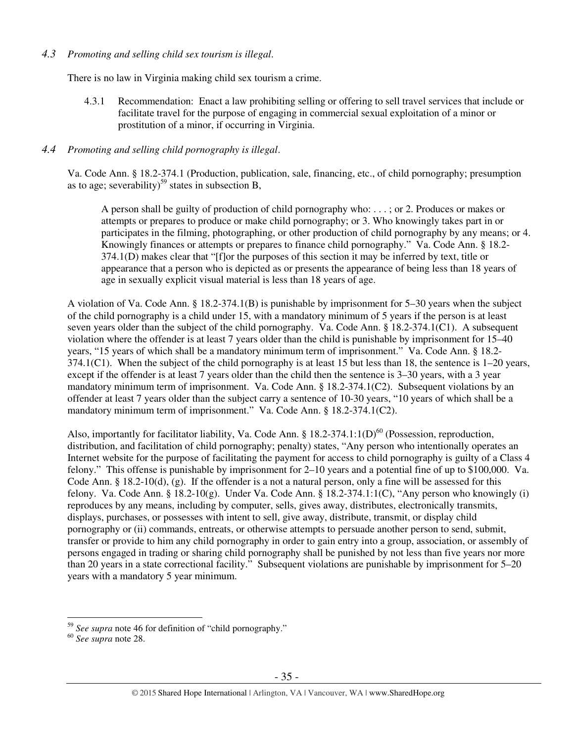## *4.3 Promoting and selling child sex tourism is illegal*.

There is no law in Virginia making child sex tourism a crime.

4.3.1 Recommendation: Enact a law prohibiting selling or offering to sell travel services that include or facilitate travel for the purpose of engaging in commercial sexual exploitation of a minor or prostitution of a minor, if occurring in Virginia.

## *4.4 Promoting and selling child pornography is illegal*.

Va. Code Ann. § 18.2-374.1 (Production, publication, sale, financing, etc., of child pornography; presumption as to age; severability)<sup>59</sup> states in subsection B,

A person shall be guilty of production of child pornography who: . . . ; or 2. Produces or makes or attempts or prepares to produce or make child pornography; or 3. Who knowingly takes part in or participates in the filming, photographing, or other production of child pornography by any means; or 4. Knowingly finances or attempts or prepares to finance child pornography." Va. Code Ann. § 18.2- 374.1(D) makes clear that "[f]or the purposes of this section it may be inferred by text, title or appearance that a person who is depicted as or presents the appearance of being less than 18 years of age in sexually explicit visual material is less than 18 years of age.

A violation of Va. Code Ann. § 18.2-374.1(B) is punishable by imprisonment for 5–30 years when the subject of the child pornography is a child under 15, with a mandatory minimum of 5 years if the person is at least seven years older than the subject of the child pornography. Va. Code Ann. § 18.2-374.1(C1). A subsequent violation where the offender is at least 7 years older than the child is punishable by imprisonment for 15–40 years, "15 years of which shall be a mandatory minimum term of imprisonment." Va. Code Ann. § 18.2-  $374.1(C1)$ . When the subject of the child pornography is at least 15 but less than 18, the sentence is  $1-20$  years, except if the offender is at least 7 years older than the child then the sentence is 3–30 years, with a 3 year mandatory minimum term of imprisonment. Va. Code Ann. § 18.2-374.1(C2). Subsequent violations by an offender at least 7 years older than the subject carry a sentence of 10-30 years, "10 years of which shall be a mandatory minimum term of imprisonment." Va. Code Ann. § 18.2-374.1(C2).

Also, importantly for facilitator liability, Va. Code Ann. §  $18.2-374.1:1(D)<sup>60</sup>$  (Possession, reproduction, distribution, and facilitation of child pornography; penalty) states, "Any person who intentionally operates an Internet website for the purpose of facilitating the payment for access to child pornography is guilty of a Class 4 felony." This offense is punishable by imprisonment for 2–10 years and a potential fine of up to \$100,000. Va. Code Ann.  $\S$  18.2-10(d), (g). If the offender is a not a natural person, only a fine will be assessed for this felony. Va. Code Ann. § 18.2-10(g). Under Va. Code Ann. § 18.2-374.1:1(C), "Any person who knowingly (i) reproduces by any means, including by computer, sells, gives away, distributes, electronically transmits, displays, purchases, or possesses with intent to sell, give away, distribute, transmit, or display child pornography or (ii) commands, entreats, or otherwise attempts to persuade another person to send, submit, transfer or provide to him any child pornography in order to gain entry into a group, association, or assembly of persons engaged in trading or sharing child pornography shall be punished by not less than five years nor more than 20 years in a state correctional facility." Subsequent violations are punishable by imprisonment for 5–20 years with a mandatory 5 year minimum.

 $\overline{a}$ <sup>59</sup> *See supra* note 46 for definition of "child pornography."

<sup>60</sup> *See supra* note 28.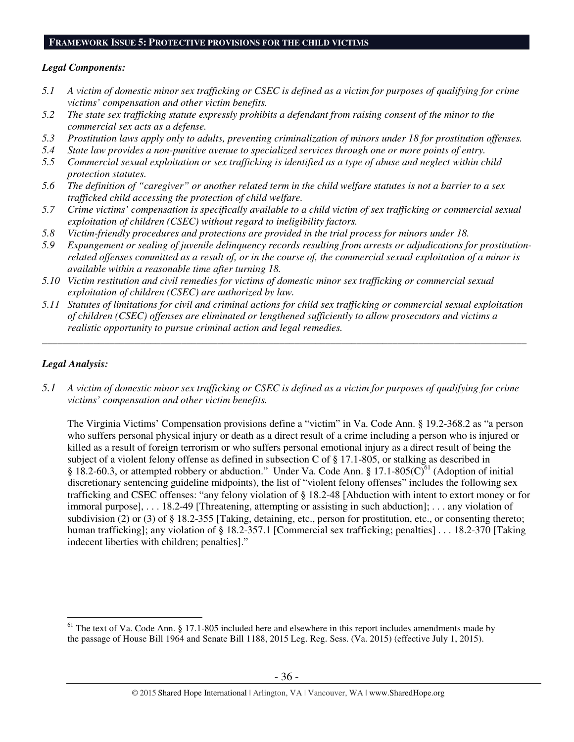#### **FRAMEWORK ISSUE 5: PROTECTIVE PROVISIONS FOR THE CHILD VICTIMS**

#### *Legal Components:*

- *5.1 A victim of domestic minor sex trafficking or CSEC is defined as a victim for purposes of qualifying for crime victims' compensation and other victim benefits.*
- *5.2 The state sex trafficking statute expressly prohibits a defendant from raising consent of the minor to the commercial sex acts as a defense.*
- *5.3 Prostitution laws apply only to adults, preventing criminalization of minors under 18 for prostitution offenses.*
- *5.4 State law provides a non-punitive avenue to specialized services through one or more points of entry.*
- *5.5 Commercial sexual exploitation or sex trafficking is identified as a type of abuse and neglect within child protection statutes.*
- *5.6 The definition of "caregiver" or another related term in the child welfare statutes is not a barrier to a sex trafficked child accessing the protection of child welfare.*
- *5.7 Crime victims' compensation is specifically available to a child victim of sex trafficking or commercial sexual exploitation of children (CSEC) without regard to ineligibility factors.*
- *5.8 Victim-friendly procedures and protections are provided in the trial process for minors under 18.*
- *5.9 Expungement or sealing of juvenile delinquency records resulting from arrests or adjudications for prostitutionrelated offenses committed as a result of, or in the course of, the commercial sexual exploitation of a minor is available within a reasonable time after turning 18.*
- *5.10 Victim restitution and civil remedies for victims of domestic minor sex trafficking or commercial sexual exploitation of children (CSEC) are authorized by law.*
- *5.11 Statutes of limitations for civil and criminal actions for child sex trafficking or commercial sexual exploitation of children (CSEC) offenses are eliminated or lengthened sufficiently to allow prosecutors and victims a realistic opportunity to pursue criminal action and legal remedies.*

*\_\_\_\_\_\_\_\_\_\_\_\_\_\_\_\_\_\_\_\_\_\_\_\_\_\_\_\_\_\_\_\_\_\_\_\_\_\_\_\_\_\_\_\_\_\_\_\_\_\_\_\_\_\_\_\_\_\_\_\_\_\_\_\_\_\_\_\_\_\_\_\_\_\_\_\_\_\_\_\_\_\_\_\_\_\_\_\_\_\_\_\_\_\_* 

## *Legal Analysis:*

 $\overline{a}$ 

*5.1 A victim of domestic minor sex trafficking or CSEC is defined as a victim for purposes of qualifying for crime victims' compensation and other victim benefits.* 

The Virginia Victims' Compensation provisions define a "victim" in Va. Code Ann. § 19.2-368.2 as "a person who suffers personal physical injury or death as a direct result of a crime including a person who is injured or killed as a result of foreign terrorism or who suffers personal emotional injury as a direct result of being the subject of a violent felony offense as defined in subsection C of § 17.1-805, or stalking as described in § 18.2-60.3, or attempted robbery or abduction." Under Va. Code Ann. § 17.1-805( $\check{C}^{61}$  (Adoption of initial discretionary sentencing guideline midpoints), the list of "violent felony offenses" includes the following sex trafficking and CSEC offenses: "any felony violation of § 18.2-48 [Abduction with intent to extort money or for immoral purpose], . . . 18.2-49 [Threatening, attempting or assisting in such abduction]; . . . any violation of subdivision (2) or (3) of § 18.2-355 [Taking, detaining, etc., person for prostitution, etc., or consenting thereto; human trafficking]; any violation of § 18.2-357.1 [Commercial sex trafficking; penalties] . . . 18.2-370 [Taking indecent liberties with children; penalties]."

 $<sup>61</sup>$  The text of Va. Code Ann. § 17.1-805 included here and elsewhere in this report includes amendments made by</sup> the passage of House Bill 1964 and Senate Bill 1188, 2015 Leg. Reg. Sess. (Va. 2015) (effective July 1, 2015).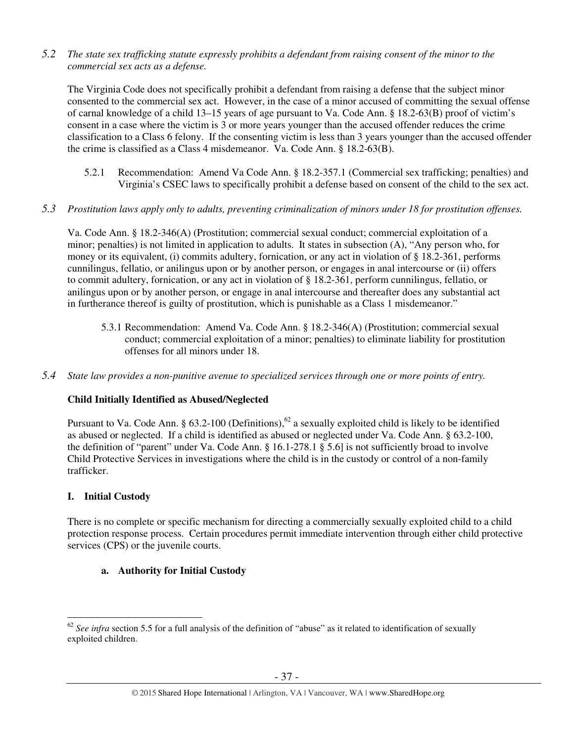*5.2 The state sex trafficking statute expressly prohibits a defendant from raising consent of the minor to the commercial sex acts as a defense.* 

The Virginia Code does not specifically prohibit a defendant from raising a defense that the subject minor consented to the commercial sex act. However, in the case of a minor accused of committing the sexual offense of carnal knowledge of a child 13–15 years of age pursuant to Va. Code Ann. § 18.2-63(B) proof of victim's consent in a case where the victim is 3 or more years younger than the accused offender reduces the crime classification to a Class 6 felony. If the consenting victim is less than 3 years younger than the accused offender the crime is classified as a Class 4 misdemeanor. Va. Code Ann. § 18.2-63(B).

- 5.2.1 Recommendation: Amend Va Code Ann. § 18.2-357.1 (Commercial sex trafficking; penalties) and Virginia's CSEC laws to specifically prohibit a defense based on consent of the child to the sex act.
- *5.3 Prostitution laws apply only to adults, preventing criminalization of minors under 18 for prostitution offenses.*

Va. Code Ann. § 18.2-346(A) (Prostitution; commercial sexual conduct; commercial exploitation of a minor; penalties) is not limited in application to adults. It states in subsection (A), "Any person who, for money or its equivalent, (i) commits adultery, fornication, or any act in violation of § 18.2-361, performs cunnilingus, fellatio, or anilingus upon or by another person, or engages in anal intercourse or (ii) offers to commit adultery, fornication, or any act in violation of § 18.2-361, perform cunnilingus, fellatio, or anilingus upon or by another person, or engage in anal intercourse and thereafter does any substantial act in furtherance thereof is guilty of prostitution, which is punishable as a Class 1 misdemeanor."

- 5.3.1 Recommendation: Amend Va. Code Ann. § 18.2-346(A) (Prostitution; commercial sexual conduct; commercial exploitation of a minor; penalties) to eliminate liability for prostitution offenses for all minors under 18.
- *5.4 State law provides a non-punitive avenue to specialized services through one or more points of entry.*

# **Child Initially Identified as Abused/Neglected**

Pursuant to Va. Code Ann. § 63.2-100 (Definitions),<sup>62</sup> a sexually exploited child is likely to be identified as abused or neglected. If a child is identified as abused or neglected under Va. Code Ann. § 63.2-100, the definition of "parent" under Va. Code Ann. § 16.1-278.1 § 5.6] is not sufficiently broad to involve Child Protective Services in investigations where the child is in the custody or control of a non-family trafficker.

# **I. Initial Custody**

There is no complete or specific mechanism for directing a commercially sexually exploited child to a child protection response process. Certain procedures permit immediate intervention through either child protective services (CPS) or the juvenile courts.

# **a. Authority for Initial Custody**

 $\overline{a}$  $62$  *See infra* section 5.5 for a full analysis of the definition of "abuse" as it related to identification of sexually exploited children.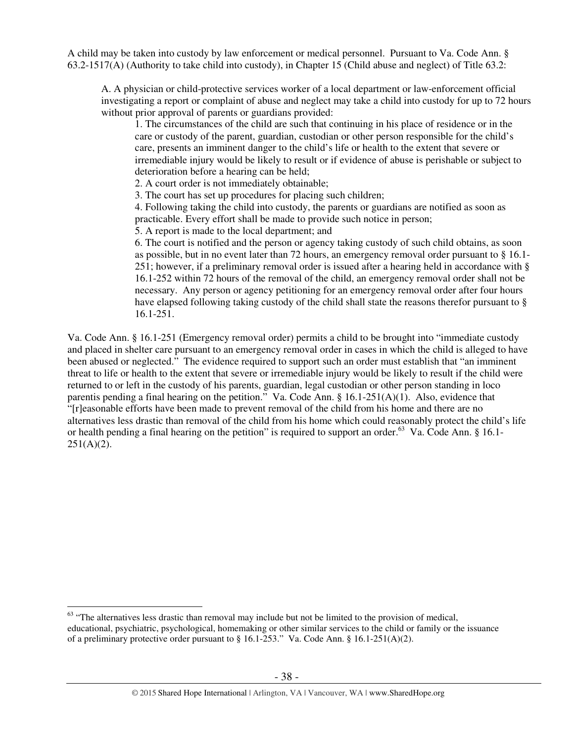A child may be taken into custody by law enforcement or medical personnel. Pursuant to Va. Code Ann. § 63.2-1517(A) (Authority to take child into custody), in Chapter 15 (Child abuse and neglect) of Title 63.2:

A. A physician or child-protective services worker of a local department or law-enforcement official investigating a report or complaint of abuse and neglect may take a child into custody for up to 72 hours without prior approval of parents or guardians provided:

1. The circumstances of the child are such that continuing in his place of residence or in the care or custody of the parent, guardian, custodian or other person responsible for the child's care, presents an imminent danger to the child's life or health to the extent that severe or irremediable injury would be likely to result or if evidence of abuse is perishable or subject to deterioration before a hearing can be held;

2. A court order is not immediately obtainable;

3. The court has set up procedures for placing such children;

4. Following taking the child into custody, the parents or guardians are notified as soon as practicable. Every effort shall be made to provide such notice in person;

5. A report is made to the local department; and

6. The court is notified and the person or agency taking custody of such child obtains, as soon as possible, but in no event later than 72 hours, an emergency removal order pursuant to § 16.1- 251; however, if a preliminary removal order is issued after a hearing held in accordance with § 16.1-252 within 72 hours of the removal of the child, an emergency removal order shall not be necessary. Any person or agency petitioning for an emergency removal order after four hours have elapsed following taking custody of the child shall state the reasons therefor pursuant to § 16.1-251.

Va. Code Ann. § 16.1-251 (Emergency removal order) permits a child to be brought into "immediate custody and placed in shelter care pursuant to an emergency removal order in cases in which the child is alleged to have been abused or neglected." The evidence required to support such an order must establish that "an imminent threat to life or health to the extent that severe or irremediable injury would be likely to result if the child were returned to or left in the custody of his parents, guardian, legal custodian or other person standing in loco parentis pending a final hearing on the petition." Va. Code Ann. § 16.1-251(A)(1). Also, evidence that "[r]easonable efforts have been made to prevent removal of the child from his home and there are no alternatives less drastic than removal of the child from his home which could reasonably protect the child's life or health pending a final hearing on the petition" is required to support an order.<sup>63</sup> Va. Code Ann. § 16.1- $251(A)(2)$ .

 $63$  "The alternatives less drastic than removal may include but not be limited to the provision of medical, educational, psychiatric, psychological, homemaking or other similar services to the child or family or the issuance of a preliminary protective order pursuant to § 16.1-253." Va. Code Ann. § 16.1-251(A)(2).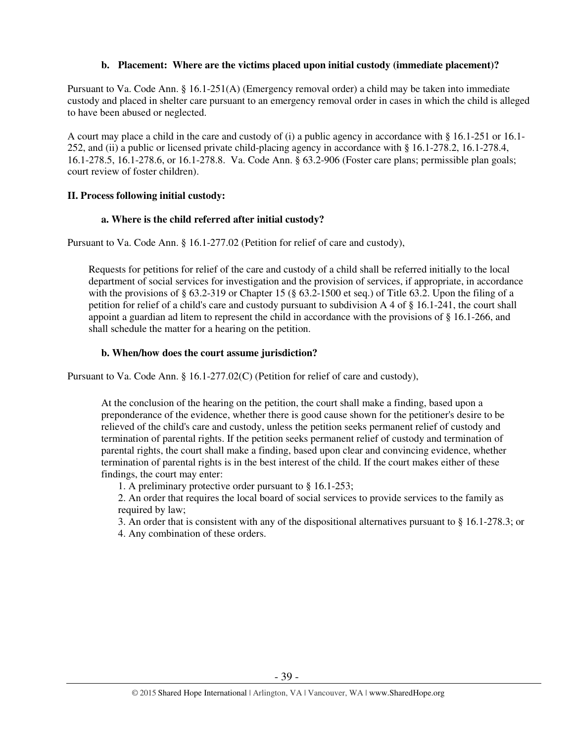## **b. Placement: Where are the victims placed upon initial custody (immediate placement)?**

Pursuant to Va. Code Ann. § 16.1-251(A) (Emergency removal order) a child may be taken into immediate custody and placed in shelter care pursuant to an emergency removal order in cases in which the child is alleged to have been abused or neglected.

A court may place a child in the care and custody of (i) a public agency in accordance with § 16.1-251 or 16.1- 252, and (ii) a public or licensed private child-placing agency in accordance with § 16.1-278.2, 16.1-278.4, 16.1-278.5, 16.1-278.6, or 16.1-278.8. Va. Code Ann. § 63.2-906 (Foster care plans; permissible plan goals; court review of foster children).

# **II. Process following initial custody:**

## **a. Where is the child referred after initial custody?**

Pursuant to Va. Code Ann. § 16.1-277.02 (Petition for relief of care and custody),

Requests for petitions for relief of the care and custody of a child shall be referred initially to the local department of social services for investigation and the provision of services, if appropriate, in accordance with the provisions of  $\S 63.2$ -319 or Chapter 15 ( $\S 63.2$ -1500 et seq.) of Title 63.2. Upon the filing of a petition for relief of a child's care and custody pursuant to subdivision A 4 of § 16.1-241, the court shall appoint a guardian ad litem to represent the child in accordance with the provisions of § 16.1-266, and shall schedule the matter for a hearing on the petition.

# **b. When/how does the court assume jurisdiction?**

Pursuant to Va. Code Ann. § 16.1-277.02(C) (Petition for relief of care and custody),

At the conclusion of the hearing on the petition, the court shall make a finding, based upon a preponderance of the evidence, whether there is good cause shown for the petitioner's desire to be relieved of the child's care and custody, unless the petition seeks permanent relief of custody and termination of parental rights. If the petition seeks permanent relief of custody and termination of parental rights, the court shall make a finding, based upon clear and convincing evidence, whether termination of parental rights is in the best interest of the child. If the court makes either of these findings, the court may enter:

1. A preliminary protective order pursuant to § 16.1-253;

2. An order that requires the local board of social services to provide services to the family as required by law;

3. An order that is consistent with any of the dispositional alternatives pursuant to § 16.1-278.3; or

4. Any combination of these orders.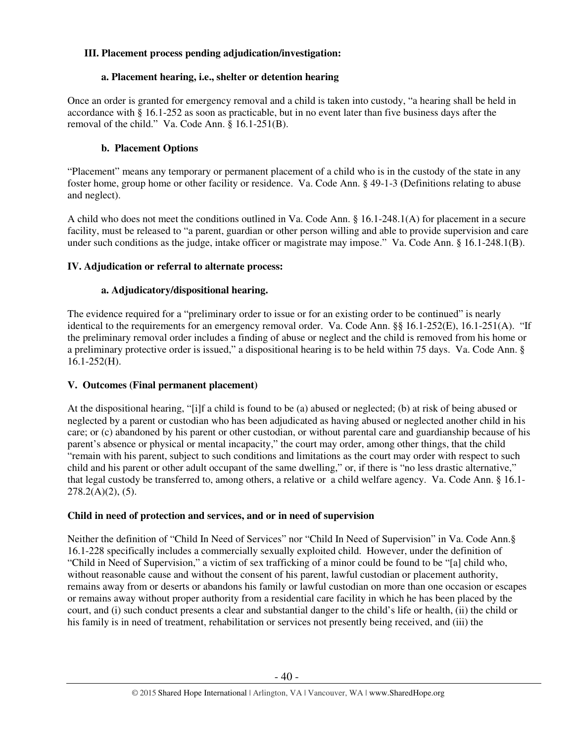# **III. Placement process pending adjudication/investigation:**

# **a. Placement hearing, i.e., shelter or detention hearing**

Once an order is granted for emergency removal and a child is taken into custody, "a hearing shall be held in accordance with § 16.1-252 as soon as practicable, but in no event later than five business days after the removal of the child." Va. Code Ann. § 16.1-251(B).

# **b. Placement Options**

"Placement" means any temporary or permanent placement of a child who is in the custody of the state in any foster home, group home or other facility or residence. Va. Code Ann. § 49-1-3 **(**Definitions relating to abuse and neglect).

A child who does not meet the conditions outlined in Va. Code Ann. § 16.1-248.1(A) for placement in a secure facility, must be released to "a parent, guardian or other person willing and able to provide supervision and care under such conditions as the judge, intake officer or magistrate may impose." Va. Code Ann. § 16.1-248.1(B).

# **IV. Adjudication or referral to alternate process:**

# **a. Adjudicatory/dispositional hearing.**

The evidence required for a "preliminary order to issue or for an existing order to be continued" is nearly identical to the requirements for an emergency removal order. Va. Code Ann. §§ 16.1-252(E), 16.1-251(A). "If the preliminary removal order includes a finding of abuse or neglect and the child is removed from his home or a preliminary protective order is issued," a dispositional hearing is to be held within 75 days. Va. Code Ann. § 16.1-252(H).

# **V. Outcomes (Final permanent placement)**

At the dispositional hearing, "[i]f a child is found to be (a) abused or neglected; (b) at risk of being abused or neglected by a parent or custodian who has been adjudicated as having abused or neglected another child in his care; or (c) abandoned by his parent or other custodian, or without parental care and guardianship because of his parent's absence or physical or mental incapacity," the court may order, among other things, that the child "remain with his parent, subject to such conditions and limitations as the court may order with respect to such child and his parent or other adult occupant of the same dwelling," or, if there is "no less drastic alternative," that legal custody be transferred to, among others, a relative or a child welfare agency. Va. Code Ann. § 16.1- 278.2(A)(2), (5).

# **Child in need of protection and services, and or in need of supervision**

Neither the definition of "Child In Need of Services" nor "Child In Need of Supervision" in Va. Code Ann.§ 16.1-228 specifically includes a commercially sexually exploited child. However, under the definition of "Child in Need of Supervision," a victim of sex trafficking of a minor could be found to be "[a] child who, without reasonable cause and without the consent of his parent, lawful custodian or placement authority, remains away from or deserts or abandons his family or lawful custodian on more than one occasion or escapes or remains away without proper authority from a residential care facility in which he has been placed by the court, and (i) such conduct presents a clear and substantial danger to the child's life or health, (ii) the child or his family is in need of treatment, rehabilitation or services not presently being received, and (iii) the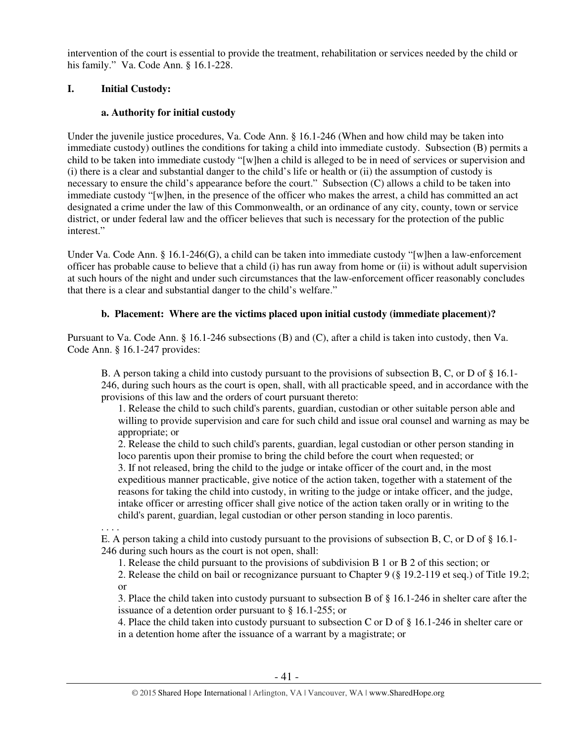intervention of the court is essential to provide the treatment, rehabilitation or services needed by the child or his family." Va. Code Ann. § 16.1-228.

# **I. Initial Custody:**

# **a. Authority for initial custody**

Under the juvenile justice procedures, Va. Code Ann. § 16.1-246 (When and how child may be taken into immediate custody) outlines the conditions for taking a child into immediate custody. Subsection (B) permits a child to be taken into immediate custody "[w]hen a child is alleged to be in need of services or supervision and (i) there is a clear and substantial danger to the child's life or health or (ii) the assumption of custody is necessary to ensure the child's appearance before the court." Subsection (C) allows a child to be taken into immediate custody "[w]hen, in the presence of the officer who makes the arrest, a child has committed an act designated a crime under the law of this Commonwealth, or an ordinance of any city, county, town or service district, or under federal law and the officer believes that such is necessary for the protection of the public interest."

Under Va. Code Ann. § 16.1-246(G), a child can be taken into immediate custody "[w]hen a law-enforcement officer has probable cause to believe that a child (i) has run away from home or (ii) is without adult supervision at such hours of the night and under such circumstances that the law-enforcement officer reasonably concludes that there is a clear and substantial danger to the child's welfare."

# **b. Placement: Where are the victims placed upon initial custody (immediate placement)?**

Pursuant to Va. Code Ann. § 16.1-246 subsections (B) and (C), after a child is taken into custody, then Va. Code Ann. § 16.1-247 provides:

B. A person taking a child into custody pursuant to the provisions of subsection B, C, or D of § 16.1- 246, during such hours as the court is open, shall, with all practicable speed, and in accordance with the provisions of this law and the orders of court pursuant thereto:

1. Release the child to such child's parents, guardian, custodian or other suitable person able and willing to provide supervision and care for such child and issue oral counsel and warning as may be appropriate; or

2. Release the child to such child's parents, guardian, legal custodian or other person standing in loco parentis upon their promise to bring the child before the court when requested; or 3. If not released, bring the child to the judge or intake officer of the court and, in the most expeditious manner practicable, give notice of the action taken, together with a statement of the reasons for taking the child into custody, in writing to the judge or intake officer, and the judge, intake officer or arresting officer shall give notice of the action taken orally or in writing to the child's parent, guardian, legal custodian or other person standing in loco parentis.

. . . .

E. A person taking a child into custody pursuant to the provisions of subsection B, C, or D of § 16.1- 246 during such hours as the court is not open, shall:

1. Release the child pursuant to the provisions of subdivision B 1 or B 2 of this section; or

2. Release the child on bail or recognizance pursuant to Chapter 9 (§ 19.2-119 et seq.) of Title 19.2; or

3. Place the child taken into custody pursuant to subsection B of § 16.1-246 in shelter care after the issuance of a detention order pursuant to § 16.1-255; or

4. Place the child taken into custody pursuant to subsection C or D of § 16.1-246 in shelter care or in a detention home after the issuance of a warrant by a magistrate; or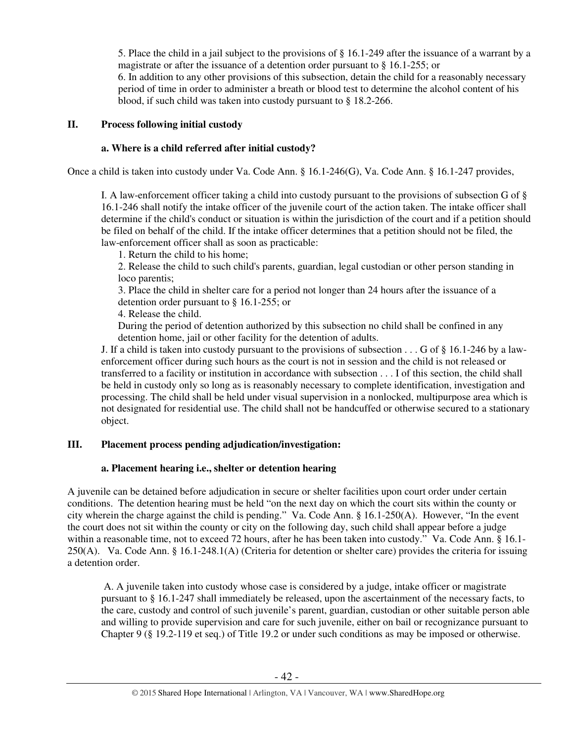5. Place the child in a jail subject to the provisions of § 16.1-249 after the issuance of a warrant by a magistrate or after the issuance of a detention order pursuant to § 16.1-255; or

6. In addition to any other provisions of this subsection, detain the child for a reasonably necessary period of time in order to administer a breath or blood test to determine the alcohol content of his blood, if such child was taken into custody pursuant to § 18.2-266.

## **II. Process following initial custody**

## **a. Where is a child referred after initial custody?**

Once a child is taken into custody under Va. Code Ann. § 16.1-246(G), Va. Code Ann. § 16.1-247 provides,

I. A law-enforcement officer taking a child into custody pursuant to the provisions of subsection G of § 16.1-246 shall notify the intake officer of the juvenile court of the action taken. The intake officer shall determine if the child's conduct or situation is within the jurisdiction of the court and if a petition should be filed on behalf of the child. If the intake officer determines that a petition should not be filed, the law-enforcement officer shall as soon as practicable:

1. Return the child to his home;

2. Release the child to such child's parents, guardian, legal custodian or other person standing in loco parentis;

3. Place the child in shelter care for a period not longer than 24 hours after the issuance of a detention order pursuant to § 16.1-255; or

4. Release the child.

During the period of detention authorized by this subsection no child shall be confined in any detention home, jail or other facility for the detention of adults.

J. If a child is taken into custody pursuant to the provisions of subsection . . . G of § 16.1-246 by a lawenforcement officer during such hours as the court is not in session and the child is not released or transferred to a facility or institution in accordance with subsection . . . I of this section, the child shall be held in custody only so long as is reasonably necessary to complete identification, investigation and processing. The child shall be held under visual supervision in a nonlocked, multipurpose area which is not designated for residential use. The child shall not be handcuffed or otherwise secured to a stationary object.

# **III. Placement process pending adjudication/investigation:**

## **a. Placement hearing i.e., shelter or detention hearing**

A juvenile can be detained before adjudication in secure or shelter facilities upon court order under certain conditions. The detention hearing must be held "on the next day on which the court sits within the county or city wherein the charge against the child is pending." Va. Code Ann. § 16.1-250(A). However, "In the event the court does not sit within the county or city on the following day, such child shall appear before a judge within a reasonable time, not to exceed 72 hours, after he has been taken into custody." Va. Code Ann. § 16.1-250(A). Va. Code Ann. § 16.1-248.1(A) (Criteria for detention or shelter care) provides the criteria for issuing a detention order.

 A. A juvenile taken into custody whose case is considered by a judge, intake officer or magistrate pursuant to § 16.1-247 shall immediately be released, upon the ascertainment of the necessary facts, to the care, custody and control of such juvenile's parent, guardian, custodian or other suitable person able and willing to provide supervision and care for such juvenile, either on bail or recognizance pursuant to Chapter 9 (§ 19.2-119 et seq.) of Title 19.2 or under such conditions as may be imposed or otherwise.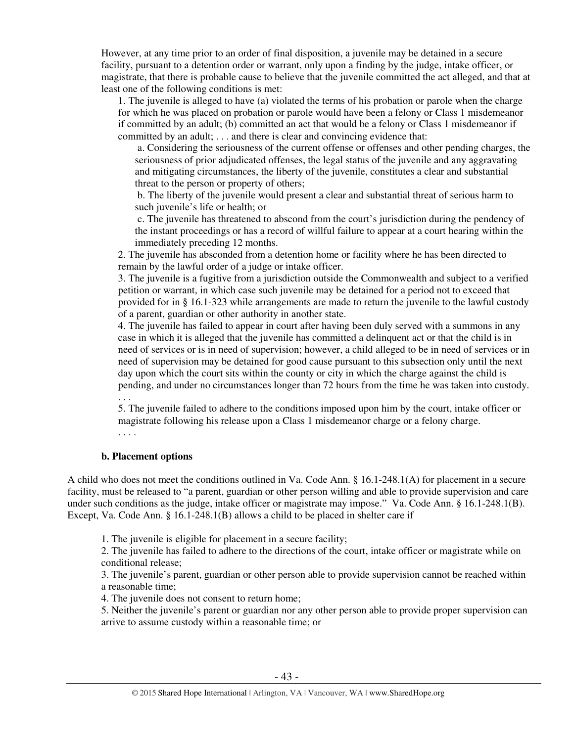However, at any time prior to an order of final disposition, a juvenile may be detained in a secure facility, pursuant to a detention order or warrant, only upon a finding by the judge, intake officer, or magistrate, that there is probable cause to believe that the juvenile committed the act alleged, and that at least one of the following conditions is met:

1. The juvenile is alleged to have (a) violated the terms of his probation or parole when the charge for which he was placed on probation or parole would have been a felony or Class 1 misdemeanor if committed by an adult; (b) committed an act that would be a felony or Class 1 misdemeanor if committed by an adult; . . . and there is clear and convincing evidence that:

 a. Considering the seriousness of the current offense or offenses and other pending charges, the seriousness of prior adjudicated offenses, the legal status of the juvenile and any aggravating and mitigating circumstances, the liberty of the juvenile, constitutes a clear and substantial threat to the person or property of others;

 b. The liberty of the juvenile would present a clear and substantial threat of serious harm to such juvenile's life or health; or

 c. The juvenile has threatened to abscond from the court's jurisdiction during the pendency of the instant proceedings or has a record of willful failure to appear at a court hearing within the immediately preceding 12 months.

2. The juvenile has absconded from a detention home or facility where he has been directed to remain by the lawful order of a judge or intake officer.

3. The juvenile is a fugitive from a jurisdiction outside the Commonwealth and subject to a verified petition or warrant, in which case such juvenile may be detained for a period not to exceed that provided for in § 16.1-323 while arrangements are made to return the juvenile to the lawful custody of a parent, guardian or other authority in another state.

4. The juvenile has failed to appear in court after having been duly served with a summons in any case in which it is alleged that the juvenile has committed a delinquent act or that the child is in need of services or is in need of supervision; however, a child alleged to be in need of services or in need of supervision may be detained for good cause pursuant to this subsection only until the next day upon which the court sits within the county or city in which the charge against the child is pending, and under no circumstances longer than 72 hours from the time he was taken into custody.

. . .

5. The juvenile failed to adhere to the conditions imposed upon him by the court, intake officer or magistrate following his release upon a Class 1 misdemeanor charge or a felony charge.

. . . .

### **b. Placement options**

A child who does not meet the conditions outlined in Va. Code Ann. § 16.1-248.1(A) for placement in a secure facility, must be released to "a parent, guardian or other person willing and able to provide supervision and care under such conditions as the judge, intake officer or magistrate may impose." Va. Code Ann. § 16.1-248.1(B). Except, Va. Code Ann. § 16.1-248.1(B) allows a child to be placed in shelter care if

1. The juvenile is eligible for placement in a secure facility;

2. The juvenile has failed to adhere to the directions of the court, intake officer or magistrate while on conditional release;

3. The juvenile's parent, guardian or other person able to provide supervision cannot be reached within a reasonable time;

4. The juvenile does not consent to return home;

5. Neither the juvenile's parent or guardian nor any other person able to provide proper supervision can arrive to assume custody within a reasonable time; or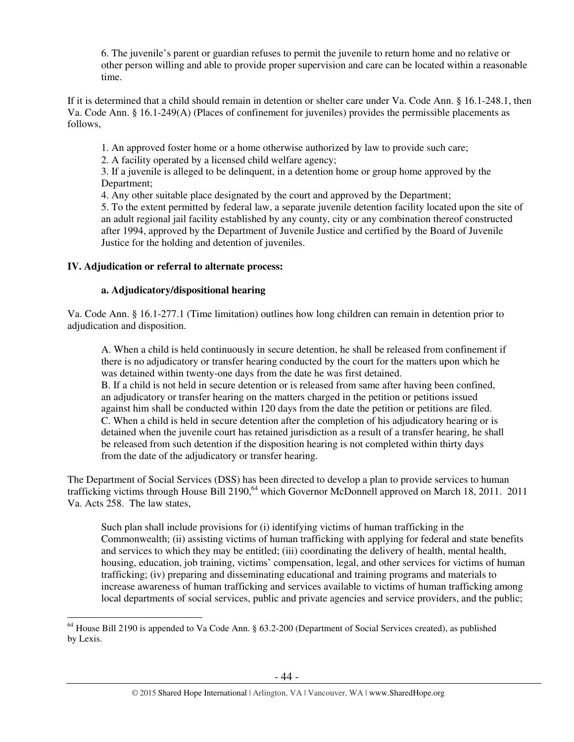6. The juvenile's parent or guardian refuses to permit the juvenile to return home and no relative or other person willing and able to provide proper supervision and care can be located within a reasonable time.

If it is determined that a child should remain in detention or shelter care under Va. Code Ann. § 16.1-248.1, then Va. Code Ann. § 16.1-249(A) (Places of confinement for juveniles) provides the permissible placements as follows,

1. An approved foster home or a home otherwise authorized by law to provide such care;

2. A facility operated by a licensed child welfare agency;

3. If a juvenile is alleged to be delinquent, in a detention home or group home approved by the Department;

4. Any other suitable place designated by the court and approved by the Department;

5. To the extent permitted by federal law, a separate juvenile detention facility located upon the site of an adult regional jail facility established by any county, city or any combination thereof constructed after 1994, approved by the Department of Juvenile Justice and certified by the Board of Juvenile Justice for the holding and detention of juveniles.

# **IV. Adjudication or referral to alternate process:**

 $\overline{a}$ 

# **a. Adjudicatory/dispositional hearing**

Va. Code Ann. § 16.1-277.1 (Time limitation) outlines how long children can remain in detention prior to adjudication and disposition.

A. When a child is held continuously in secure detention, he shall be released from confinement if there is no adjudicatory or transfer hearing conducted by the court for the matters upon which he was detained within twenty-one days from the date he was first detained.

B. If a child is not held in secure detention or is released from same after having been confined, an adjudicatory or transfer hearing on the matters charged in the petition or petitions issued against him shall be conducted within 120 days from the date the petition or petitions are filed. C. When a child is held in secure detention after the completion of his adjudicatory hearing or is detained when the juvenile court has retained jurisdiction as a result of a transfer hearing, he shall be released from such detention if the disposition hearing is not completed within thirty days from the date of the adjudicatory or transfer hearing.

The Department of Social Services (DSS) has been directed to develop a plan to provide services to human trafficking victims through House Bill 2190,<sup>64</sup> which Governor McDonnell approved on March 18, 2011. 2011 Va. Acts 258. The law states,

Such plan shall include provisions for (i) identifying victims of human trafficking in the Commonwealth; (ii) assisting victims of human trafficking with applying for federal and state benefits and services to which they may be entitled; (iii) coordinating the delivery of health, mental health, housing, education, job training, victims' compensation, legal, and other services for victims of human trafficking; (iv) preparing and disseminating educational and training programs and materials to increase awareness of human trafficking and services available to victims of human trafficking among local departments of social services, public and private agencies and service providers, and the public;

<sup>64</sup> House Bill 2190 is appended to Va Code Ann. § 63.2-200 (Department of Social Services created), as published by Lexis.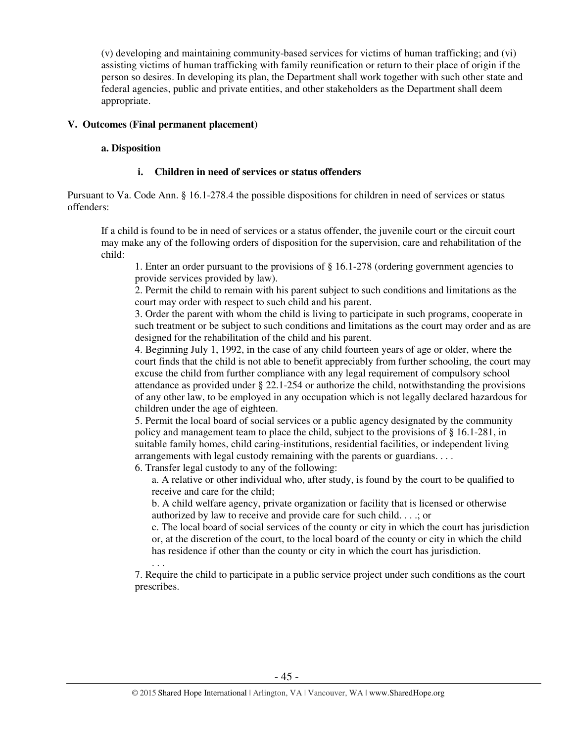(v) developing and maintaining community-based services for victims of human trafficking; and (vi) assisting victims of human trafficking with family reunification or return to their place of origin if the person so desires. In developing its plan, the Department shall work together with such other state and federal agencies, public and private entities, and other stakeholders as the Department shall deem appropriate.

## **V. Outcomes (Final permanent placement)**

### **a. Disposition**

## **i. Children in need of services or status offenders**

Pursuant to Va. Code Ann. § 16.1-278.4 the possible dispositions for children in need of services or status offenders:

If a child is found to be in need of services or a status offender, the juvenile court or the circuit court may make any of the following orders of disposition for the supervision, care and rehabilitation of the child:

1. Enter an order pursuant to the provisions of § 16.1-278 (ordering government agencies to provide services provided by law).

2. Permit the child to remain with his parent subject to such conditions and limitations as the court may order with respect to such child and his parent.

3. Order the parent with whom the child is living to participate in such programs, cooperate in such treatment or be subject to such conditions and limitations as the court may order and as are designed for the rehabilitation of the child and his parent.

4. Beginning July 1, 1992, in the case of any child fourteen years of age or older, where the court finds that the child is not able to benefit appreciably from further schooling, the court may excuse the child from further compliance with any legal requirement of compulsory school attendance as provided under § 22.1-254 or authorize the child, notwithstanding the provisions of any other law, to be employed in any occupation which is not legally declared hazardous for children under the age of eighteen.

5. Permit the local board of social services or a public agency designated by the community policy and management team to place the child, subject to the provisions of § 16.1-281, in suitable family homes, child caring-institutions, residential facilities, or independent living arrangements with legal custody remaining with the parents or guardians. . . .

6. Transfer legal custody to any of the following:

a. A relative or other individual who, after study, is found by the court to be qualified to receive and care for the child;

b. A child welfare agency, private organization or facility that is licensed or otherwise authorized by law to receive and provide care for such child. . . .; or

c. The local board of social services of the county or city in which the court has jurisdiction or, at the discretion of the court, to the local board of the county or city in which the child has residence if other than the county or city in which the court has jurisdiction.

. . . 7. Require the child to participate in a public service project under such conditions as the court prescribes.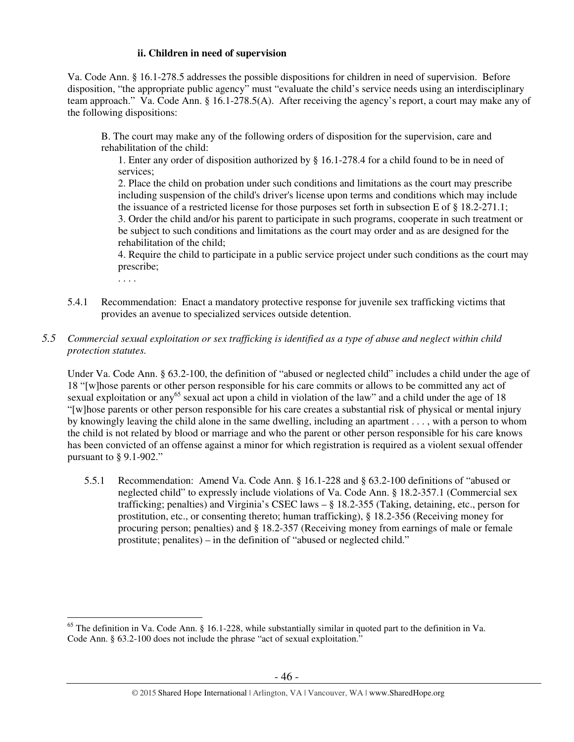## **ii. Children in need of supervision**

Va. Code Ann. § 16.1-278.5 addresses the possible dispositions for children in need of supervision. Before disposition, "the appropriate public agency" must "evaluate the child's service needs using an interdisciplinary team approach." Va. Code Ann. § 16.1-278.5(A). After receiving the agency's report, a court may make any of the following dispositions:

B. The court may make any of the following orders of disposition for the supervision, care and rehabilitation of the child:

1. Enter any order of disposition authorized by § 16.1-278.4 for a child found to be in need of services;

2. Place the child on probation under such conditions and limitations as the court may prescribe including suspension of the child's driver's license upon terms and conditions which may include the issuance of a restricted license for those purposes set forth in subsection E of § 18.2-271.1; 3. Order the child and/or his parent to participate in such programs, cooperate in such treatment or be subject to such conditions and limitations as the court may order and as are designed for the rehabilitation of the child;

4. Require the child to participate in a public service project under such conditions as the court may prescribe;

. . . .

- 5.4.1 Recommendation: Enact a mandatory protective response for juvenile sex trafficking victims that provides an avenue to specialized services outside detention.
- *5.5 Commercial sexual exploitation or sex trafficking is identified as a type of abuse and neglect within child protection statutes.*

Under Va. Code Ann. § 63.2-100, the definition of "abused or neglected child" includes a child under the age of 18 "[w]hose parents or other person responsible for his care commits or allows to be committed any act of sexual exploitation or any<sup>65</sup> sexual act upon a child in violation of the law" and a child under the age of 18 "[w]hose parents or other person responsible for his care creates a substantial risk of physical or mental injury by knowingly leaving the child alone in the same dwelling, including an apartment . . . , with a person to whom the child is not related by blood or marriage and who the parent or other person responsible for his care knows has been convicted of an offense against a minor for which registration is required as a violent sexual offender pursuant to § 9.1-902."

5.5.1 Recommendation: Amend Va. Code Ann. § 16.1-228 and § 63.2-100 definitions of "abused or neglected child" to expressly include violations of Va. Code Ann. § 18.2-357.1 (Commercial sex trafficking; penalties) and Virginia's CSEC laws – § 18.2-355 (Taking, detaining, etc., person for prostitution, etc., or consenting thereto; human trafficking), § 18.2-356 (Receiving money for procuring person; penalties) and § 18.2-357 (Receiving money from earnings of male or female prostitute; penalites) – in the definition of "abused or neglected child."

 $\overline{a}$ <sup>65</sup> The definition in Va. Code Ann. § 16.1-228, while substantially similar in quoted part to the definition in Va. Code Ann. § 63.2-100 does not include the phrase "act of sexual exploitation."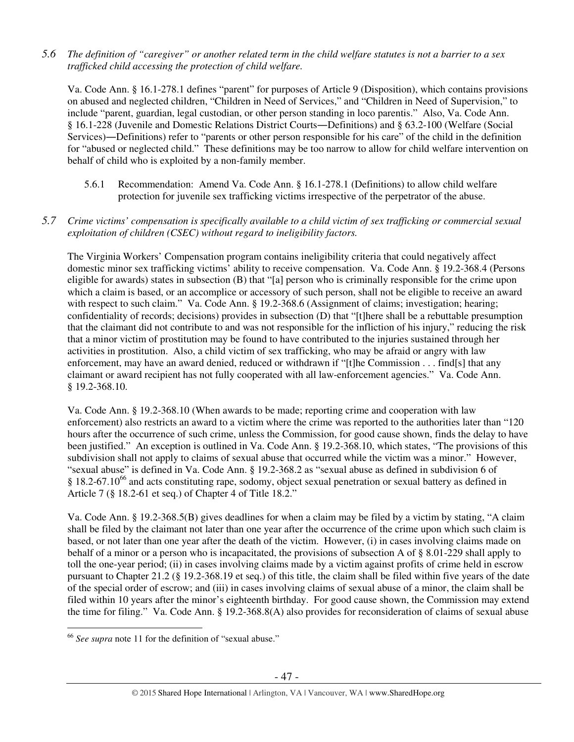*5.6 The definition of "caregiver" or another related term in the child welfare statutes is not a barrier to a sex trafficked child accessing the protection of child welfare.* 

Va. Code Ann. § 16.1-278.1 defines "parent" for purposes of Article 9 (Disposition), which contains provisions on abused and neglected children, "Children in Need of Services," and "Children in Need of Supervision," to include "parent, guardian, legal custodian, or other person standing in loco parentis." Also, Va. Code Ann. § 16.1-228 (Juvenile and Domestic Relations District Courts―Definitions) and § 63.2-100 (Welfare (Social Services)―Definitions) refer to "parents or other person responsible for his care" of the child in the definition for "abused or neglected child." These definitions may be too narrow to allow for child welfare intervention on behalf of child who is exploited by a non-family member.

5.6.1 Recommendation: Amend Va. Code Ann. § 16.1-278.1 (Definitions) to allow child welfare protection for juvenile sex trafficking victims irrespective of the perpetrator of the abuse.

## *5.7 Crime victims' compensation is specifically available to a child victim of sex trafficking or commercial sexual exploitation of children (CSEC) without regard to ineligibility factors.*

The Virginia Workers' Compensation program contains ineligibility criteria that could negatively affect domestic minor sex trafficking victims' ability to receive compensation. Va. Code Ann. § 19.2-368.4 (Persons eligible for awards) states in subsection (B) that "[a] person who is criminally responsible for the crime upon which a claim is based, or an accomplice or accessory of such person, shall not be eligible to receive an award with respect to such claim." Va. Code Ann. § 19.2-368.6 (Assignment of claims; investigation; hearing; confidentiality of records; decisions) provides in subsection (D) that "[t]here shall be a rebuttable presumption that the claimant did not contribute to and was not responsible for the infliction of his injury," reducing the risk that a minor victim of prostitution may be found to have contributed to the injuries sustained through her activities in prostitution. Also, a child victim of sex trafficking, who may be afraid or angry with law enforcement, may have an award denied, reduced or withdrawn if "[t]he Commission . . . find[s] that any claimant or award recipient has not fully cooperated with all law-enforcement agencies." Va. Code Ann. § 19.2-368.10.

Va. Code Ann. § 19.2-368.10 (When awards to be made; reporting crime and cooperation with law enforcement) also restricts an award to a victim where the crime was reported to the authorities later than "120 hours after the occurrence of such crime, unless the Commission, for good cause shown, finds the delay to have been justified." An exception is outlined in Va. Code Ann. § 19.2-368.10, which states, "The provisions of this subdivision shall not apply to claims of sexual abuse that occurred while the victim was a minor." However, "sexual abuse" is defined in Va. Code Ann. § 19.2-368.2 as "sexual abuse as defined in subdivision 6 of  $§$  18.2-67.10<sup>66</sup> and acts constituting rape, sodomy, object sexual penetration or sexual battery as defined in Article 7 (§ 18.2-61 et seq.) of Chapter 4 of Title 18.2."

Va. Code Ann. § 19.2-368.5(B) gives deadlines for when a claim may be filed by a victim by stating, "A claim shall be filed by the claimant not later than one year after the occurrence of the crime upon which such claim is based, or not later than one year after the death of the victim. However, (i) in cases involving claims made on behalf of a minor or a person who is incapacitated, the provisions of subsection A of § 8.01-229 shall apply to toll the one-year period; (ii) in cases involving claims made by a victim against profits of crime held in escrow pursuant to Chapter 21.2 (§ 19.2-368.19 et seq.) of this title, the claim shall be filed within five years of the date of the special order of escrow; and (iii) in cases involving claims of sexual abuse of a minor, the claim shall be filed within 10 years after the minor's eighteenth birthday. For good cause shown, the Commission may extend the time for filing." Va. Code Ann. § 19.2-368.8(A) also provides for reconsideration of claims of sexual abuse

 $\overline{a}$ <sup>66</sup> *See supra* note 11 for the definition of "sexual abuse."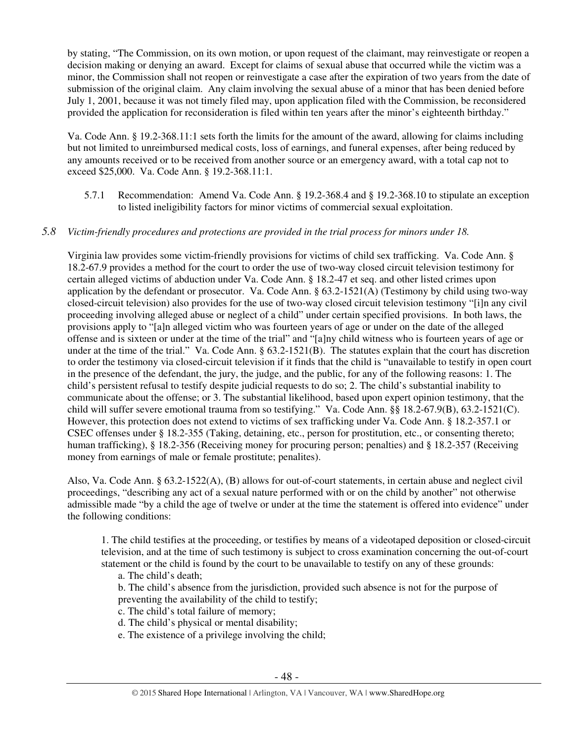by stating, "The Commission, on its own motion, or upon request of the claimant, may reinvestigate or reopen a decision making or denying an award. Except for claims of sexual abuse that occurred while the victim was a minor, the Commission shall not reopen or reinvestigate a case after the expiration of two years from the date of submission of the original claim. Any claim involving the sexual abuse of a minor that has been denied before July 1, 2001, because it was not timely filed may, upon application filed with the Commission, be reconsidered provided the application for reconsideration is filed within ten years after the minor's eighteenth birthday."

Va. Code Ann. § 19.2-368.11:1 sets forth the limits for the amount of the award, allowing for claims including but not limited to unreimbursed medical costs, loss of earnings, and funeral expenses, after being reduced by any amounts received or to be received from another source or an emergency award, with a total cap not to exceed \$25,000. Va. Code Ann. § 19.2-368.11:1.

5.7.1 Recommendation: Amend Va. Code Ann. § 19.2-368.4 and § 19.2-368.10 to stipulate an exception to listed ineligibility factors for minor victims of commercial sexual exploitation.

# *5.8 Victim-friendly procedures and protections are provided in the trial process for minors under 18.*

Virginia law provides some victim-friendly provisions for victims of child sex trafficking. Va. Code Ann. § 18.2-67.9 provides a method for the court to order the use of two-way closed circuit television testimony for certain alleged victims of abduction under Va. Code Ann. § 18.2-47 et seq. and other listed crimes upon application by the defendant or prosecutor. Va. Code Ann.  $\S 63.2$ -1521(A) (Testimony by child using two-way closed-circuit television) also provides for the use of two-way closed circuit television testimony "[i]n any civil proceeding involving alleged abuse or neglect of a child" under certain specified provisions. In both laws, the provisions apply to "[a]n alleged victim who was fourteen years of age or under on the date of the alleged offense and is sixteen or under at the time of the trial" and "[a]ny child witness who is fourteen years of age or under at the time of the trial." Va. Code Ann. § 63.2-1521(B). The statutes explain that the court has discretion to order the testimony via closed-circuit television if it finds that the child is "unavailable to testify in open court in the presence of the defendant, the jury, the judge, and the public, for any of the following reasons: 1. The child's persistent refusal to testify despite judicial requests to do so; 2. The child's substantial inability to communicate about the offense; or 3. The substantial likelihood, based upon expert opinion testimony, that the child will suffer severe emotional trauma from so testifying." Va. Code Ann. §§ 18.2-67.9(B), 63.2-1521(C). However, this protection does not extend to victims of sex trafficking under Va. Code Ann. § 18.2-357.1 or CSEC offenses under § 18.2-355 (Taking, detaining, etc., person for prostitution, etc., or consenting thereto; human trafficking), § 18.2-356 (Receiving money for procuring person; penalties) and § 18.2-357 (Receiving money from earnings of male or female prostitute; penalites).

Also, Va. Code Ann. § 63.2-1522(A), (B) allows for out-of-court statements, in certain abuse and neglect civil proceedings, "describing any act of a sexual nature performed with or on the child by another" not otherwise admissible made "by a child the age of twelve or under at the time the statement is offered into evidence" under the following conditions:

1. The child testifies at the proceeding, or testifies by means of a videotaped deposition or closed-circuit television, and at the time of such testimony is subject to cross examination concerning the out-of-court statement or the child is found by the court to be unavailable to testify on any of these grounds:

a. The child's death;

- b. The child's absence from the jurisdiction, provided such absence is not for the purpose of preventing the availability of the child to testify;
- c. The child's total failure of memory;
- d. The child's physical or mental disability;
- e. The existence of a privilege involving the child;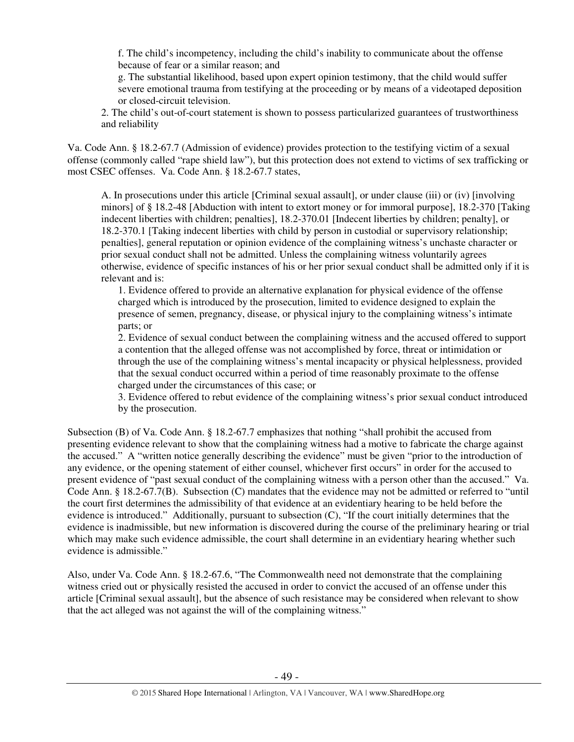f. The child's incompetency, including the child's inability to communicate about the offense because of fear or a similar reason; and

g. The substantial likelihood, based upon expert opinion testimony, that the child would suffer severe emotional trauma from testifying at the proceeding or by means of a videotaped deposition or closed-circuit television.

2. The child's out-of-court statement is shown to possess particularized guarantees of trustworthiness and reliability

Va. Code Ann. § 18.2-67.7 (Admission of evidence) provides protection to the testifying victim of a sexual offense (commonly called "rape shield law"), but this protection does not extend to victims of sex trafficking or most CSEC offenses. Va. Code Ann. § 18.2-67.7 states,

A. In prosecutions under this article [Criminal sexual assault], or under clause (iii) or (iv) [involving minors] of § 18.2-48 [Abduction with intent to extort money or for immoral purpose], 18.2-370 [Taking indecent liberties with children; penalties], 18.2-370.01 [Indecent liberties by children; penalty], or 18.2-370.1 [Taking indecent liberties with child by person in custodial or supervisory relationship; penalties], general reputation or opinion evidence of the complaining witness's unchaste character or prior sexual conduct shall not be admitted. Unless the complaining witness voluntarily agrees otherwise, evidence of specific instances of his or her prior sexual conduct shall be admitted only if it is relevant and is:

1. Evidence offered to provide an alternative explanation for physical evidence of the offense charged which is introduced by the prosecution, limited to evidence designed to explain the presence of semen, pregnancy, disease, or physical injury to the complaining witness's intimate parts; or

2. Evidence of sexual conduct between the complaining witness and the accused offered to support a contention that the alleged offense was not accomplished by force, threat or intimidation or through the use of the complaining witness's mental incapacity or physical helplessness, provided that the sexual conduct occurred within a period of time reasonably proximate to the offense charged under the circumstances of this case; or

 3. Evidence offered to rebut evidence of the complaining witness's prior sexual conduct introduced by the prosecution.

Subsection (B) of Va. Code Ann. § 18.2-67.7 emphasizes that nothing "shall prohibit the accused from presenting evidence relevant to show that the complaining witness had a motive to fabricate the charge against the accused." A "written notice generally describing the evidence" must be given "prior to the introduction of any evidence, or the opening statement of either counsel, whichever first occurs" in order for the accused to present evidence of "past sexual conduct of the complaining witness with a person other than the accused." Va. Code Ann. § 18.2-67.7(B). Subsection (C) mandates that the evidence may not be admitted or referred to "until the court first determines the admissibility of that evidence at an evidentiary hearing to be held before the evidence is introduced." Additionally, pursuant to subsection (C), "If the court initially determines that the evidence is inadmissible, but new information is discovered during the course of the preliminary hearing or trial which may make such evidence admissible, the court shall determine in an evidentiary hearing whether such evidence is admissible."

Also, under Va. Code Ann. § 18.2-67.6, "The Commonwealth need not demonstrate that the complaining witness cried out or physically resisted the accused in order to convict the accused of an offense under this article [Criminal sexual assault], but the absence of such resistance may be considered when relevant to show that the act alleged was not against the will of the complaining witness."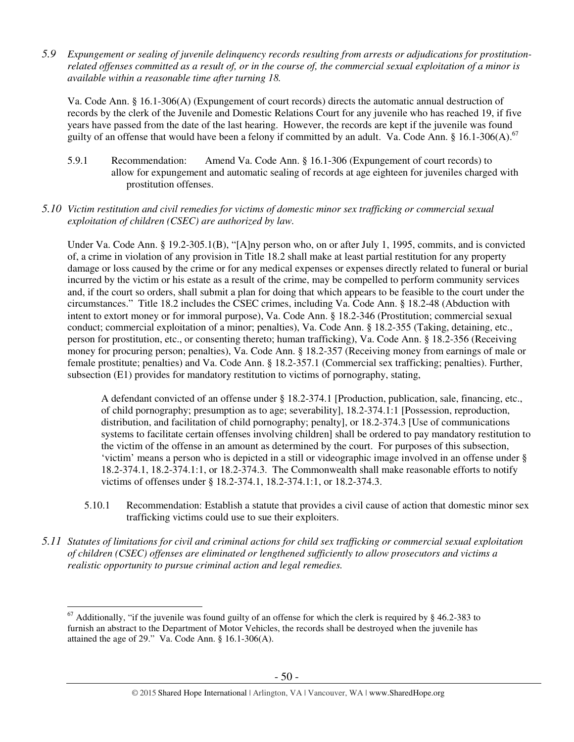*5.9 Expungement or sealing of juvenile delinquency records resulting from arrests or adjudications for prostitutionrelated offenses committed as a result of, or in the course of, the commercial sexual exploitation of a minor is available within a reasonable time after turning 18.* 

Va. Code Ann. § 16.1-306(A) (Expungement of court records) directs the automatic annual destruction of records by the clerk of the Juvenile and Domestic Relations Court for any juvenile who has reached 19, if five years have passed from the date of the last hearing. However, the records are kept if the juvenile was found guilty of an offense that would have been a felony if committed by an adult. Va. Code Ann. § 16.1-306(A).<sup>67</sup>

- 5.9.1 Recommendation: Amend Va. Code Ann. § 16.1-306 (Expungement of court records) to allow for expungement and automatic sealing of records at age eighteen for juveniles charged with prostitution offenses.
- *5.10 Victim restitution and civil remedies for victims of domestic minor sex trafficking or commercial sexual exploitation of children (CSEC) are authorized by law.*

Under Va. Code Ann. § 19.2-305.1(B), "[A]ny person who, on or after July 1, 1995, commits, and is convicted of, a crime in violation of any provision in Title 18.2 shall make at least partial restitution for any property damage or loss caused by the crime or for any medical expenses or expenses directly related to funeral or burial incurred by the victim or his estate as a result of the crime, may be compelled to perform community services and, if the court so orders, shall submit a plan for doing that which appears to be feasible to the court under the circumstances." Title 18.2 includes the CSEC crimes, including Va. Code Ann. § 18.2-48 (Abduction with intent to extort money or for immoral purpose), Va. Code Ann. § 18.2-346 (Prostitution; commercial sexual conduct; commercial exploitation of a minor; penalties), Va. Code Ann. § 18.2-355 (Taking, detaining, etc., person for prostitution, etc., or consenting thereto; human trafficking), Va. Code Ann. § 18.2-356 (Receiving money for procuring person; penalties), Va. Code Ann. § 18.2-357 (Receiving money from earnings of male or female prostitute; penalties) and Va. Code Ann. § 18.2-357.1 (Commercial sex trafficking; penalties). Further, subsection (E1) provides for mandatory restitution to victims of pornography, stating,

A defendant convicted of an offense under § 18.2-374.1 [Production, publication, sale, financing, etc., of child pornography; presumption as to age; severability], 18.2-374.1:1 [Possession, reproduction, distribution, and facilitation of child pornography; penalty], or 18.2-374.3 [Use of communications systems to facilitate certain offenses involving children] shall be ordered to pay mandatory restitution to the victim of the offense in an amount as determined by the court. For purposes of this subsection, 'victim' means a person who is depicted in a still or videographic image involved in an offense under § 18.2-374.1, 18.2-374.1:1, or 18.2-374.3. The Commonwealth shall make reasonable efforts to notify victims of offenses under § 18.2-374.1, 18.2-374.1:1, or 18.2-374.3.

- 5.10.1 Recommendation: Establish a statute that provides a civil cause of action that domestic minor sex trafficking victims could use to sue their exploiters.
- *5.11 Statutes of limitations for civil and criminal actions for child sex trafficking or commercial sexual exploitation of children (CSEC) offenses are eliminated or lengthened sufficiently to allow prosecutors and victims a realistic opportunity to pursue criminal action and legal remedies.*

 $\overline{a}$  $67$  Additionally, "if the juvenile was found guilty of an offense for which the clerk is required by § 46.2-383 to furnish an abstract to the Department of Motor Vehicles, the records shall be destroyed when the juvenile has attained the age of 29." Va. Code Ann. § 16.1-306(A).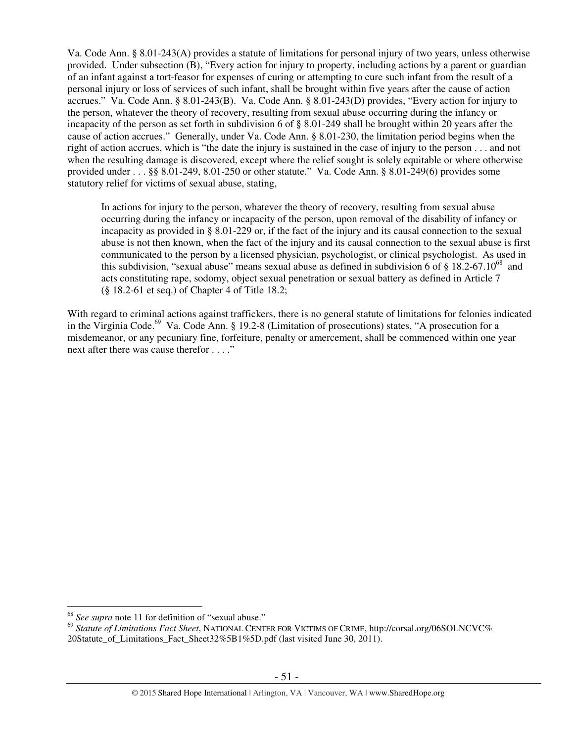Va. Code Ann. § 8.01-243(A) provides a statute of limitations for personal injury of two years, unless otherwise provided. Under subsection (B), "Every action for injury to property, including actions by a parent or guardian of an infant against a tort-feasor for expenses of curing or attempting to cure such infant from the result of a personal injury or loss of services of such infant, shall be brought within five years after the cause of action accrues." Va. Code Ann. § 8.01-243(B). Va. Code Ann. § 8.01-243(D) provides, "Every action for injury to the person, whatever the theory of recovery, resulting from sexual abuse occurring during the infancy or incapacity of the person as set forth in subdivision 6 of § 8.01-249 shall be brought within 20 years after the cause of action accrues." Generally, under Va. Code Ann. § 8.01-230, the limitation period begins when the right of action accrues, which is "the date the injury is sustained in the case of injury to the person . . . and not when the resulting damage is discovered, except where the relief sought is solely equitable or where otherwise provided under . . . §§ 8.01-249, 8.01-250 or other statute." Va. Code Ann. § 8.01-249(6) provides some statutory relief for victims of sexual abuse, stating,

In actions for injury to the person, whatever the theory of recovery, resulting from sexual abuse occurring during the infancy or incapacity of the person, upon removal of the disability of infancy or incapacity as provided in § 8.01-229 or, if the fact of the injury and its causal connection to the sexual abuse is not then known, when the fact of the injury and its causal connection to the sexual abuse is first communicated to the person by a licensed physician, psychologist, or clinical psychologist. As used in this subdivision, "sexual abuse" means sexual abuse as defined in subdivision 6 of  $\S$  18.2-67.10<sup>68</sup> and acts constituting rape, sodomy, object sexual penetration or sexual battery as defined in Article 7 (§ 18.2-61 et seq.) of Chapter 4 of Title 18.2;

With regard to criminal actions against traffickers, there is no general statute of limitations for felonies indicated in the Virginia Code.<sup>69</sup> Va. Code Ann. § 19.2-8 (Limitation of prosecutions) states, "A prosecution for a misdemeanor, or any pecuniary fine, forfeiture, penalty or amercement, shall be commenced within one year next after there was cause therefor . . . ."

<sup>68</sup> *See supra* note 11 for definition of "sexual abuse."

<sup>69</sup> *Statute of Limitations Fact Sheet*, NATIONAL CENTER FOR VICTIMS OF CRIME, http://corsal.org/06SOLNCVC% 20Statute\_of\_Limitations\_Fact\_Sheet32%5B1%5D.pdf (last visited June 30, 2011).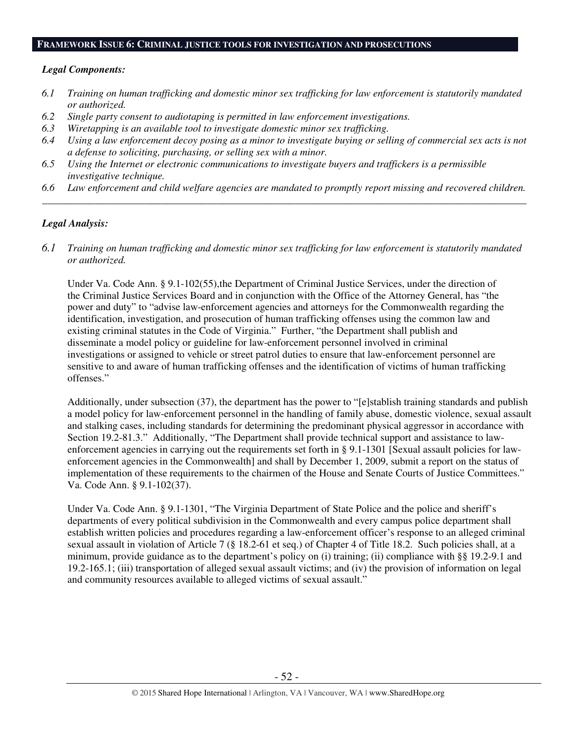#### **FRAMEWORK ISSUE 6: CRIMINAL JUSTICE TOOLS FOR INVESTIGATION AND PROSECUTIONS**

## *Legal Components:*

- *6.1 Training on human trafficking and domestic minor sex trafficking for law enforcement is statutorily mandated or authorized.*
- *6.2 Single party consent to audiotaping is permitted in law enforcement investigations.*
- *6.3 Wiretapping is an available tool to investigate domestic minor sex trafficking.*
- *6.4 Using a law enforcement decoy posing as a minor to investigate buying or selling of commercial sex acts is not a defense to soliciting, purchasing, or selling sex with a minor.*
- *6.5 Using the Internet or electronic communications to investigate buyers and traffickers is a permissible investigative technique.*
- *6.6 Law enforcement and child welfare agencies are mandated to promptly report missing and recovered children. \_\_\_\_\_\_\_\_\_\_\_\_\_\_\_\_\_\_\_\_\_\_\_\_\_\_\_\_\_\_\_\_\_\_\_\_\_\_\_\_\_\_\_\_\_\_\_\_\_\_\_\_\_\_\_\_\_\_\_\_\_\_\_\_\_\_\_\_\_\_\_\_\_\_\_\_\_\_\_\_\_\_\_\_\_\_\_\_\_\_\_\_\_\_*

# *Legal Analysis:*

*6.1 Training on human trafficking and domestic minor sex trafficking for law enforcement is statutorily mandated or authorized.* 

Under Va. Code Ann. § 9.1-102(55),the Department of Criminal Justice Services, under the direction of the Criminal Justice Services Board and in conjunction with the Office of the Attorney General, has "the power and duty" to "advise law-enforcement agencies and attorneys for the Commonwealth regarding the identification, investigation, and prosecution of human trafficking offenses using the common law and existing criminal statutes in the Code of Virginia." Further, "the Department shall publish and disseminate a model policy or guideline for law-enforcement personnel involved in criminal investigations or assigned to vehicle or street patrol duties to ensure that law-enforcement personnel are sensitive to and aware of human trafficking offenses and the identification of victims of human trafficking offenses."

Additionally, under subsection (37), the department has the power to "[e]stablish training standards and publish a model policy for law-enforcement personnel in the handling of family abuse, domestic violence, sexual assault and stalking cases, including standards for determining the predominant physical aggressor in accordance with Section 19.2-81.3." Additionally, "The Department shall provide technical support and assistance to lawenforcement agencies in carrying out the requirements set forth in § 9.1-1301 [Sexual assault policies for lawenforcement agencies in the Commonwealth] and shall by December 1, 2009, submit a report on the status of implementation of these requirements to the chairmen of the House and Senate Courts of Justice Committees." Va. Code Ann. § 9.1-102(37).

Under Va. Code Ann. § 9.1-1301, "The Virginia Department of State Police and the police and sheriff's departments of every political subdivision in the Commonwealth and every campus police department shall establish written policies and procedures regarding a law-enforcement officer's response to an alleged criminal sexual assault in violation of Article 7 (§ 18.2-61 et seq.) of Chapter 4 of Title 18.2. Such policies shall, at a minimum, provide guidance as to the department's policy on (i) training; (ii) compliance with §§ 19.2-9.1 and 19.2-165.1; (iii) transportation of alleged sexual assault victims; and (iv) the provision of information on legal and community resources available to alleged victims of sexual assault."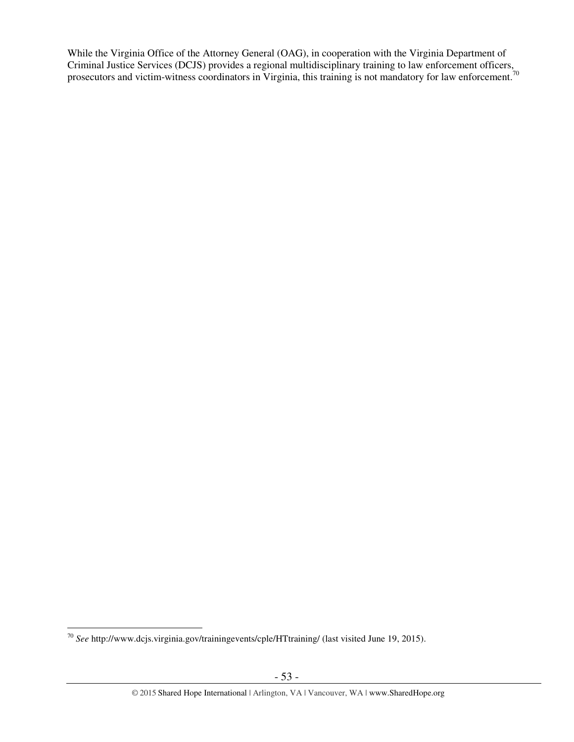While the Virginia Office of the Attorney General (OAG), in cooperation with the Virginia Department of Criminal Justice Services (DCJS) provides a regional multidisciplinary training to law enforcement officers, prosecutors and victim-witness coordinators in Virginia, this training is not mandatory for law enforcement.<sup>70</sup>

 $\overline{a}$ <sup>70</sup> *See* http://www.dcjs.virginia.gov/trainingevents/cple/HTtraining/ (last visited June 19, 2015).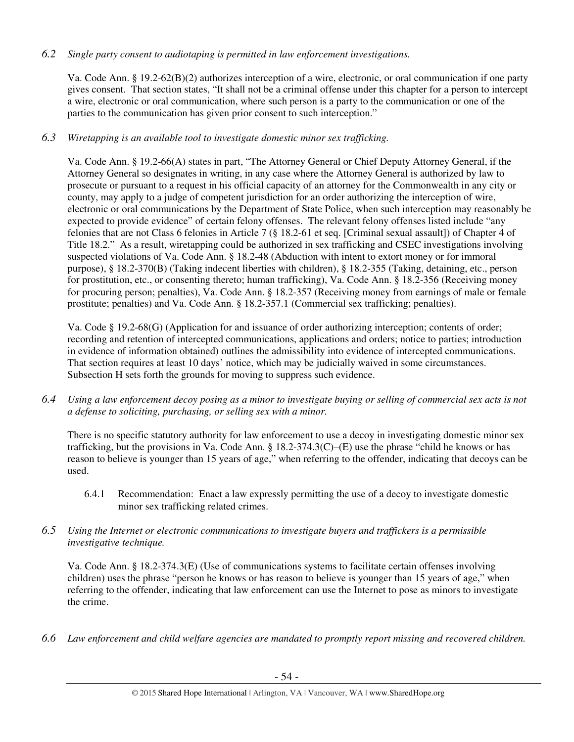# *6.2 Single party consent to audiotaping is permitted in law enforcement investigations.*

Va. Code Ann. § 19.2-62(B)(2) authorizes interception of a wire, electronic, or oral communication if one party gives consent. That section states, "It shall not be a criminal offense under this chapter for a person to intercept a wire, electronic or oral communication, where such person is a party to the communication or one of the parties to the communication has given prior consent to such interception."

# *6.3 Wiretapping is an available tool to investigate domestic minor sex trafficking.*

Va. Code Ann. § 19.2-66(A) states in part, "The Attorney General or Chief Deputy Attorney General, if the Attorney General so designates in writing, in any case where the Attorney General is authorized by law to prosecute or pursuant to a request in his official capacity of an attorney for the Commonwealth in any city or county, may apply to a judge of competent jurisdiction for an order authorizing the interception of wire, electronic or oral communications by the Department of State Police, when such interception may reasonably be expected to provide evidence" of certain felony offenses. The relevant felony offenses listed include "any felonies that are not Class 6 felonies in Article 7 (§ 18.2-61 et seq. [Criminal sexual assault]) of Chapter 4 of Title 18.2." As a result, wiretapping could be authorized in sex trafficking and CSEC investigations involving suspected violations of Va. Code Ann. § 18.2-48 (Abduction with intent to extort money or for immoral purpose), § 18.2-370(B) (Taking indecent liberties with children), § 18.2-355 (Taking, detaining, etc., person for prostitution, etc., or consenting thereto; human trafficking), Va. Code Ann. § 18.2-356 (Receiving money for procuring person; penalties), Va. Code Ann. § 18.2-357 (Receiving money from earnings of male or female prostitute; penalties) and Va. Code Ann. § 18.2-357.1 (Commercial sex trafficking; penalties).

Va. Code § 19.2-68(G) (Application for and issuance of order authorizing interception; contents of order; recording and retention of intercepted communications, applications and orders; notice to parties; introduction in evidence of information obtained) outlines the admissibility into evidence of intercepted communications. That section requires at least 10 days' notice, which may be judicially waived in some circumstances. Subsection H sets forth the grounds for moving to suppress such evidence.

*6.4 Using a law enforcement decoy posing as a minor to investigate buying or selling of commercial sex acts is not a defense to soliciting, purchasing, or selling sex with a minor.* 

There is no specific statutory authority for law enforcement to use a decoy in investigating domestic minor sex trafficking, but the provisions in Va. Code Ann.  $\S 18.2-374.3(C)$ –(E) use the phrase "child he knows or has reason to believe is younger than 15 years of age," when referring to the offender, indicating that decoys can be used.

- 6.4.1 Recommendation: Enact a law expressly permitting the use of a decoy to investigate domestic minor sex trafficking related crimes.
- *6.5 Using the Internet or electronic communications to investigate buyers and traffickers is a permissible investigative technique.*

Va. Code Ann. § 18.2-374.3(E) (Use of communications systems to facilitate certain offenses involving children) uses the phrase "person he knows or has reason to believe is younger than 15 years of age," when referring to the offender, indicating that law enforcement can use the Internet to pose as minors to investigate the crime.

*6.6 Law enforcement and child welfare agencies are mandated to promptly report missing and recovered children.*